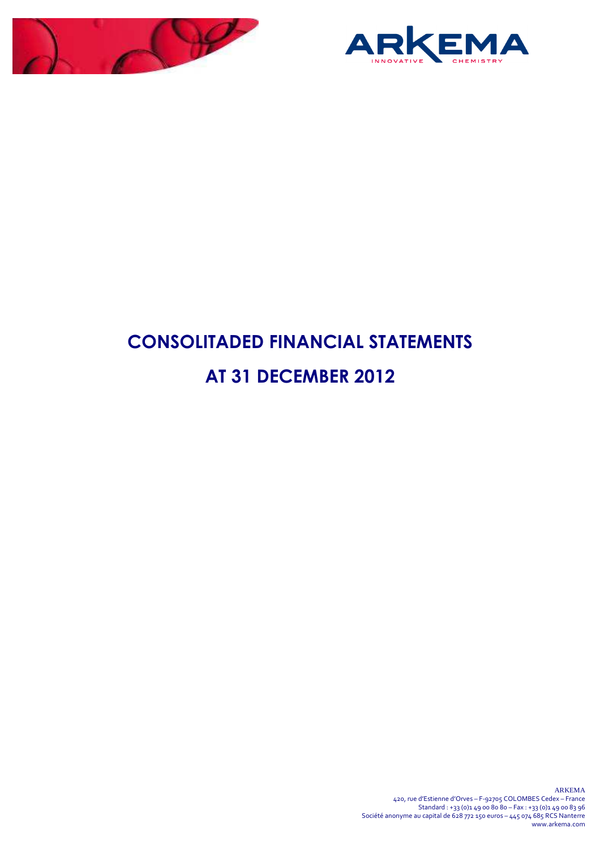



# **CONSOLITADED FINANCIAL STATEMENTS AT 31 DECEMBER 2012**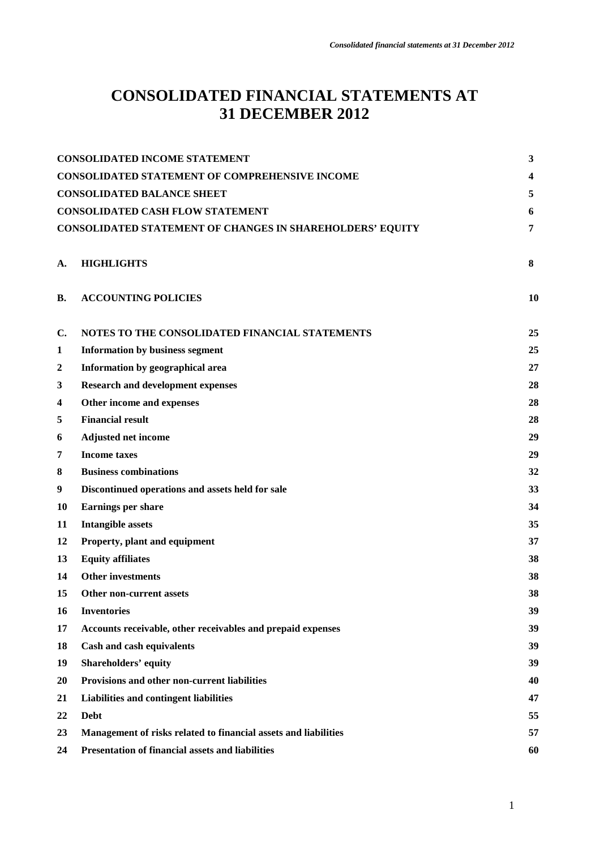# **CONSOLIDATED FINANCIAL STATEMENTS AT 31 DECEMBER 2012**

| <b>CONSOLIDATED INCOME STATEMENT</b> |                                                                  |                         |  |  |
|--------------------------------------|------------------------------------------------------------------|-------------------------|--|--|
|                                      | CONSOLIDATED STATEMENT OF COMPREHENSIVE INCOME                   | $\overline{\mathbf{4}}$ |  |  |
|                                      | <b>CONSOLIDATED BALANCE SHEET</b>                                | 5                       |  |  |
|                                      | <b>CONSOLIDATED CASH FLOW STATEMENT</b>                          | 6                       |  |  |
|                                      | <b>CONSOLIDATED STATEMENT OF CHANGES IN SHAREHOLDERS' EQUITY</b> | 7                       |  |  |
| A.                                   | <b>HIGHLIGHTS</b>                                                | 8                       |  |  |
| <b>B.</b>                            | <b>ACCOUNTING POLICIES</b>                                       | 10                      |  |  |
| $\mathbf{C}$ .                       | NOTES TO THE CONSOLIDATED FINANCIAL STATEMENTS                   | 25                      |  |  |
| $\mathbf{1}$                         | <b>Information by business segment</b>                           | 25                      |  |  |
| $\boldsymbol{2}$                     | Information by geographical area                                 | 27                      |  |  |
| 3                                    | <b>Research and development expenses</b>                         | 28                      |  |  |
| $\overline{\mathbf{4}}$              | Other income and expenses                                        | 28                      |  |  |
| 5                                    | <b>Financial result</b>                                          | 28                      |  |  |
| 6                                    | <b>Adjusted net income</b>                                       | 29                      |  |  |
| 7                                    | <b>Income taxes</b>                                              | 29                      |  |  |
| 8                                    | <b>Business combinations</b>                                     | 32                      |  |  |
| $\boldsymbol{9}$                     | Discontinued operations and assets held for sale                 | 33                      |  |  |
| 10                                   | Earnings per share                                               | 34                      |  |  |
| 11                                   | <b>Intangible assets</b>                                         | 35                      |  |  |
| 12                                   | Property, plant and equipment                                    | 37                      |  |  |
| 13                                   | <b>Equity affiliates</b>                                         | 38                      |  |  |
| 14                                   | <b>Other investments</b>                                         | 38                      |  |  |
| 15                                   | Other non-current assets                                         | 38                      |  |  |
| 16                                   | <b>Inventories</b>                                               | 39                      |  |  |
| 17                                   | Accounts receivable, other receivables and prepaid expenses      | 39                      |  |  |
| 18                                   | Cash and cash equivalents                                        | 39                      |  |  |
| 19                                   | <b>Shareholders' equity</b>                                      | 39                      |  |  |
| 20                                   | Provisions and other non-current liabilities                     | 40                      |  |  |
| 21                                   | Liabilities and contingent liabilities                           | 47                      |  |  |
| 22                                   | Debt                                                             | 55                      |  |  |
| 23                                   | Management of risks related to financial assets and liabilities  | 57                      |  |  |
| 24                                   | <b>Presentation of financial assets and liabilities</b>          | 60                      |  |  |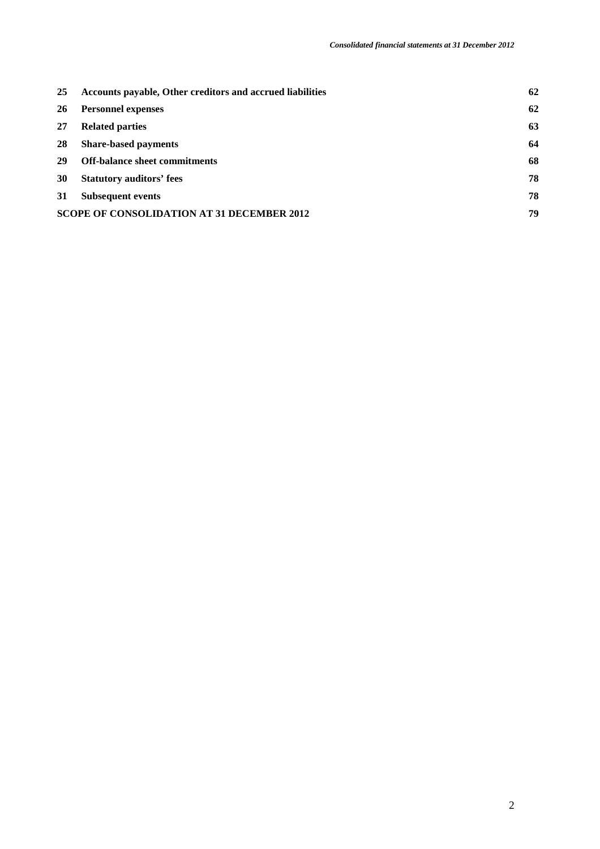| 25        | Accounts payable, Other creditors and accrued liabilities | 62 |
|-----------|-----------------------------------------------------------|----|
| <b>26</b> | <b>Personnel expenses</b>                                 | 62 |
| 27        | <b>Related parties</b>                                    | 63 |
| 28        | <b>Share-based payments</b>                               | 64 |
| 29        | Off-balance sheet commitments                             | 68 |
| 30        | <b>Statutory auditors' fees</b>                           | 78 |
| 31        | <b>Subsequent events</b>                                  | 78 |
|           | <b>SCOPE OF CONSOLIDATION AT 31 DECEMBER 2012</b>         | 79 |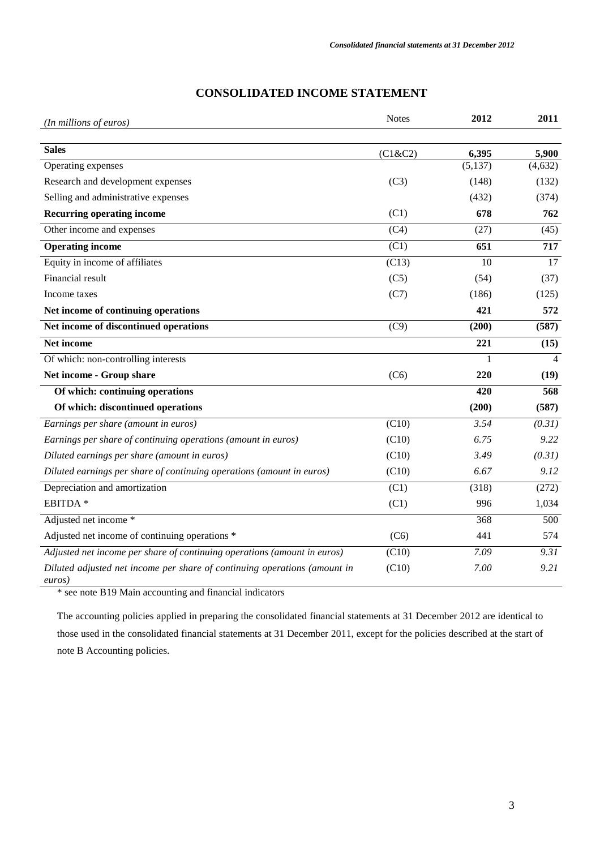| (In millions of euros)                                                              | <b>Notes</b>      | 2012     | 2011           |
|-------------------------------------------------------------------------------------|-------------------|----------|----------------|
|                                                                                     |                   |          |                |
| <b>Sales</b>                                                                        | (C1&C2)           | 6,395    | 5,900          |
| Operating expenses                                                                  |                   | (5, 137) | (4,632)        |
| Research and development expenses                                                   | (C3)              | (148)    | (132)          |
| Selling and administrative expenses                                                 |                   | (432)    | (374)          |
| <b>Recurring operating income</b>                                                   | (C1)              | 678      | 762            |
| Other income and expenses                                                           | (C4)              | (27)     | (45)           |
| <b>Operating income</b>                                                             | (C1)              | 651      | 717            |
| Equity in income of affiliates                                                      | (C13)             | 10       | 17             |
| Financial result                                                                    | (C5)              | (54)     | (37)           |
| Income taxes                                                                        | (C7)              | (186)    | (125)          |
| Net income of continuing operations                                                 |                   | 421      | 572            |
| Net income of discontinued operations                                               | $\overline{(C9)}$ | (200)    | (587)          |
| Net income                                                                          |                   | 221      | (15)           |
| Of which: non-controlling interests                                                 |                   | 1        | $\overline{4}$ |
| Net income - Group share                                                            | (C6)              | 220      | (19)           |
| Of which: continuing operations                                                     |                   | 420      | 568            |
| Of which: discontinued operations                                                   |                   | (200)    | (587)          |
| Earnings per share (amount in euros)                                                | (C10)             | 3.54     | (0.31)         |
| Earnings per share of continuing operations (amount in euros)                       | (C10)             | 6.75     | 9.22           |
| Diluted earnings per share (amount in euros)                                        | (C10)             | 3.49     | (0.31)         |
| Diluted earnings per share of continuing operations (amount in euros)               | (C10)             | 6.67     | 9.12           |
| Depreciation and amortization                                                       | (C1)              | (318)    | (272)          |
| EBITDA <sup>*</sup>                                                                 | (C1)              | 996      | 1,034          |
| Adjusted net income *                                                               |                   | 368      | 500            |
| Adjusted net income of continuing operations *                                      | (C6)              | 441      | 574            |
| Adjusted net income per share of continuing operations (amount in euros)            | (C10)             | 7.09     | 9.31           |
| Diluted adjusted net income per share of continuing operations (amount in<br>euros) | (C10)             | 7.00     | 9.21           |

# **CONSOLIDATED INCOME STATEMENT**

\* see note B19 Main accounting and financial indicators

The accounting policies applied in preparing the consolidated financial statements at 31 December 2012 are identical to those used in the consolidated financial statements at 31 December 2011, except for the policies described at the start of note B Accounting policies.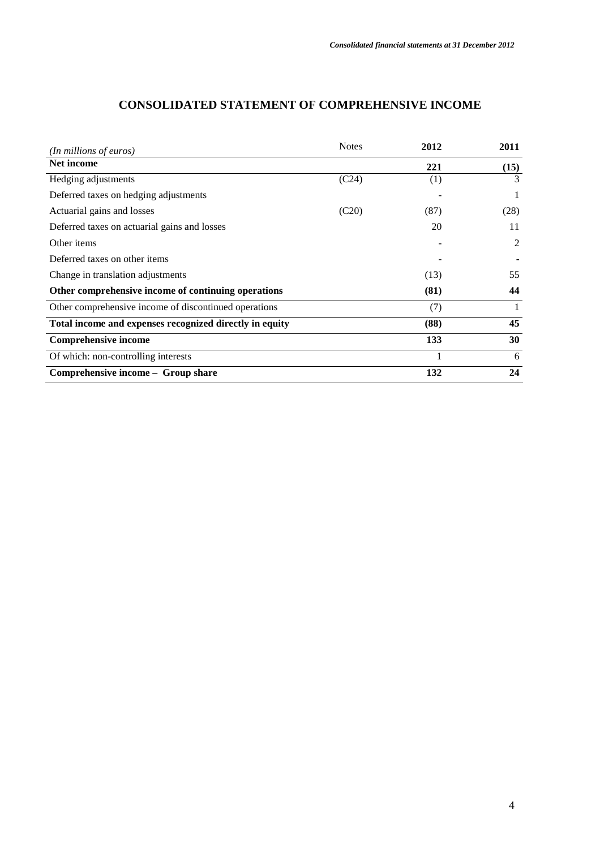| (In millions of euros)                                  | <b>Notes</b> | 2012 | 2011 |
|---------------------------------------------------------|--------------|------|------|
| Net income                                              |              | 221  | (15) |
| Hedging adjustments                                     | (C24)        | (1)  | 3    |
| Deferred taxes on hedging adjustments                   |              |      |      |
| Actuarial gains and losses                              | (C20)        | (87) | (28) |
| Deferred taxes on actuarial gains and losses            |              | 20   | 11   |
| Other items                                             |              |      | 2    |
| Deferred taxes on other items                           |              |      |      |
| Change in translation adjustments                       |              | (13) | 55   |
| Other comprehensive income of continuing operations     |              | (81) | 44   |
| Other comprehensive income of discontinued operations   |              | (7)  |      |
| Total income and expenses recognized directly in equity |              | (88) | 45   |
| <b>Comprehensive income</b>                             |              | 133  | 30   |
| Of which: non-controlling interests                     |              |      | 6    |
| Comprehensive income - Group share                      |              | 132  | 24   |

# **CONSOLIDATED STATEMENT OF COMPREHENSIVE INCOME**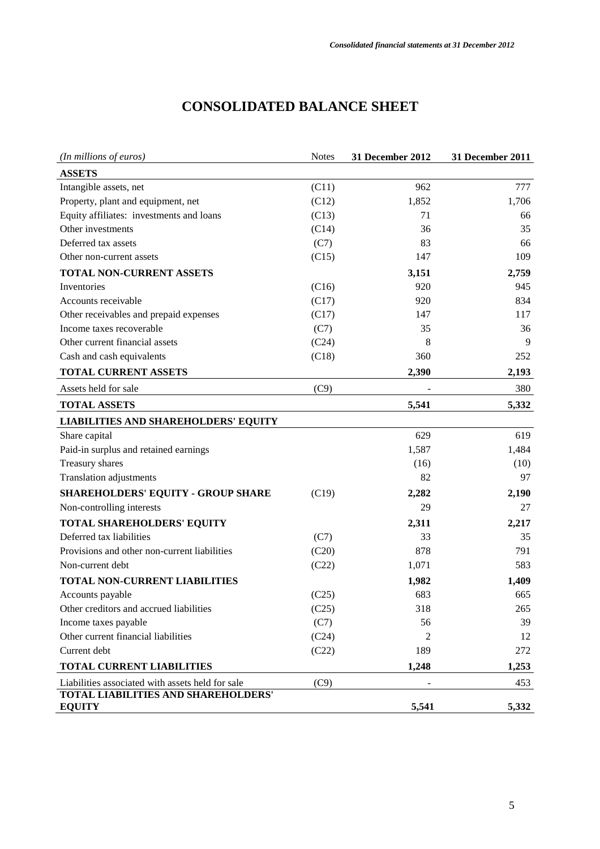| (In millions of euros)                           | <b>Notes</b> | 31 December 2012 | 31 December 2011 |
|--------------------------------------------------|--------------|------------------|------------------|
| <b>ASSETS</b>                                    |              |                  |                  |
| Intangible assets, net                           | (C11)        | 962              | 777              |
| Property, plant and equipment, net               | (C12)        | 1,852            | 1,706            |
| Equity affiliates: investments and loans         | (C13)        | 71               | 66               |
| Other investments                                | (C14)        | 36               | 35               |
| Deferred tax assets                              | (C7)         | 83               | 66               |
| Other non-current assets                         | (C15)        | 147              | 109              |
| <b>TOTAL NON-CURRENT ASSETS</b>                  |              | 3,151            | 2,759            |
| Inventories                                      | (C16)        | 920              | 945              |
| Accounts receivable                              | (C17)        | 920              | 834              |
| Other receivables and prepaid expenses           | (C17)        | 147              | 117              |
| Income taxes recoverable                         | (C7)         | 35               | 36               |
| Other current financial assets                   | (C24)        | 8                | 9                |
| Cash and cash equivalents                        | (C18)        | 360              | 252              |
| TOTAL CURRENT ASSETS                             |              | 2,390            | 2,193            |
| Assets held for sale                             | (C9)         |                  | 380              |
| <b>TOTAL ASSETS</b>                              |              | 5,541            | 5,332            |
| <b>LIABILITIES AND SHAREHOLDERS' EQUITY</b>      |              |                  |                  |
| Share capital                                    |              | 629              | 619              |
| Paid-in surplus and retained earnings            |              | 1,587            | 1,484            |
| Treasury shares                                  |              | (16)             | (10)             |
| <b>Translation adjustments</b>                   |              | 82               | 97               |
| <b>SHAREHOLDERS' EQUITY - GROUP SHARE</b>        | (C19)        | 2,282            | 2,190            |
| Non-controlling interests                        |              | 29               | 27               |
| <b>TOTAL SHAREHOLDERS' EQUITY</b>                |              | 2,311            | 2,217            |
| Deferred tax liabilities                         | (C7)         | 33               | 35               |
| Provisions and other non-current liabilities     | (C20)        | 878              | 791              |
| Non-current debt                                 | (C22)        | 1,071            | 583              |
| TOTAL NON-CURRENT LIABILITIES                    |              | 1,982            | 1,409            |
| Accounts payable                                 | (C25)        | 683              | 665              |
| Other creditors and accrued liabilities          | (C25)        | 318              | 265              |
| Income taxes payable                             | (C7)         | 56               | 39               |
| Other current financial liabilities              | (C24)        | 2                | 12               |
| Current debt                                     | (C22)        | 189              | 272              |
| <b>TOTAL CURRENT LIABILITIES</b>                 |              | 1,248            | 1,253            |
| Liabilities associated with assets held for sale | (C9)         |                  | 453              |
| TOTAL LIABILITIES AND SHAREHOLDERS'              |              |                  |                  |

**EQUITY 5,541 5,332**

# **CONSOLIDATED BALANCE SHEET**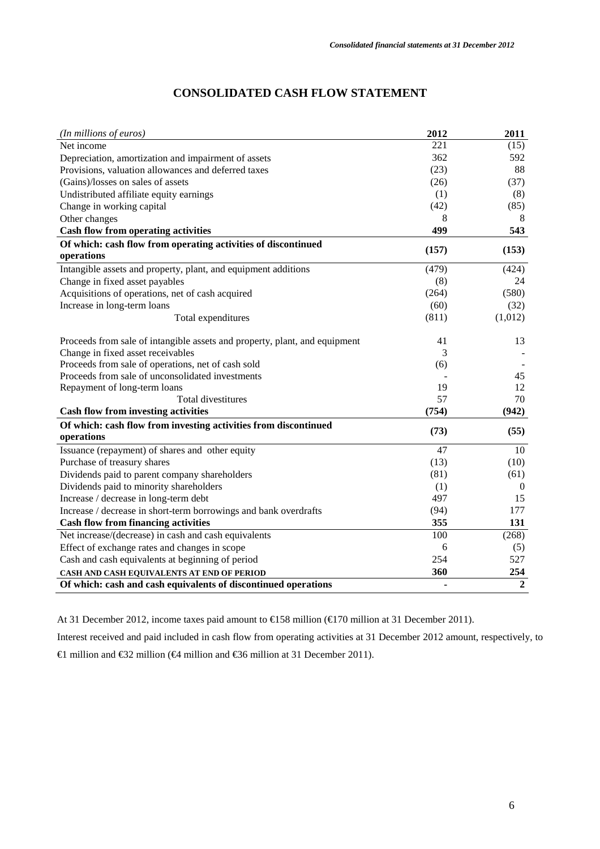# **CONSOLIDATED CASH FLOW STATEMENT**

| (In millions of euros)                                                     | 2012  | 2011           |
|----------------------------------------------------------------------------|-------|----------------|
| Net income                                                                 | 221   | (15)           |
| Depreciation, amortization and impairment of assets                        | 362   | 592            |
| Provisions, valuation allowances and deferred taxes                        | (23)  | 88             |
| (Gains)/losses on sales of assets                                          | (26)  | (37)           |
| Undistributed affiliate equity earnings                                    | (1)   | (8)            |
| Change in working capital                                                  | (42)  | (85)           |
| Other changes                                                              | 8     | 8              |
| Cash flow from operating activities                                        | 499   | 543            |
| Of which: cash flow from operating activities of discontinued              | (157) | (153)          |
| operations                                                                 |       |                |
| Intangible assets and property, plant, and equipment additions             | (479) | (424)          |
| Change in fixed asset payables                                             | (8)   | 24             |
| Acquisitions of operations, net of cash acquired                           | (264) | (580)          |
| Increase in long-term loans                                                | (60)  | (32)           |
| Total expenditures                                                         | (811) | (1,012)        |
|                                                                            |       |                |
| Proceeds from sale of intangible assets and property, plant, and equipment | 41    | 13             |
| Change in fixed asset receivables                                          | 3     |                |
| Proceeds from sale of operations, net of cash sold                         | (6)   |                |
| Proceeds from sale of unconsolidated investments                           |       | 45             |
| Repayment of long-term loans                                               | 19    | 12             |
| Total divestitures                                                         | 57    | 70             |
| <b>Cash flow from investing activities</b>                                 | (754) | (942)          |
| Of which: cash flow from investing activities from discontinued            | (73)  | (55)           |
| operations                                                                 |       |                |
| Issuance (repayment) of shares and other equity                            | 47    | 10             |
| Purchase of treasury shares                                                | (13)  | (10)           |
| Dividends paid to parent company shareholders                              | (81)  | (61)           |
| Dividends paid to minority shareholders                                    | (1)   | $\overline{0}$ |
| Increase / decrease in long-term debt                                      | 497   | 15             |
| Increase / decrease in short-term borrowings and bank overdrafts           | (94)  | 177            |
| <b>Cash flow from financing activities</b>                                 | 355   | 131            |
| Net increase/(decrease) in cash and cash equivalents                       | 100   | (268)          |
| Effect of exchange rates and changes in scope                              | 6     | (5)            |
| Cash and cash equivalents at beginning of period                           | 254   | 527            |
| CASH AND CASH EQUIVALENTS AT END OF PERIOD                                 | 360   | 254            |
| Of which: cash and cash equivalents of discontinued operations             |       | $\overline{2}$ |

At 31 December 2012, income taxes paid amount to €158 million (€170 million at 31 December 2011).

Interest received and paid included in cash flow from operating activities at 31 December 2012 amount, respectively, to €1 million and €32 million (€4 million and €36 midn at 31 December 2011).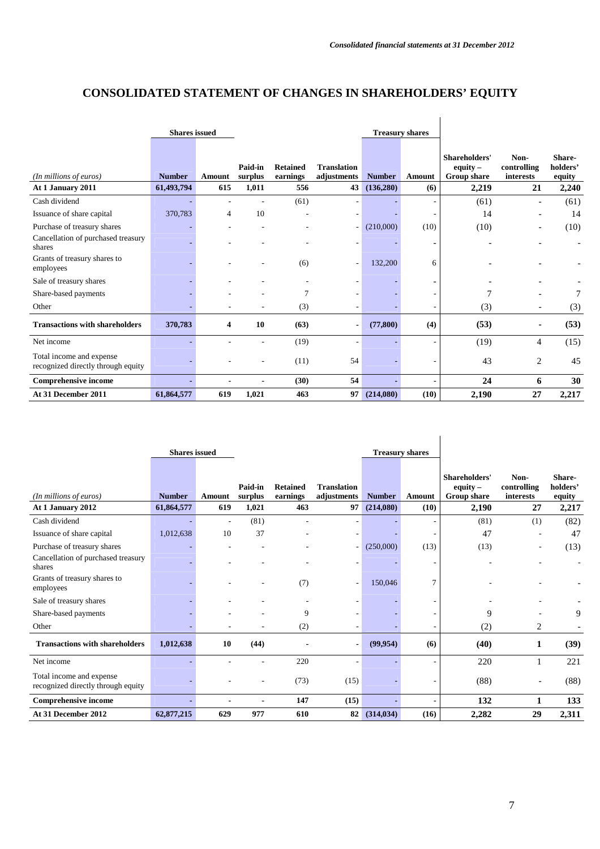# **CONSOLIDATED STATEMENT OF CHANGES IN SHAREHOLDERS' EQUITY**

| <b>Shares</b> issued                                           |               |        |                          |                             |                                   |                        |                          |                                            |                                  |                              |
|----------------------------------------------------------------|---------------|--------|--------------------------|-----------------------------|-----------------------------------|------------------------|--------------------------|--------------------------------------------|----------------------------------|------------------------------|
|                                                                |               |        |                          |                             |                                   | <b>Treasury shares</b> |                          |                                            |                                  |                              |
| (In millions of euros)                                         | <b>Number</b> | Amount | Paid-in<br>surplus       | <b>Retained</b><br>earnings | <b>Translation</b><br>adjustments | <b>Number</b>          | <b>Amount</b>            | Shareholders'<br>equity $-$<br>Group share | Non-<br>controlling<br>interests | Share-<br>holders'<br>equity |
| At 1 January 2011                                              | 61,493,794    | 615    | 1,011                    | 556                         | 43                                | (136, 280)             | (6)                      | 2,219                                      | 21                               | 2,240                        |
| Cash dividend                                                  |               |        |                          | (61)                        |                                   |                        |                          | (61)                                       |                                  | (61)                         |
| Issuance of share capital                                      | 370,783       | 4      | 10                       | ÷                           | ٠                                 |                        | $\overline{\phantom{a}}$ | 14                                         |                                  | 14                           |
| Purchase of treasury shares                                    |               |        |                          |                             | ٠.                                | (210,000)              | (10)                     | (10)                                       |                                  | (10)                         |
| Cancellation of purchased treasury<br>shares                   |               |        |                          |                             | ٠                                 |                        | $\overline{\phantom{a}}$ |                                            |                                  |                              |
| Grants of treasury shares to<br>employees                      |               |        |                          | (6)                         | ٠                                 | 132,200                | 6                        |                                            |                                  |                              |
| Sale of treasury shares                                        |               |        |                          |                             | ٠                                 |                        |                          |                                            |                                  |                              |
| Share-based payments                                           |               |        |                          | 7                           | ٠                                 |                        |                          | 7                                          |                                  |                              |
| Other                                                          |               |        | ٠                        | (3)                         | ٠                                 |                        |                          | (3)                                        |                                  | (3)                          |
| <b>Transactions with shareholders</b>                          | 370,783       | 4      | 10                       | (63)                        | $\blacksquare$                    | (77,800)               | (4)                      | (53)                                       |                                  | (53)                         |
| Net income                                                     |               |        |                          | (19)                        |                                   |                        |                          | (19)                                       | 4                                | (15)                         |
| Total income and expense<br>recognized directly through equity |               |        |                          | (11)                        | 54                                |                        |                          | 43                                         | 2                                | 45                           |
| Comprehensive income                                           |               |        | $\overline{\phantom{0}}$ | (30)                        | 54                                | ۰                      |                          | 24                                         | 6                                | 30                           |
| At 31 December 2011                                            | 61,864,577    | 619    | 1,021                    | 463                         | 97                                | (214,080)              | (10)                     | 2,190                                      | 27                               | 2,217                        |

|                                                                | <b>Shares</b> issued |                | <b>Treasury shares</b> |                             |                                   |               |                |                                            |                                  |                              |
|----------------------------------------------------------------|----------------------|----------------|------------------------|-----------------------------|-----------------------------------|---------------|----------------|--------------------------------------------|----------------------------------|------------------------------|
| (In millions of euros)                                         | <b>Number</b>        | Amount         | Paid-in<br>surplus     | <b>Retained</b><br>earnings | <b>Translation</b><br>adjustments | <b>Number</b> | Amount         | Shareholders'<br>equity $-$<br>Group share | Non-<br>controlling<br>interests | Share-<br>holders'<br>equity |
| At 1 January 2012                                              | 61,864,577           | 619            | 1,021                  | 463                         | 97                                | (214,080)     | (10)           | 2,190                                      | 27                               | 2,217                        |
| Cash dividend                                                  |                      | $\overline{a}$ | (81)                   |                             |                                   |               |                | (81)                                       | (1)                              | (82)                         |
| Issuance of share capital                                      | 1,012,638            | 10             | 37                     |                             | ۰                                 |               | ٠              | 47                                         | ٠                                | 47                           |
| Purchase of treasury shares                                    |                      |                |                        |                             |                                   | (250,000)     | (13)           | (13)                                       |                                  | (13)                         |
| Cancellation of purchased treasury<br>shares                   |                      |                |                        |                             |                                   |               |                |                                            |                                  |                              |
| Grants of treasury shares to<br>employees                      |                      |                |                        | (7)                         | ٠                                 | 150,046       | $\overline{7}$ |                                            |                                  |                              |
| Sale of treasury shares                                        |                      |                |                        |                             |                                   |               |                |                                            |                                  |                              |
| Share-based payments                                           |                      |                |                        | 9                           |                                   |               |                | 9                                          |                                  | 9                            |
| Other                                                          |                      |                |                        | (2)                         | ۰                                 |               |                | (2)                                        | 2                                |                              |
| <b>Transactions with shareholders</b>                          | 1,012,638            | 10             | (44)                   |                             | $\blacksquare$                    | (99, 954)     | (6)            | (40)                                       | 1                                | (39)                         |
| Net income                                                     |                      |                |                        | 220                         |                                   |               |                | 220                                        |                                  | 221                          |
| Total income and expense<br>recognized directly through equity |                      |                |                        | (73)                        | (15)                              |               |                | (88)                                       |                                  | (88)                         |
| <b>Comprehensive income</b>                                    |                      |                |                        | 147                         | (15)                              |               |                | 132                                        | 1                                | 133                          |
| At 31 December 2012                                            | 62,877,215           | 629            | 977                    | 610                         | 82                                | (314, 034)    | (16)           | 2,282                                      | 29                               | 2,311                        |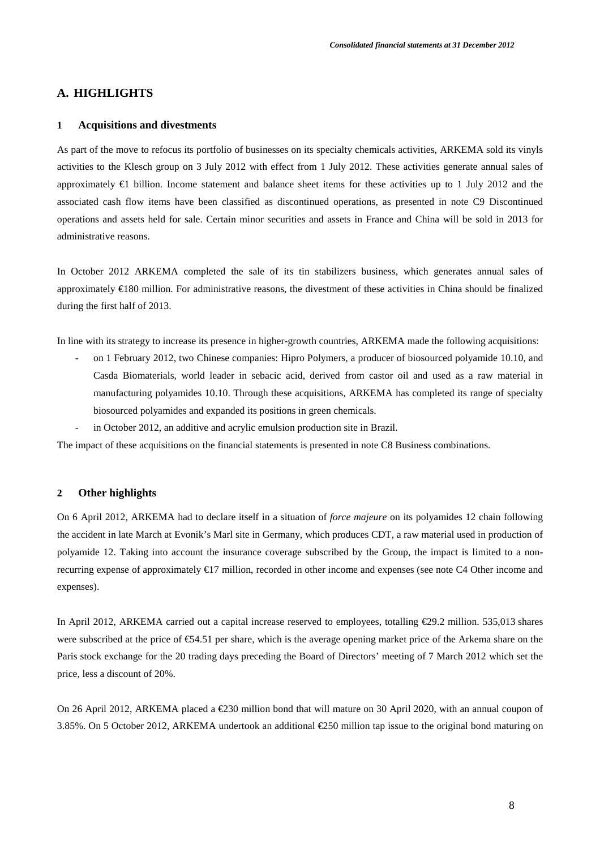# **A. HIGHLIGHTS**

#### **1 Acquisitions and divestments**

As part of the move to refocus its portfolio of businesses on its specialty chemicals activities, ARKEMA sold its vinyls activities to the Klesch group on 3 July 2012 with effect from 1 July 2012. These activities generate annual sales of approximately  $\epsilon$ 1 billion. Income statement and balance sheet items for these activities up to 1 July 2012 and the associated cash flow items have been classified as discontinued operations, as presented in note C9 Discontinued operations and assets held for sale. Certain minor securities and assets in France and China will be sold in 2013 for administrative reasons.

In October 2012 ARKEMA completed the sale of its tin stabilizers business, which generates annual sales of approximately €180 million. For administrative reasons, the divestment of these activities in China should be finalized during the first half of 2013.

In line with its strategy to increase its presence in higher-growth countries, ARKEMA made the following acquisitions:

- on 1 February 2012, two Chinese companies: Hipro Polymers, a producer of biosourced polyamide 10.10, and Casda Biomaterials, world leader in sebacic acid, derived from castor oil and used as a raw material in manufacturing polyamides 10.10. Through these acquisitions, ARKEMA has completed its range of specialty biosourced polyamides and expanded its positions in green chemicals.
- in October 2012, an additive and acrylic emulsion production site in Brazil.

The impact of these acquisitions on the financial statements is presented in note C8 Business combinations.

#### **2 Other highlights**

On 6 April 2012, ARKEMA had to declare itself in a situation of *force majeure* on its polyamides 12 chain following the accident in late March at Evonik's Marl site in Germany, which produces CDT, a raw material used in production of polyamide 12. Taking into account the insurance coverage subscribed by the Group, the impact is limited to a nonrecurring expense of approximately €17 million, recorded in other income and expenses (see note C4 Other income and expenses).

In April 2012, ARKEMA carried out a capital increase reserved to employees, totalling €29.2 million. 535,013 shares were subscribed at the price of  $\epsilon$ 54.51 per share, which is the average opening market price of the Arkema share on the Paris stock exchange for the 20 trading days preceding the Board of Directors' meeting of 7 March 2012 which set the price, less a discount of 20%.

On 26 April 2012, ARKEMA placed a  $\epsilon$ 230 million bond that will mature on 30 April 2020, with an annual coupon of 3.85%. On 5 October 2012, ARKEMA undertook an additional €250 million tap issue to the original bond maturing on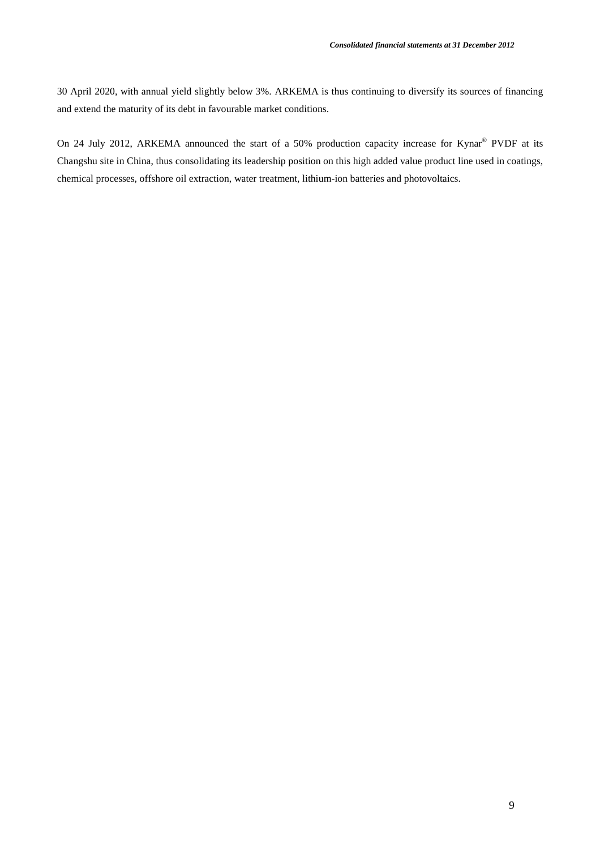30 April 2020, with annual yield slightly below 3%. ARKEMA is thus continuing to diversify its sources of financing and extend the maturity of its debt in favourable market conditions.

On 24 July 2012, ARKEMA announced the start of a 50% production capacity increase for Kynar® PVDF at its Changshu site in China, thus consolidating its leadership position on this high added value product line used in coatings, chemical processes, offshore oil extraction, water treatment, lithium-ion batteries and photovoltaics.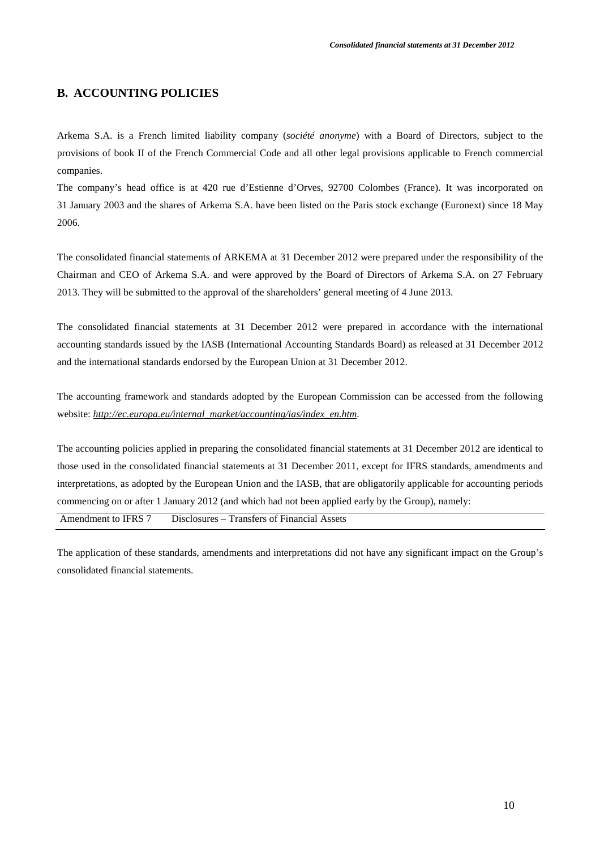# **B. ACCOUNTING POLICIES**

Arkema S.A. is a French limited liability company (*société anonyme*) with a Board of Directors, subject to the provisions of book II of the French Commercial Code and all other legal provisions applicable to French commercial companies.

The company's head office is at 420 rue d'Estienne d'Orves, 92700 Colombes (France). It was incorporated on 31 January 2003 and the shares of Arkema S.A. have been listed on the Paris stock exchange (Euronext) since 18 May 2006.

The consolidated financial statements of ARKEMA at 31 December 2012 were prepared under the responsibility of the Chairman and CEO of Arkema S.A. and were approved by the Board of Directors of Arkema S.A. on 27 February 2013. They will be submitted to the approval of the shareholders' general meeting of 4 June 2013.

The consolidated financial statements at 31 December 2012 were prepared in accordance with the international accounting standards issued by the IASB (International Accounting Standards Board) as released at 31 December 2012 and the international standards endorsed by the European Union at 31 December 2012.

The accounting framework and standards adopted by the European Commission can be accessed from the following website: *http://ec.europa.eu/internal\_market/accounting/ias/index\_en.htm*.

The accounting policies applied in preparing the consolidated financial statements at 31 December 2012 are identical to those used in the consolidated financial statements at 31 December 2011, except for IFRS standards, amendments and interpretations, as adopted by the European Union and the IASB, that are obligatorily applicable for accounting periods commencing on or after 1 January 2012 (and which had not been applied early by the Group), namely:

Amendment to IFRS 7 Disclosures – Transfers of Financial Assets

The application of these standards, amendments and interpretations did not have any significant impact on the Group's consolidated financial statements.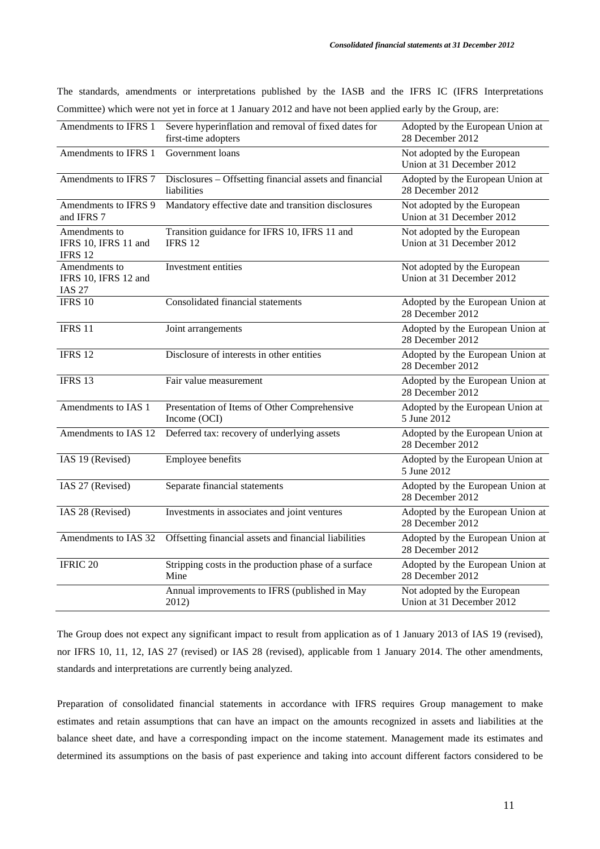The standards, amendments or interpretations published by the IASB and the IFRS IC (IFRS Interpretations Committee) which were not yet in force at 1 January 2012 and have not been applied early by the Group, are:

| Amendments to IFRS 1                                   | Severe hyperinflation and removal of fixed dates for<br>first-time adopters | Adopted by the European Union at<br>28 December 2012     |
|--------------------------------------------------------|-----------------------------------------------------------------------------|----------------------------------------------------------|
| Amendments to IFRS 1                                   | Government loans                                                            | Not adopted by the European<br>Union at 31 December 2012 |
| Amendments to IFRS 7                                   | Disclosures – Offsetting financial assets and financial<br>liabilities      | Adopted by the European Union at<br>28 December 2012     |
| Amendments to IFRS 9<br>and IFRS 7                     | Mandatory effective date and transition disclosures                         | Not adopted by the European<br>Union at 31 December 2012 |
| Amendments to<br>IFRS 10, IFRS 11 and<br>IFRS 12       | Transition guidance for IFRS 10, IFRS 11 and<br><b>IFRS 12</b>              | Not adopted by the European<br>Union at 31 December 2012 |
| Amendments to<br>IFRS 10, IFRS 12 and<br><b>IAS 27</b> | Investment entities                                                         | Not adopted by the European<br>Union at 31 December 2012 |
| IFRS 10                                                | Consolidated financial statements                                           | Adopted by the European Union at<br>28 December 2012     |
| IFRS 11                                                | Joint arrangements                                                          | Adopted by the European Union at<br>28 December 2012     |
| IFRS <sub>12</sub>                                     | Disclosure of interests in other entities                                   | Adopted by the European Union at<br>28 December 2012     |
| IFRS 13                                                | Fair value measurement                                                      | Adopted by the European Union at<br>28 December 2012     |
| Amendments to IAS 1                                    | Presentation of Items of Other Comprehensive<br>Income (OCI)                | Adopted by the European Union at<br>5 June 2012          |
| Amendments to IAS 12                                   | Deferred tax: recovery of underlying assets                                 | Adopted by the European Union at<br>28 December 2012     |
| IAS 19 (Revised)                                       | <b>Employee benefits</b>                                                    | Adopted by the European Union at<br>5 June 2012          |
| IAS 27 (Revised)                                       | Separate financial statements                                               | Adopted by the European Union at<br>28 December 2012     |
| IAS 28 (Revised)                                       | Investments in associates and joint ventures                                | Adopted by the European Union at<br>28 December 2012     |
| Amendments to IAS 32                                   | Offsetting financial assets and financial liabilities                       | Adopted by the European Union at<br>28 December 2012     |
| IFRIC 20                                               | Stripping costs in the production phase of a surface<br>Mine                | Adopted by the European Union at<br>28 December 2012     |
|                                                        | Annual improvements to IFRS (published in May<br>2012)                      | Not adopted by the European<br>Union at 31 December 2012 |
|                                                        |                                                                             |                                                          |

The Group does not expect any significant impact to result from application as of 1 January 2013 of IAS 19 (revised), nor IFRS 10, 11, 12, IAS 27 (revised) or IAS 28 (revised), applicable from 1 January 2014. The other amendments, standards and interpretations are currently being analyzed.

Preparation of consolidated financial statements in accordance with IFRS requires Group management to make estimates and retain assumptions that can have an impact on the amounts recognized in assets and liabilities at the balance sheet date, and have a corresponding impact on the income statement. Management made its estimates and determined its assumptions on the basis of past experience and taking into account different factors considered to be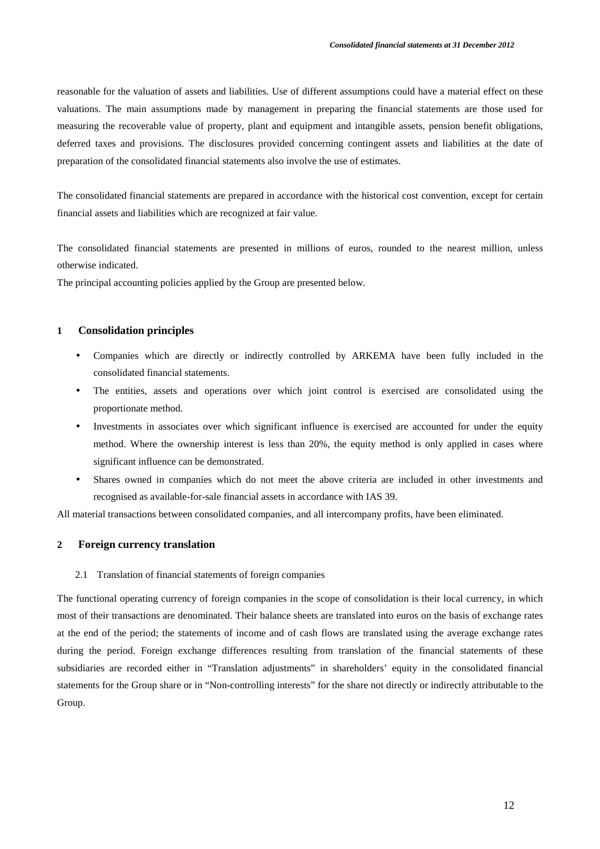reasonable for the valuation of assets and liabilities. Use of different assumptions could have a material effect on these valuations. The main assumptions made by management in preparing the financial statements are those used for measuring the recoverable value of property, plant and equipment and intangible assets, pension benefit obligations, deferred taxes and provisions. The disclosures provided concerning contingent assets and liabilities at the date of preparation of the consolidated financial statements also involve the use of estimates.

The consolidated financial statements are prepared in accordance with the historical cost convention, except for certain financial assets and liabilities which are recognized at fair value.

The consolidated financial statements are presented in millions of euros, rounded to the nearest million, unless otherwise indicated.

The principal accounting policies applied by the Group are presented below.

#### **1 Consolidation principles**

- Companies which are directly or indirectly controlled by ARKEMA have been fully included in the consolidated financial statements.
- The entities, assets and operations over which joint control is exercised are consolidated using the proportionate method.
- Investments in associates over which significant influence is exercised are accounted for under the equity method. Where the ownership interest is less than 20%, the equity method is only applied in cases where significant influence can be demonstrated.
- Shares owned in companies which do not meet the above criteria are included in other investments and recognised as available-for-sale financial assets in accordance with IAS 39.

All material transactions between consolidated companies, and all intercompany profits, have been eliminated.

#### **2 Foreign currency translation**

#### 2.1 Translation of financial statements of foreign companies

The functional operating currency of foreign companies in the scope of consolidation is their local currency, in which most of their transactions are denominated. Their balance sheets are translated into euros on the basis of exchange rates at the end of the period; the statements of income and of cash flows are translated using the average exchange rates during the period. Foreign exchange differences resulting from translation of the financial statements of these subsidiaries are recorded either in "Translation adjustments" in shareholders' equity in the consolidated financial statements for the Group share or in "Non-controlling interests" for the share not directly or indirectly attributable to the Group.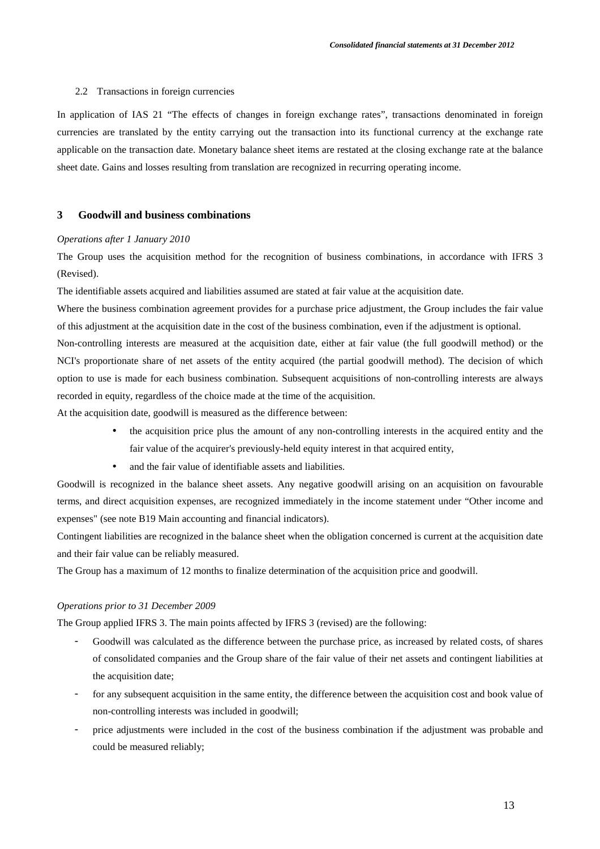#### 2.2 Transactions in foreign currencies

In application of IAS 21 "The effects of changes in foreign exchange rates", transactions denominated in foreign currencies are translated by the entity carrying out the transaction into its functional currency at the exchange rate applicable on the transaction date. Monetary balance sheet items are restated at the closing exchange rate at the balance sheet date. Gains and losses resulting from translation are recognized in recurring operating income.

#### **3 Goodwill and business combinations**

#### *Operations after 1 January 2010*

The Group uses the acquisition method for the recognition of business combinations, in accordance with IFRS 3 (Revised).

The identifiable assets acquired and liabilities assumed are stated at fair value at the acquisition date.

Where the business combination agreement provides for a purchase price adjustment, the Group includes the fair value of this adjustment at the acquisition date in the cost of the business combination, even if the adjustment is optional.

Non-controlling interests are measured at the acquisition date, either at fair value (the full goodwill method) or the NCI's proportionate share of net assets of the entity acquired (the partial goodwill method). The decision of which option to use is made for each business combination. Subsequent acquisitions of non-controlling interests are always recorded in equity, regardless of the choice made at the time of the acquisition.

At the acquisition date, goodwill is measured as the difference between:

- the acquisition price plus the amount of any non-controlling interests in the acquired entity and the fair value of the acquirer's previously-held equity interest in that acquired entity,
- and the fair value of identifiable assets and liabilities.

Goodwill is recognized in the balance sheet assets. Any negative goodwill arising on an acquisition on favourable terms, and direct acquisition expenses, are recognized immediately in the income statement under "Other income and expenses" (see note B19 Main accounting and financial indicators).

Contingent liabilities are recognized in the balance sheet when the obligation concerned is current at the acquisition date and their fair value can be reliably measured.

The Group has a maximum of 12 months to finalize determination of the acquisition price and goodwill.

# *Operations prior to 31 December 2009*

The Group applied IFRS 3. The main points affected by IFRS 3 (revised) are the following:

- Goodwill was calculated as the difference between the purchase price, as increased by related costs, of shares of consolidated companies and the Group share of the fair value of their net assets and contingent liabilities at the acquisition date;
- for any subsequent acquisition in the same entity, the difference between the acquisition cost and book value of non-controlling interests was included in goodwill;
- price adjustments were included in the cost of the business combination if the adjustment was probable and could be measured reliably;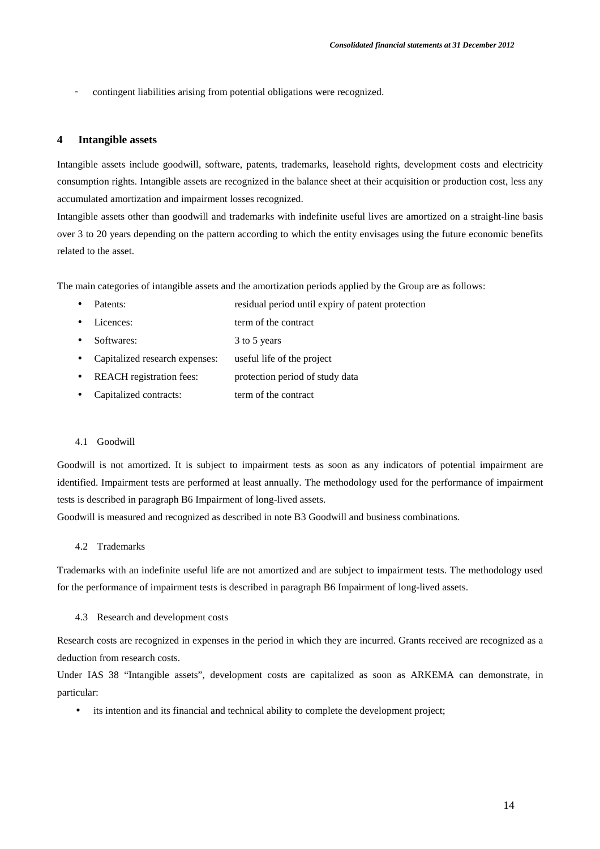- contingent liabilities arising from potential obligations were recognized.

#### **4 Intangible assets**

Intangible assets include goodwill, software, patents, trademarks, leasehold rights, development costs and electricity consumption rights. Intangible assets are recognized in the balance sheet at their acquisition or production cost, less any accumulated amortization and impairment losses recognized.

Intangible assets other than goodwill and trademarks with indefinite useful lives are amortized on a straight-line basis over 3 to 20 years depending on the pattern according to which the entity envisages using the future economic benefits related to the asset.

The main categories of intangible assets and the amortization periods applied by the Group are as follows:

- Patents: residual period until expiry of patent protection
- Licences: term of the contract
	- Softwares: 3 to 5 years
- Capitalized research expenses: useful life of the project
- REACH registration fees: protection period of study data
- Capitalized contracts: term of the contract

#### 4.1 Goodwill

Goodwill is not amortized. It is subject to impairment tests as soon as any indicators of potential impairment are identified. Impairment tests are performed at least annually. The methodology used for the performance of impairment tests is described in paragraph B6 Impairment of long-lived assets.

Goodwill is measured and recognized as described in note B3 Goodwill and business combinations.

#### 4.2 Trademarks

Trademarks with an indefinite useful life are not amortized and are subject to impairment tests. The methodology used for the performance of impairment tests is described in paragraph B6 Impairment of long-lived assets.

#### 4.3 Research and development costs

Research costs are recognized in expenses in the period in which they are incurred. Grants received are recognized as a deduction from research costs.

Under IAS 38 "Intangible assets", development costs are capitalized as soon as ARKEMA can demonstrate, in particular:

• its intention and its financial and technical ability to complete the development project;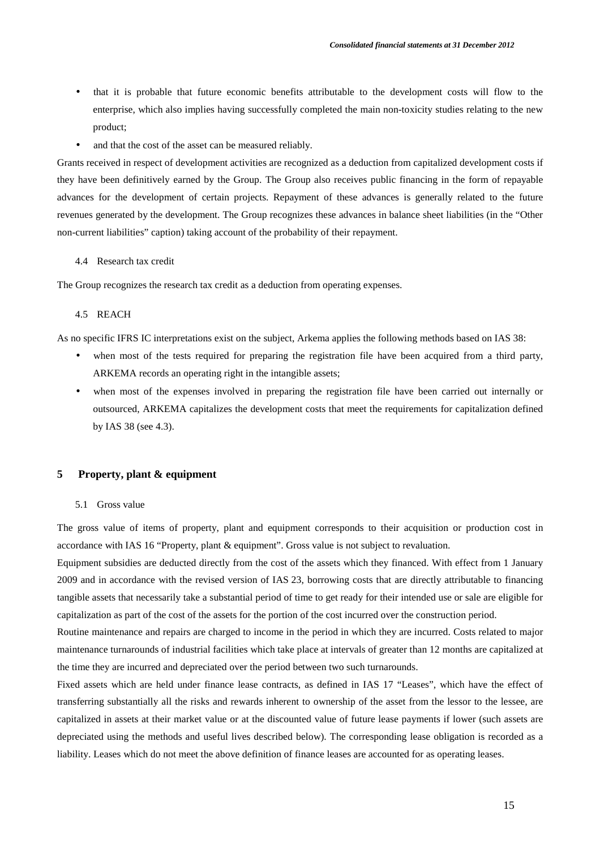- that it is probable that future economic benefits attributable to the development costs will flow to the enterprise, which also implies having successfully completed the main non-toxicity studies relating to the new product;
- and that the cost of the asset can be measured reliably.

Grants received in respect of development activities are recognized as a deduction from capitalized development costs if they have been definitively earned by the Group. The Group also receives public financing in the form of repayable advances for the development of certain projects. Repayment of these advances is generally related to the future revenues generated by the development. The Group recognizes these advances in balance sheet liabilities (in the "Other non-current liabilities" caption) taking account of the probability of their repayment.

#### 4.4 Research tax credit

The Group recognizes the research tax credit as a deduction from operating expenses.

#### 4.5 REACH

As no specific IFRS IC interpretations exist on the subject, Arkema applies the following methods based on IAS 38:

- when most of the tests required for preparing the registration file have been acquired from a third party, ARKEMA records an operating right in the intangible assets;
- when most of the expenses involved in preparing the registration file have been carried out internally or outsourced, ARKEMA capitalizes the development costs that meet the requirements for capitalization defined by IAS 38 (see 4.3).

#### **5 Property, plant & equipment**

#### 5.1 Gross value

The gross value of items of property, plant and equipment corresponds to their acquisition or production cost in accordance with IAS 16 "Property, plant & equipment". Gross value is not subject to revaluation.

Equipment subsidies are deducted directly from the cost of the assets which they financed. With effect from 1 January 2009 and in accordance with the revised version of IAS 23, borrowing costs that are directly attributable to financing tangible assets that necessarily take a substantial period of time to get ready for their intended use or sale are eligible for capitalization as part of the cost of the assets for the portion of the cost incurred over the construction period.

Routine maintenance and repairs are charged to income in the period in which they are incurred. Costs related to major maintenance turnarounds of industrial facilities which take place at intervals of greater than 12 months are capitalized at the time they are incurred and depreciated over the period between two such turnarounds.

Fixed assets which are held under finance lease contracts, as defined in IAS 17 "Leases", which have the effect of transferring substantially all the risks and rewards inherent to ownership of the asset from the lessor to the lessee, are capitalized in assets at their market value or at the discounted value of future lease payments if lower (such assets are depreciated using the methods and useful lives described below). The corresponding lease obligation is recorded as a liability. Leases which do not meet the above definition of finance leases are accounted for as operating leases.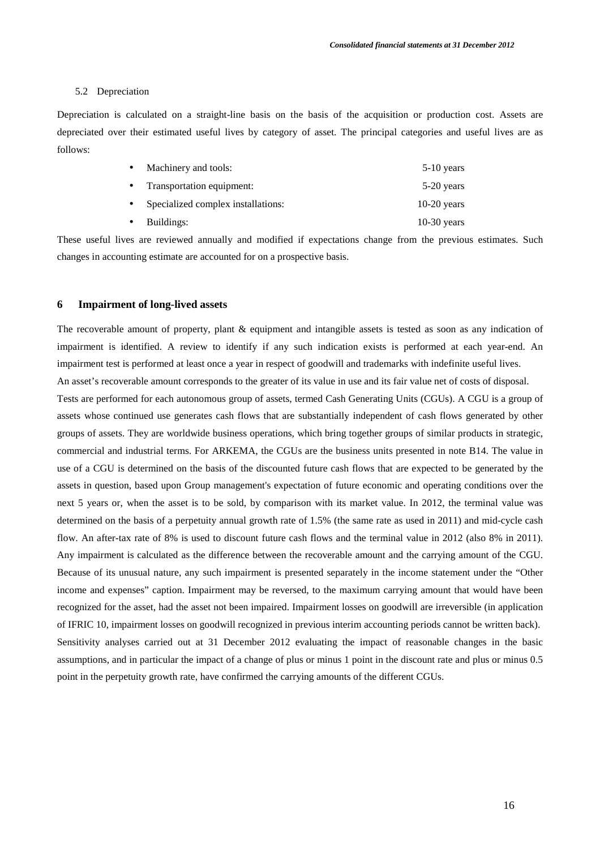#### 5.2 Depreciation

Depreciation is calculated on a straight-line basis on the basis of the acquisition or production cost. Assets are depreciated over their estimated useful lives by category of asset. The principal categories and useful lives are as follows:

| • Machinery and tools:               | $5-10$ years  |
|--------------------------------------|---------------|
| • Transportation equipment:          | $5-20$ years  |
| • Specialized complex installations: | $10-20$ years |
| $\bullet$ Buildings:                 | $10-30$ years |

These useful lives are reviewed annually and modified if expectations change from the previous estimates. Such changes in accounting estimate are accounted for on a prospective basis.

#### **6 Impairment of long-lived assets**

The recoverable amount of property, plant & equipment and intangible assets is tested as soon as any indication of impairment is identified. A review to identify if any such indication exists is performed at each year-end. An impairment test is performed at least once a year in respect of goodwill and trademarks with indefinite useful lives.

An asset's recoverable amount corresponds to the greater of its value in use and its fair value net of costs of disposal.

Tests are performed for each autonomous group of assets, termed Cash Generating Units (CGUs). A CGU is a group of assets whose continued use generates cash flows that are substantially independent of cash flows generated by other groups of assets. They are worldwide business operations, which bring together groups of similar products in strategic, commercial and industrial terms. For ARKEMA, the CGUs are the business units presented in note B14. The value in use of a CGU is determined on the basis of the discounted future cash flows that are expected to be generated by the assets in question, based upon Group management's expectation of future economic and operating conditions over the next 5 years or, when the asset is to be sold, by comparison with its market value. In 2012, the terminal value was determined on the basis of a perpetuity annual growth rate of 1.5% (the same rate as used in 2011) and mid-cycle cash flow. An after-tax rate of 8% is used to discount future cash flows and the terminal value in 2012 (also 8% in 2011). Any impairment is calculated as the difference between the recoverable amount and the carrying amount of the CGU. Because of its unusual nature, any such impairment is presented separately in the income statement under the "Other income and expenses" caption. Impairment may be reversed, to the maximum carrying amount that would have been recognized for the asset, had the asset not been impaired. Impairment losses on goodwill are irreversible (in application of IFRIC 10, impairment losses on goodwill recognized in previous interim accounting periods cannot be written back). Sensitivity analyses carried out at 31 December 2012 evaluating the impact of reasonable changes in the basic assumptions, and in particular the impact of a change of plus or minus 1 point in the discount rate and plus or minus 0.5 point in the perpetuity growth rate, have confirmed the carrying amounts of the different CGUs.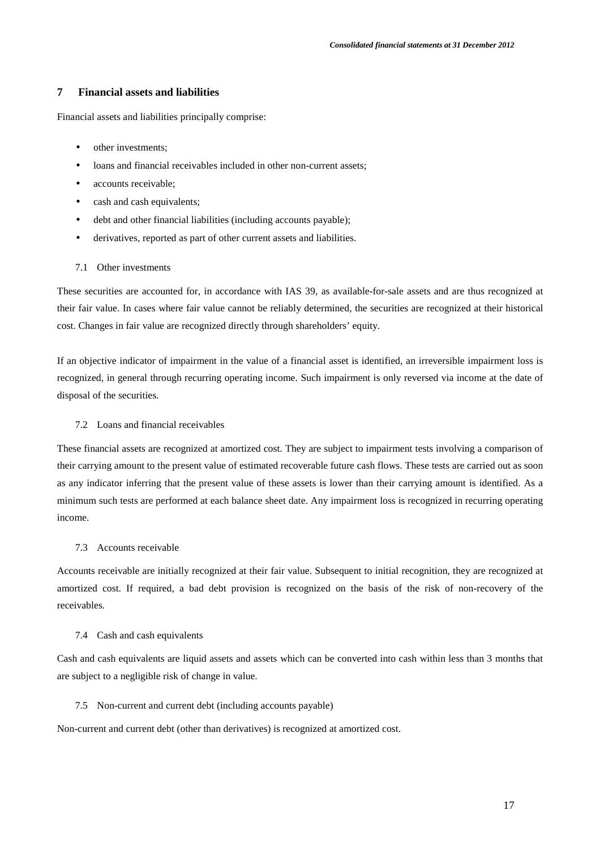### **7 Financial assets and liabilities**

Financial assets and liabilities principally comprise:

- other investments:
- loans and financial receivables included in other non-current assets;
- accounts receivable:
- cash and cash equivalents:
- debt and other financial liabilities (including accounts payable);
- derivatives, reported as part of other current assets and liabilities.

#### 7.1 Other investments

These securities are accounted for, in accordance with IAS 39, as available-for-sale assets and are thus recognized at their fair value. In cases where fair value cannot be reliably determined, the securities are recognized at their historical cost. Changes in fair value are recognized directly through shareholders' equity.

If an objective indicator of impairment in the value of a financial asset is identified, an irreversible impairment loss is recognized, in general through recurring operating income. Such impairment is only reversed via income at the date of disposal of the securities.

#### 7.2 Loans and financial receivables

These financial assets are recognized at amortized cost. They are subject to impairment tests involving a comparison of their carrying amount to the present value of estimated recoverable future cash flows. These tests are carried out as soon as any indicator inferring that the present value of these assets is lower than their carrying amount is identified. As a minimum such tests are performed at each balance sheet date. Any impairment loss is recognized in recurring operating income.

#### 7.3 Accounts receivable

Accounts receivable are initially recognized at their fair value. Subsequent to initial recognition, they are recognized at amortized cost. If required, a bad debt provision is recognized on the basis of the risk of non-recovery of the receivables.

#### 7.4 Cash and cash equivalents

Cash and cash equivalents are liquid assets and assets which can be converted into cash within less than 3 months that are subject to a negligible risk of change in value.

#### 7.5 Non-current and current debt (including accounts payable)

Non-current and current debt (other than derivatives) is recognized at amortized cost.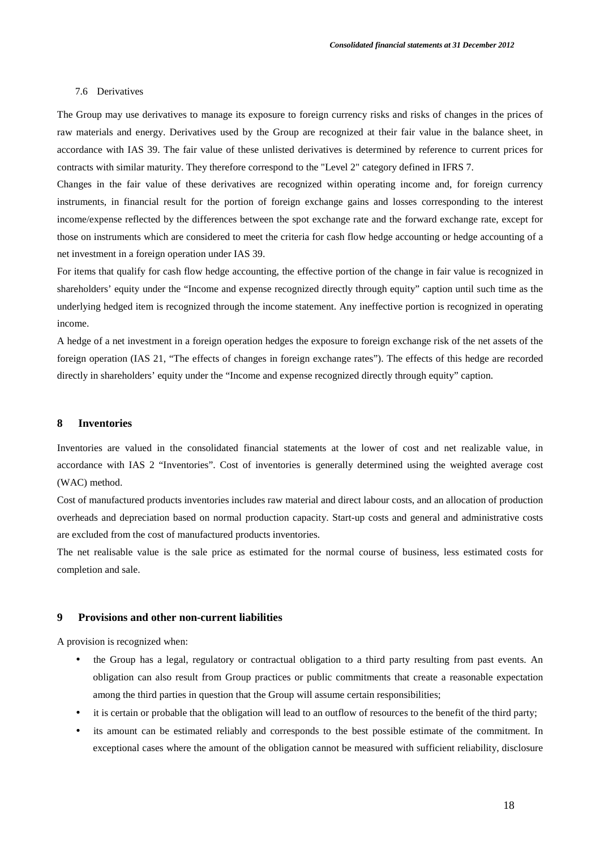#### 7.6 Derivatives

The Group may use derivatives to manage its exposure to foreign currency risks and risks of changes in the prices of raw materials and energy. Derivatives used by the Group are recognized at their fair value in the balance sheet, in accordance with IAS 39. The fair value of these unlisted derivatives is determined by reference to current prices for contracts with similar maturity. They therefore correspond to the "Level 2" category defined in IFRS 7.

Changes in the fair value of these derivatives are recognized within operating income and, for foreign currency instruments, in financial result for the portion of foreign exchange gains and losses corresponding to the interest income/expense reflected by the differences between the spot exchange rate and the forward exchange rate, except for those on instruments which are considered to meet the criteria for cash flow hedge accounting or hedge accounting of a net investment in a foreign operation under IAS 39.

For items that qualify for cash flow hedge accounting, the effective portion of the change in fair value is recognized in shareholders' equity under the "Income and expense recognized directly through equity" caption until such time as the underlying hedged item is recognized through the income statement. Any ineffective portion is recognized in operating income.

A hedge of a net investment in a foreign operation hedges the exposure to foreign exchange risk of the net assets of the foreign operation (IAS 21, "The effects of changes in foreign exchange rates"). The effects of this hedge are recorded directly in shareholders' equity under the "Income and expense recognized directly through equity" caption.

#### **8 Inventories**

Inventories are valued in the consolidated financial statements at the lower of cost and net realizable value, in accordance with IAS 2 "Inventories". Cost of inventories is generally determined using the weighted average cost (WAC) method.

Cost of manufactured products inventories includes raw material and direct labour costs, and an allocation of production overheads and depreciation based on normal production capacity. Start-up costs and general and administrative costs are excluded from the cost of manufactured products inventories.

The net realisable value is the sale price as estimated for the normal course of business, less estimated costs for completion and sale.

#### **9 Provisions and other non-current liabilities**

A provision is recognized when:

- the Group has a legal, regulatory or contractual obligation to a third party resulting from past events. An obligation can also result from Group practices or public commitments that create a reasonable expectation among the third parties in question that the Group will assume certain responsibilities;
- it is certain or probable that the obligation will lead to an outflow of resources to the benefit of the third party;
- its amount can be estimated reliably and corresponds to the best possible estimate of the commitment. In exceptional cases where the amount of the obligation cannot be measured with sufficient reliability, disclosure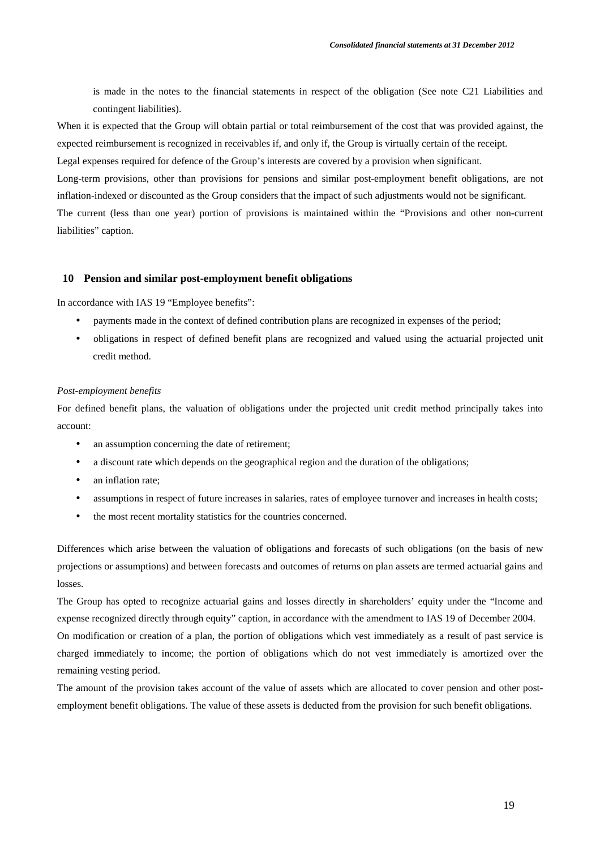is made in the notes to the financial statements in respect of the obligation (See note C21 Liabilities and contingent liabilities).

When it is expected that the Group will obtain partial or total reimbursement of the cost that was provided against, the expected reimbursement is recognized in receivables if, and only if, the Group is virtually certain of the receipt.

Legal expenses required for defence of the Group's interests are covered by a provision when significant.

Long-term provisions, other than provisions for pensions and similar post-employment benefit obligations, are not inflation-indexed or discounted as the Group considers that the impact of such adjustments would not be significant.

The current (less than one year) portion of provisions is maintained within the "Provisions and other non-current liabilities" caption.

#### **10 Pension and similar post-employment benefit obligations**

In accordance with IAS 19 "Employee benefits":

- payments made in the context of defined contribution plans are recognized in expenses of the period;
- obligations in respect of defined benefit plans are recognized and valued using the actuarial projected unit credit method.

#### *Post-employment benefits*

For defined benefit plans, the valuation of obligations under the projected unit credit method principally takes into account:

- an assumption concerning the date of retirement;
- a discount rate which depends on the geographical region and the duration of the obligations;
- an inflation rate;
- assumptions in respect of future increases in salaries, rates of employee turnover and increases in health costs;
- the most recent mortality statistics for the countries concerned.

Differences which arise between the valuation of obligations and forecasts of such obligations (on the basis of new projections or assumptions) and between forecasts and outcomes of returns on plan assets are termed actuarial gains and losses.

The Group has opted to recognize actuarial gains and losses directly in shareholders' equity under the "Income and expense recognized directly through equity" caption, in accordance with the amendment to IAS 19 of December 2004. On modification or creation of a plan, the portion of obligations which vest immediately as a result of past service is charged immediately to income; the portion of obligations which do not vest immediately is amortized over the

remaining vesting period.

The amount of the provision takes account of the value of assets which are allocated to cover pension and other postemployment benefit obligations. The value of these assets is deducted from the provision for such benefit obligations.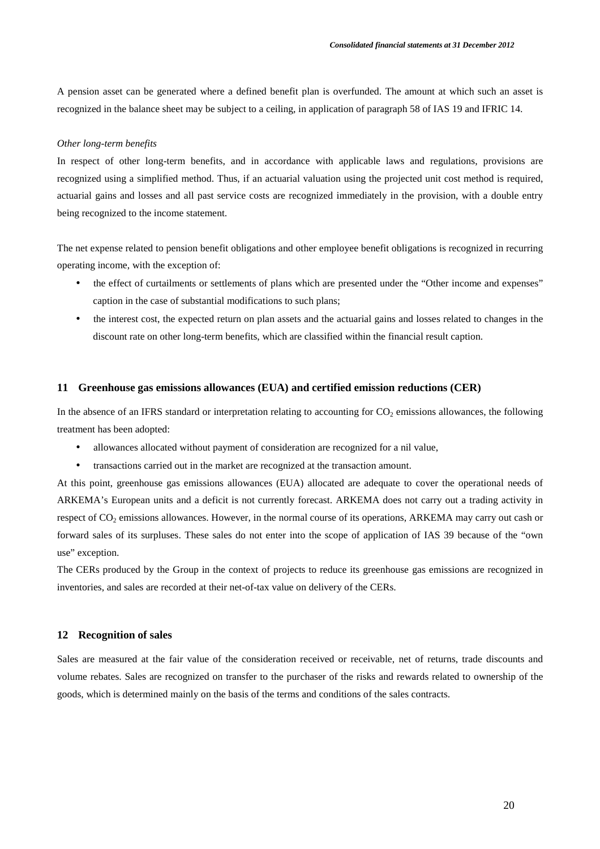A pension asset can be generated where a defined benefit plan is overfunded. The amount at which such an asset is recognized in the balance sheet may be subject to a ceiling, in application of paragraph 58 of IAS 19 and IFRIC 14.

#### *Other long-term benefits*

In respect of other long-term benefits, and in accordance with applicable laws and regulations, provisions are recognized using a simplified method. Thus, if an actuarial valuation using the projected unit cost method is required, actuarial gains and losses and all past service costs are recognized immediately in the provision, with a double entry being recognized to the income statement.

The net expense related to pension benefit obligations and other employee benefit obligations is recognized in recurring operating income, with the exception of:

- the effect of curtailments or settlements of plans which are presented under the "Other income and expenses" caption in the case of substantial modifications to such plans;
- the interest cost, the expected return on plan assets and the actuarial gains and losses related to changes in the discount rate on other long-term benefits, which are classified within the financial result caption.

#### **11 Greenhouse gas emissions allowances (EUA) and certified emission reductions (CER)**

In the absence of an IFRS standard or interpretation relating to accounting for  $CO<sub>2</sub>$  emissions allowances, the following treatment has been adopted:

- allowances allocated without payment of consideration are recognized for a nil value,
- transactions carried out in the market are recognized at the transaction amount.

At this point, greenhouse gas emissions allowances (EUA) allocated are adequate to cover the operational needs of ARKEMA's European units and a deficit is not currently forecast. ARKEMA does not carry out a trading activity in respect of CO<sub>2</sub> emissions allowances. However, in the normal course of its operations, ARKEMA may carry out cash or forward sales of its surpluses. These sales do not enter into the scope of application of IAS 39 because of the "own use" exception.

The CERs produced by the Group in the context of projects to reduce its greenhouse gas emissions are recognized in inventories, and sales are recorded at their net-of-tax value on delivery of the CERs.

#### **12 Recognition of sales**

Sales are measured at the fair value of the consideration received or receivable, net of returns, trade discounts and volume rebates. Sales are recognized on transfer to the purchaser of the risks and rewards related to ownership of the goods, which is determined mainly on the basis of the terms and conditions of the sales contracts.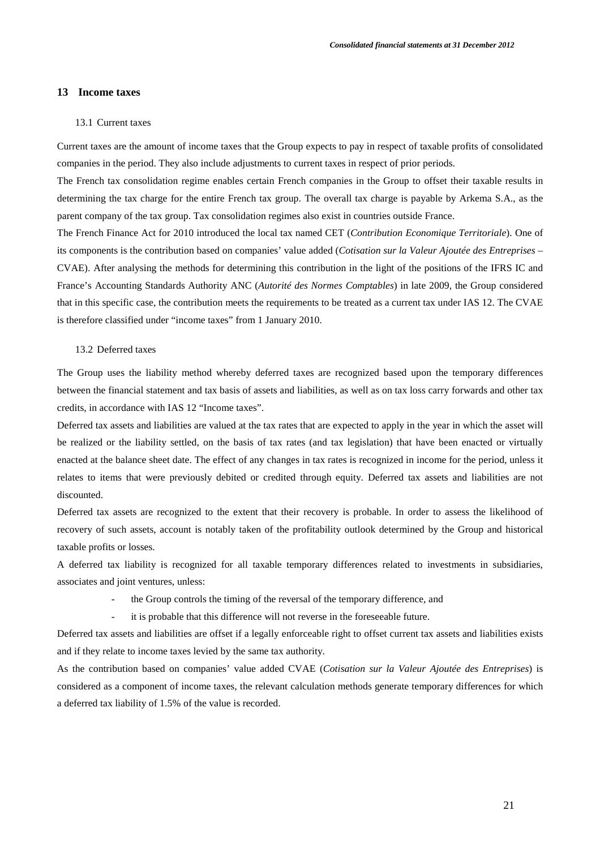#### **13 Income taxes**

#### 13.1 Current taxes

Current taxes are the amount of income taxes that the Group expects to pay in respect of taxable profits of consolidated companies in the period. They also include adjustments to current taxes in respect of prior periods.

The French tax consolidation regime enables certain French companies in the Group to offset their taxable results in determining the tax charge for the entire French tax group. The overall tax charge is payable by Arkema S.A., as the parent company of the tax group. Tax consolidation regimes also exist in countries outside France.

The French Finance Act for 2010 introduced the local tax named CET (*Contribution Economique Territoriale*). One of its components is the contribution based on companies' value added (*Cotisation sur la Valeur Ajoutée des Entreprises* – CVAE). After analysing the methods for determining this contribution in the light of the positions of the IFRS IC and France's Accounting Standards Authority ANC (*Autorité des Normes Comptables*) in late 2009, the Group considered that in this specific case, the contribution meets the requirements to be treated as a current tax under IAS 12. The CVAE is therefore classified under "income taxes" from 1 January 2010.

#### 13.2 Deferred taxes

The Group uses the liability method whereby deferred taxes are recognized based upon the temporary differences between the financial statement and tax basis of assets and liabilities, as well as on tax loss carry forwards and other tax credits, in accordance with IAS 12 "Income taxes".

Deferred tax assets and liabilities are valued at the tax rates that are expected to apply in the year in which the asset will be realized or the liability settled, on the basis of tax rates (and tax legislation) that have been enacted or virtually enacted at the balance sheet date. The effect of any changes in tax rates is recognized in income for the period, unless it relates to items that were previously debited or credited through equity. Deferred tax assets and liabilities are not discounted.

Deferred tax assets are recognized to the extent that their recovery is probable. In order to assess the likelihood of recovery of such assets, account is notably taken of the profitability outlook determined by the Group and historical taxable profits or losses.

A deferred tax liability is recognized for all taxable temporary differences related to investments in subsidiaries, associates and joint ventures, unless:

- the Group controls the timing of the reversal of the temporary difference, and
- it is probable that this difference will not reverse in the foreseeable future.

Deferred tax assets and liabilities are offset if a legally enforceable right to offset current tax assets and liabilities exists and if they relate to income taxes levied by the same tax authority.

As the contribution based on companies' value added CVAE (*Cotisation sur la Valeur Ajoutée des Entreprises*) is considered as a component of income taxes, the relevant calculation methods generate temporary differences for which a deferred tax liability of 1.5% of the value is recorded.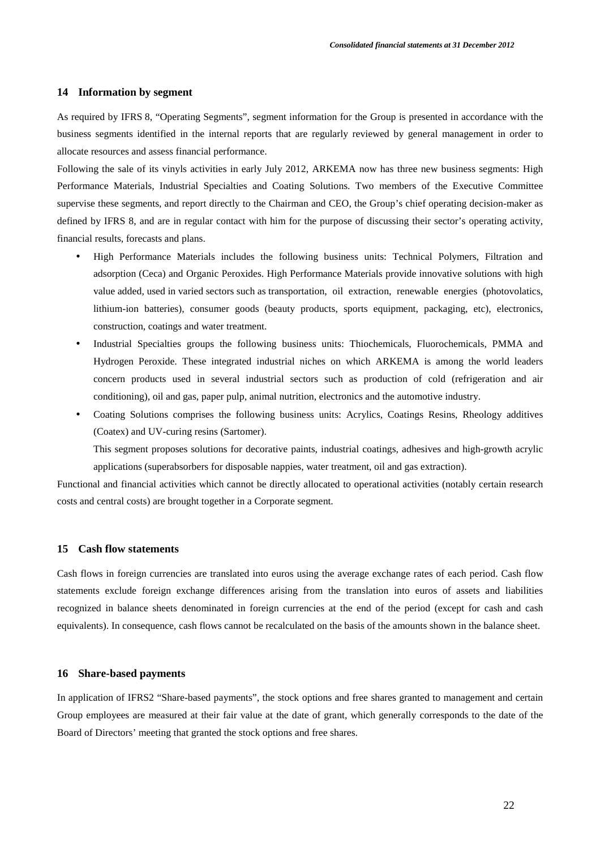#### **14 Information by segment**

As required by IFRS 8, "Operating Segments", segment information for the Group is presented in accordance with the business segments identified in the internal reports that are regularly reviewed by general management in order to allocate resources and assess financial performance.

Following the sale of its vinyls activities in early July 2012, ARKEMA now has three new business segments: High Performance Materials, Industrial Specialties and Coating Solutions. Two members of the Executive Committee supervise these segments, and report directly to the Chairman and CEO, the Group's chief operating decision-maker as defined by IFRS 8, and are in regular contact with him for the purpose of discussing their sector's operating activity, financial results, forecasts and plans.

- High Performance Materials includes the following business units: Technical Polymers, Filtration and adsorption (Ceca) and Organic Peroxides. High Performance Materials provide innovative solutions with high value added, used in varied sectors such as transportation, oil extraction, renewable energies (photovolatics, lithium-ion batteries), consumer goods (beauty products, sports equipment, packaging, etc), electronics, construction, coatings and water treatment.
- Industrial Specialties groups the following business units: Thiochemicals, Fluorochemicals, PMMA and Hydrogen Peroxide. These integrated industrial niches on which ARKEMA is among the world leaders concern products used in several industrial sectors such as production of cold (refrigeration and air conditioning), oil and gas, paper pulp, animal nutrition, electronics and the automotive industry.
- Coating Solutions comprises the following business units: Acrylics, Coatings Resins, Rheology additives (Coatex) and UV-curing resins (Sartomer).

This segment proposes solutions for decorative paints, industrial coatings, adhesives and high-growth acrylic applications (superabsorbers for disposable nappies, water treatment, oil and gas extraction).

Functional and financial activities which cannot be directly allocated to operational activities (notably certain research costs and central costs) are brought together in a Corporate segment.

#### **15 Cash flow statements**

Cash flows in foreign currencies are translated into euros using the average exchange rates of each period. Cash flow statements exclude foreign exchange differences arising from the translation into euros of assets and liabilities recognized in balance sheets denominated in foreign currencies at the end of the period (except for cash and cash equivalents). In consequence, cash flows cannot be recalculated on the basis of the amounts shown in the balance sheet.

#### **16 Share-based payments**

In application of IFRS2 "Share-based payments", the stock options and free shares granted to management and certain Group employees are measured at their fair value at the date of grant, which generally corresponds to the date of the Board of Directors' meeting that granted the stock options and free shares.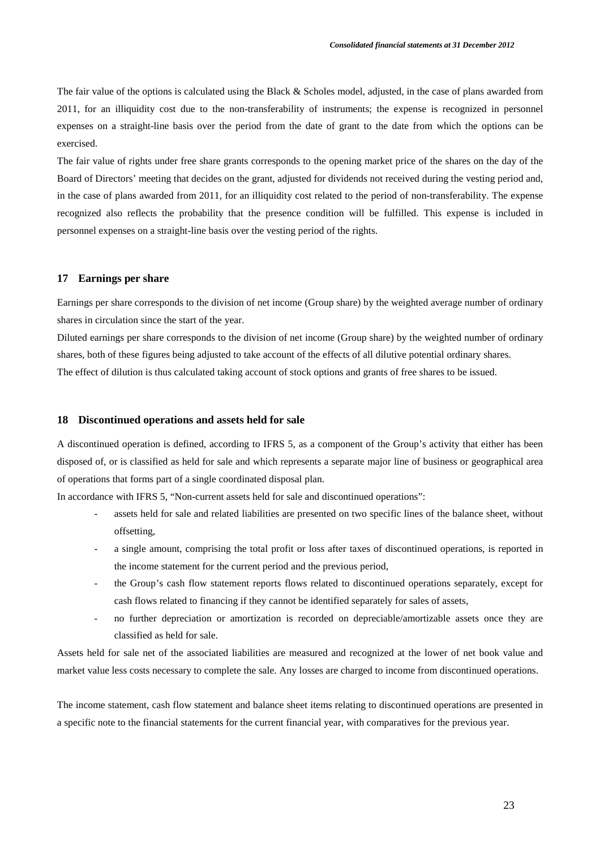The fair value of the options is calculated using the Black & Scholes model, adjusted, in the case of plans awarded from 2011, for an illiquidity cost due to the non-transferability of instruments; the expense is recognized in personnel expenses on a straight-line basis over the period from the date of grant to the date from which the options can be exercised.

The fair value of rights under free share grants corresponds to the opening market price of the shares on the day of the Board of Directors' meeting that decides on the grant, adjusted for dividends not received during the vesting period and, in the case of plans awarded from 2011, for an illiquidity cost related to the period of non-transferability. The expense recognized also reflects the probability that the presence condition will be fulfilled. This expense is included in personnel expenses on a straight-line basis over the vesting period of the rights.

#### **17 Earnings per share**

Earnings per share corresponds to the division of net income (Group share) by the weighted average number of ordinary shares in circulation since the start of the year.

Diluted earnings per share corresponds to the division of net income (Group share) by the weighted number of ordinary shares, both of these figures being adjusted to take account of the effects of all dilutive potential ordinary shares. The effect of dilution is thus calculated taking account of stock options and grants of free shares to be issued.

#### **18 Discontinued operations and assets held for sale**

A discontinued operation is defined, according to IFRS 5, as a component of the Group's activity that either has been disposed of, or is classified as held for sale and which represents a separate major line of business or geographical area of operations that forms part of a single coordinated disposal plan.

In accordance with IFRS 5, "Non-current assets held for sale and discontinued operations":

- assets held for sale and related liabilities are presented on two specific lines of the balance sheet, without offsetting,
- a single amount, comprising the total profit or loss after taxes of discontinued operations, is reported in the income statement for the current period and the previous period,
- the Group's cash flow statement reports flows related to discontinued operations separately, except for cash flows related to financing if they cannot be identified separately for sales of assets,
- no further depreciation or amortization is recorded on depreciable/amortizable assets once they are classified as held for sale.

Assets held for sale net of the associated liabilities are measured and recognized at the lower of net book value and market value less costs necessary to complete the sale. Any losses are charged to income from discontinued operations.

The income statement, cash flow statement and balance sheet items relating to discontinued operations are presented in a specific note to the financial statements for the current financial year, with comparatives for the previous year.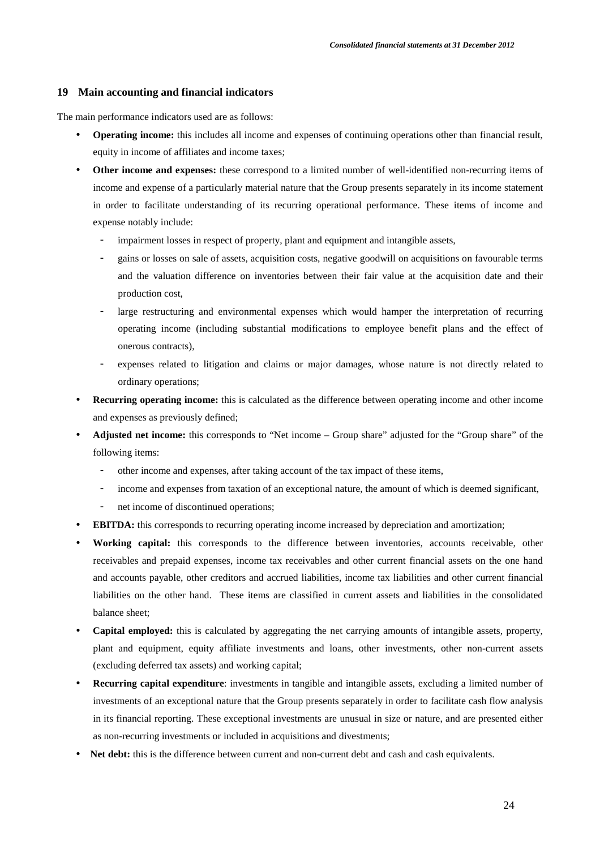#### **19 Main accounting and financial indicators**

The main performance indicators used are as follows:

- • **Operating income:** this includes all income and expenses of continuing operations other than financial result, equity in income of affiliates and income taxes;
- • **Other income and expenses:** these correspond to a limited number of well-identified non-recurring items of income and expense of a particularly material nature that the Group presents separately in its income statement in order to facilitate understanding of its recurring operational performance. These items of income and expense notably include:
	- impairment losses in respect of property, plant and equipment and intangible assets,
	- gains or losses on sale of assets, acquisition costs, negative goodwill on acquisitions on favourable terms and the valuation difference on inventories between their fair value at the acquisition date and their production cost,
	- large restructuring and environmental expenses which would hamper the interpretation of recurring operating income (including substantial modifications to employee benefit plans and the effect of onerous contracts),
	- expenses related to litigation and claims or major damages, whose nature is not directly related to ordinary operations;
- • **Recurring operating income:** this is calculated as the difference between operating income and other income and expenses as previously defined;
- • **Adjusted net income:** this corresponds to "Net income Group share" adjusted for the "Group share" of the following items:
	- other income and expenses, after taking account of the tax impact of these items,
	- income and expenses from taxation of an exceptional nature, the amount of which is deemed significant,
	- net income of discontinued operations;
- **EBITDA:** this corresponds to recurring operating income increased by depreciation and amortization;
- **Working capital:** this corresponds to the difference between inventories, accounts receivable, other receivables and prepaid expenses, income tax receivables and other current financial assets on the one hand and accounts payable, other creditors and accrued liabilities, income tax liabilities and other current financial liabilities on the other hand. These items are classified in current assets and liabilities in the consolidated balance sheet;
- • **Capital employed:** this is calculated by aggregating the net carrying amounts of intangible assets, property, plant and equipment, equity affiliate investments and loans, other investments, other non-current assets (excluding deferred tax assets) and working capital;
- • **Recurring capital expenditure**: investments in tangible and intangible assets, excluding a limited number of investments of an exceptional nature that the Group presents separately in order to facilitate cash flow analysis in its financial reporting. These exceptional investments are unusual in size or nature, and are presented either as non-recurring investments or included in acquisitions and divestments;
- Net debt: this is the difference between current and non-current debt and cash and cash equivalents.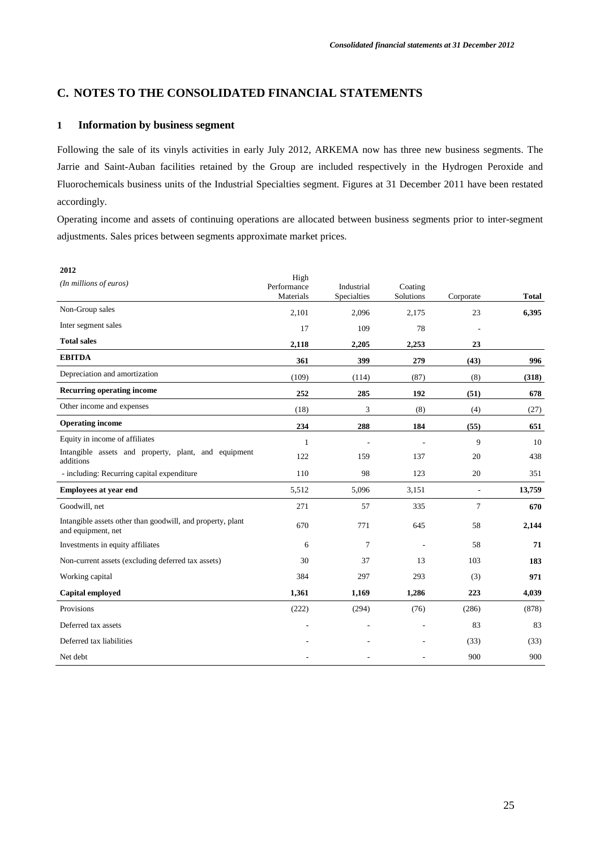# **C. NOTES TO THE CONSOLIDATED FINANCIAL STATEMENTS**

# **1 Information by business segment**

Following the sale of its vinyls activities in early July 2012, ARKEMA now has three new business segments. The Jarrie and Saint-Auban facilities retained by the Group are included respectively in the Hydrogen Peroxide and Fluorochemicals business units of the Industrial Specialties segment. Figures at 31 December 2011 have been restated accordingly.

Operating income and assets of continuing operations are allocated between business segments prior to inter-segment adjustments. Sales prices between segments approximate market prices.

| 2012                                                                             | High                     |                           |                      |                          |              |
|----------------------------------------------------------------------------------|--------------------------|---------------------------|----------------------|--------------------------|--------------|
| (In millions of euros)                                                           | Performance<br>Materials | Industrial<br>Specialties | Coating<br>Solutions | Corporate                | <b>Total</b> |
| Non-Group sales                                                                  | 2,101                    | 2,096                     | 2,175                | 23                       | 6,395        |
| Inter segment sales                                                              | 17                       | 109                       | 78                   | $\overline{\phantom{a}}$ |              |
| <b>Total sales</b>                                                               | 2,118                    | 2,205                     | 2,253                | 23                       |              |
| <b>EBITDA</b>                                                                    | 361                      | 399                       | 279                  | (43)                     | 996          |
| Depreciation and amortization                                                    | (109)                    | (114)                     | (87)                 | (8)                      | (318)        |
| <b>Recurring operating income</b>                                                | 252                      | 285                       | 192                  | (51)                     | 678          |
| Other income and expenses                                                        | (18)                     | 3                         | (8)                  | (4)                      | (27)         |
| <b>Operating income</b>                                                          | 234                      | 288                       | 184                  | (55)                     | 651          |
| Equity in income of affiliates                                                   | $\mathbf{1}$             |                           |                      | 9                        | 10           |
| Intangible assets and property, plant, and equipment<br>additions                | 122                      | 159                       | 137                  | 20                       | 438          |
| - including: Recurring capital expenditure                                       | 110                      | 98                        | 123                  | 20                       | 351          |
| <b>Employees at year end</b>                                                     | 5,512                    | 5,096                     | 3,151                | $\mathcal{L}$            | 13,759       |
| Goodwill, net                                                                    | 271                      | 57                        | 335                  | $\overline{7}$           | 670          |
| Intangible assets other than goodwill, and property, plant<br>and equipment, net | 670                      | 771                       | 645                  | 58                       | 2,144        |
| Investments in equity affiliates                                                 | 6                        | 7                         |                      | 58                       | 71           |
| Non-current assets (excluding deferred tax assets)                               | 30                       | 37                        | 13                   | 103                      | 183          |
| Working capital                                                                  | 384                      | 297                       | 293                  | (3)                      | 971          |
| Capital employed                                                                 | 1,361                    | 1,169                     | 1,286                | 223                      | 4,039        |
| Provisions                                                                       | (222)                    | (294)                     | (76)                 | (286)                    | (878)        |
| Deferred tax assets                                                              |                          |                           |                      | 83                       | 83           |
| Deferred tax liabilities                                                         |                          |                           |                      | (33)                     | (33)         |
| Net debt                                                                         |                          |                           |                      | 900                      | 900          |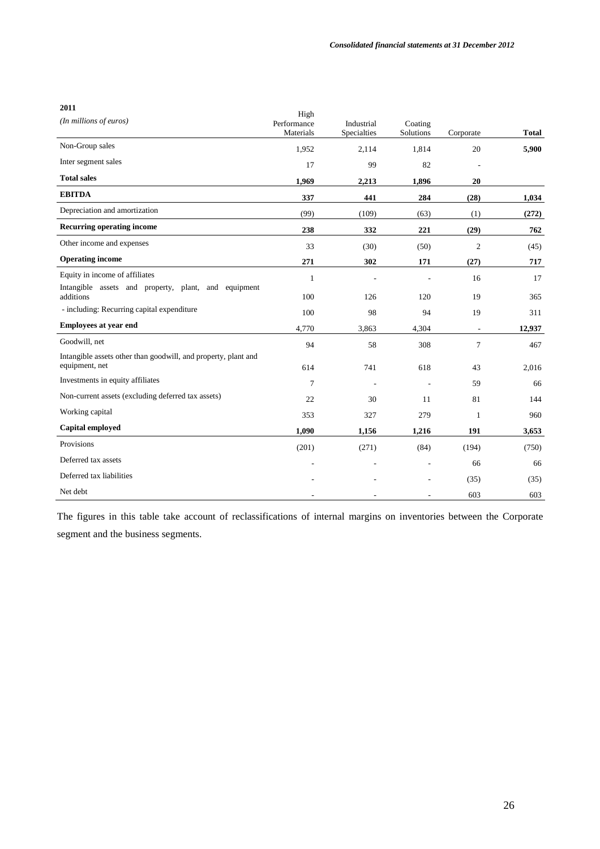| 2011                                                                             |                                  |                           |                      |               |              |
|----------------------------------------------------------------------------------|----------------------------------|---------------------------|----------------------|---------------|--------------|
| (In millions of euros)                                                           | High<br>Performance<br>Materials | Industrial<br>Specialties | Coating<br>Solutions | Corporate     | <b>Total</b> |
| Non-Group sales                                                                  | 1,952                            | 2,114                     | 1,814                | 20            | 5,900        |
| Inter segment sales                                                              | 17                               | 99                        | 82                   |               |              |
| <b>Total sales</b>                                                               | 1,969                            | 2,213                     | 1,896                | 20            |              |
| <b>EBITDA</b>                                                                    | 337                              | 441                       | 284                  | (28)          | 1,034        |
| Depreciation and amortization                                                    | (99)                             | (109)                     | (63)                 | (1)           | (272)        |
| <b>Recurring operating income</b>                                                | 238                              | 332                       | 221                  | (29)          | 762          |
| Other income and expenses                                                        | 33                               | (30)                      | (50)                 | $\mathbf{2}$  | (45)         |
| <b>Operating income</b>                                                          | 271                              | 302                       | 171                  | (27)          | 717          |
| Equity in income of affiliates                                                   | $\mathbf{1}$                     | ÷,                        |                      | 16            | 17           |
| Intangible assets and property, plant, and equipment<br>additions                | 100                              | 126                       | 120                  | 19            | 365          |
| - including: Recurring capital expenditure                                       | 100                              | 98                        | 94                   | 19            | 311          |
| <b>Employees at year end</b>                                                     | 4,770                            | 3,863                     | 4,304                | $\frac{1}{2}$ | 12,937       |
| Goodwill, net                                                                    | 94                               | 58                        | 308                  | $\tau$        | 467          |
| Intangible assets other than goodwill, and property, plant and<br>equipment, net | 614                              | 741                       | 618                  | 43            | 2,016        |
| Investments in equity affiliates                                                 | 7                                | ÷,                        | L,                   | 59            | 66           |
| Non-current assets (excluding deferred tax assets)                               | 22                               | 30                        | 11                   | 81            | 144          |
| Working capital                                                                  | 353                              | 327                       | 279                  | 1             | 960          |
| Capital employed                                                                 | 1,090                            | 1,156                     | 1,216                | 191           | 3,653        |
| Provisions                                                                       | (201)                            | (271)                     | (84)                 | (194)         | (750)        |
| Deferred tax assets                                                              |                                  |                           |                      | 66            | 66           |
| Deferred tax liabilities                                                         |                                  |                           |                      | (35)          | (35)         |
| Net debt                                                                         | $\overline{a}$                   |                           |                      | 603           | 603          |

The figures in this table take account of reclassifications of internal margins on inventories between the Corporate segment and the business segments.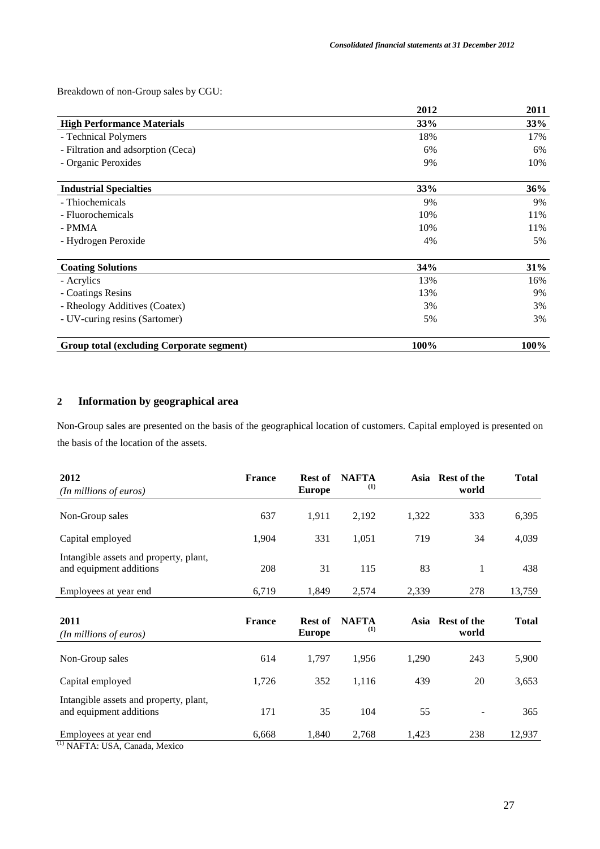Breakdown of non-Group sales by CGU:

|                                           | 2012       | 2011       |
|-------------------------------------------|------------|------------|
| <b>High Performance Materials</b>         | <b>33%</b> | <b>33%</b> |
| - Technical Polymers                      | 18%        | 17%        |
| - Filtration and adsorption (Ceca)        | 6%         | 6%         |
| - Organic Peroxides                       | 9%         | 10%        |
| <b>Industrial Specialties</b>             | 33%        | 36%        |
| - Thiochemicals                           | 9%         | 9%         |
| - Fluorochemicals                         | 10%        | 11%        |
| - PMMA                                    | 10%        | 11%        |
| - Hydrogen Peroxide                       | 4%         | 5%         |
| <b>Coating Solutions</b>                  | 34%        | 31%        |
| - Acrylics                                | 13%        | 16%        |
| - Coatings Resins                         | 13%        | 9%         |
| - Rheology Additives (Coatex)             | 3%         | 3%         |
| - UV-curing resins (Sartomer)             | 5%         | 3%         |
| Group total (excluding Corporate segment) | 100%       | 100%       |

# **2 Information by geographical area**

Non-Group sales are presented on the basis of the geographical location of customers. Capital employed is presented on the basis of the location of the assets.

| 2012                                                              | <b>France</b> | <b>Rest of</b>                  | <b>NAFTA</b>        |       | Asia Rest of the          | <b>Total</b> |
|-------------------------------------------------------------------|---------------|---------------------------------|---------------------|-------|---------------------------|--------------|
| (In millions of euros)                                            |               | <b>Europe</b>                   | (1)                 |       | world                     |              |
| Non-Group sales                                                   | 637           | 1,911                           | 2,192               | 1,322 | 333                       | 6,395        |
| Capital employed                                                  | 1,904         | 331                             | 1,051               | 719   | 34                        | 4,039        |
| Intangible assets and property, plant,<br>and equipment additions | 208           | 31                              | 115                 | 83    | $\mathbf{1}$              | 438          |
| Employees at year end                                             | 6,719         | 1,849                           | 2,574               | 2,339 | 278                       | 13,759       |
|                                                                   |               |                                 |                     |       |                           |              |
| 2011<br>(In millions of euros)                                    | <b>France</b> | <b>Rest of</b><br><b>Europe</b> | <b>NAFTA</b><br>(1) |       | Asia Rest of the<br>world | <b>Total</b> |
| Non-Group sales                                                   | 614           | 1,797                           | 1,956               | 1,290 | 243                       | 5,900        |
| Capital employed                                                  | 1,726         | 352                             | 1,116               | 439   | 20                        | 3,653        |
| Intangible assets and property, plant,<br>and equipment additions | 171           | 35                              | 104                 | 55    |                           | 365          |

(1) NAFTA: USA, Canada, Mexico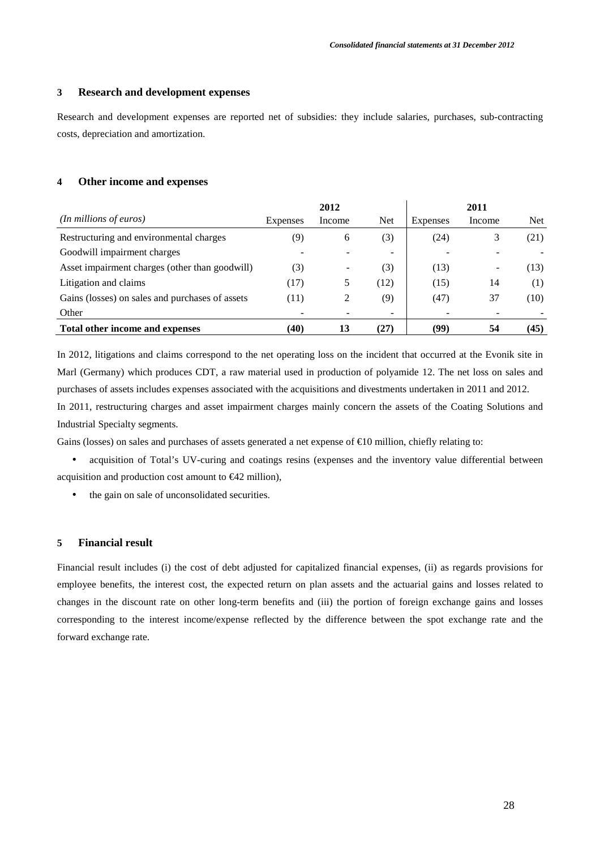#### **3 Research and development expenses**

Research and development expenses are reported net of subsidies: they include salaries, purchases, sub-contracting costs, depreciation and amortization.

# **4 Other income and expenses**

|                                                 |                 | 2012                     |                          |          | 2011   |            |
|-------------------------------------------------|-----------------|--------------------------|--------------------------|----------|--------|------------|
| (In millions of euros)                          | <b>Expenses</b> | Income                   | <b>Net</b>               | Expenses | Income | <b>Net</b> |
| Restructuring and environmental charges         | (9)             | 6                        | (3)                      | (24)     |        | (21)       |
| Goodwill impairment charges                     |                 |                          | $\overline{\phantom{0}}$ |          |        |            |
| Asset impairment charges (other than goodwill)  | (3)             | $\overline{\phantom{0}}$ | (3)                      | (13)     |        | (13)       |
| Litigation and claims                           | (17)            | 5                        | (12)                     | (15)     | 14     | (1)        |
| Gains (losses) on sales and purchases of assets | (11)            | 2                        | (9)                      | (47)     | 37     | (10)       |
| Other                                           |                 |                          |                          |          |        |            |
| Total other income and expenses                 | (40)            | 13                       | (27)                     | (99)     | 54     | (45)       |

In 2012, litigations and claims correspond to the net operating loss on the incident that occurred at the Evonik site in Marl (Germany) which produces CDT, a raw material used in production of polyamide 12. The net loss on sales and purchases of assets includes expenses associated with the acquisitions and divestments undertaken in 2011 and 2012.

In 2011, restructuring charges and asset impairment charges mainly concern the assets of the Coating Solutions and Industrial Specialty segments.

Gains (losses) on sales and purchases of assets generated a net expense of  $\epsilon$ 10 million, chiefly relating to:

• acquisition of Total's UV-curing and coatings resins (expenses and the inventory value differential between acquisition and production cost amount to  $\epsilon$ 42 million),

• the gain on sale of unconsolidated securities.

#### **5 Financial result**

Financial result includes (i) the cost of debt adjusted for capitalized financial expenses, (ii) as regards provisions for employee benefits, the interest cost, the expected return on plan assets and the actuarial gains and losses related to changes in the discount rate on other long-term benefits and (iii) the portion of foreign exchange gains and losses corresponding to the interest income/expense reflected by the difference between the spot exchange rate and the forward exchange rate.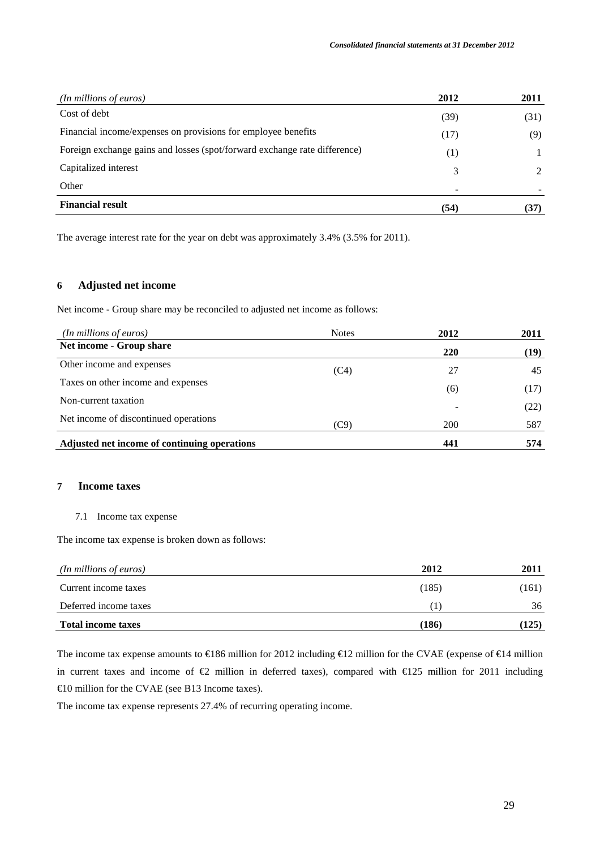| (In millions of euros)                                                    | 2012 | 2011          |
|---------------------------------------------------------------------------|------|---------------|
| Cost of debt                                                              | (39) | (31)          |
| Financial income/expenses on provisions for employee benefits             | (17) | (9)           |
| Foreign exchange gains and losses (spot/forward exchange rate difference) | (1)  |               |
| Capitalized interest                                                      | 3    | $\mathcal{L}$ |
| Other                                                                     | -    |               |
| <b>Financial result</b>                                                   | (54) | (37)          |

The average interest rate for the year on debt was approximately 3.4% (3.5% for 2011).

# **6 Adjusted net income**

Net income - Group share may be reconciled to adjusted net income as follows:

| (In millions of euros)                       | <b>Notes</b> | 2012       | 2011 |
|----------------------------------------------|--------------|------------|------|
| Net income - Group share                     |              | <b>220</b> | (19) |
| Other income and expenses                    | (C4)         | 27         | 45   |
| Taxes on other income and expenses           |              | (6)        | (17) |
| Non-current taxation                         |              |            | (22) |
| Net income of discontinued operations        | (C9)         | <b>200</b> | 587  |
| Adjusted net income of continuing operations |              | 441        | 574  |

### **7 Income taxes**

# 7.1 Income tax expense

The income tax expense is broken down as follows:

| (In millions of euros)    | 2012  | 2011  |
|---------------------------|-------|-------|
| Current income taxes      | (185) | (161) |
| Deferred income taxes     |       | 36    |
| <b>Total income taxes</b> | (186) | (125) |

The income tax expense amounts to €186 million for 2012 including €12 million for the CVAE (expense of €14 million in current taxes and income of €2 million in deferred taxes), compared with €125 million for 2011 including €10 million for the CVAE (see B13 Income taxes).

The income tax expense represents 27.4% of recurring operating income.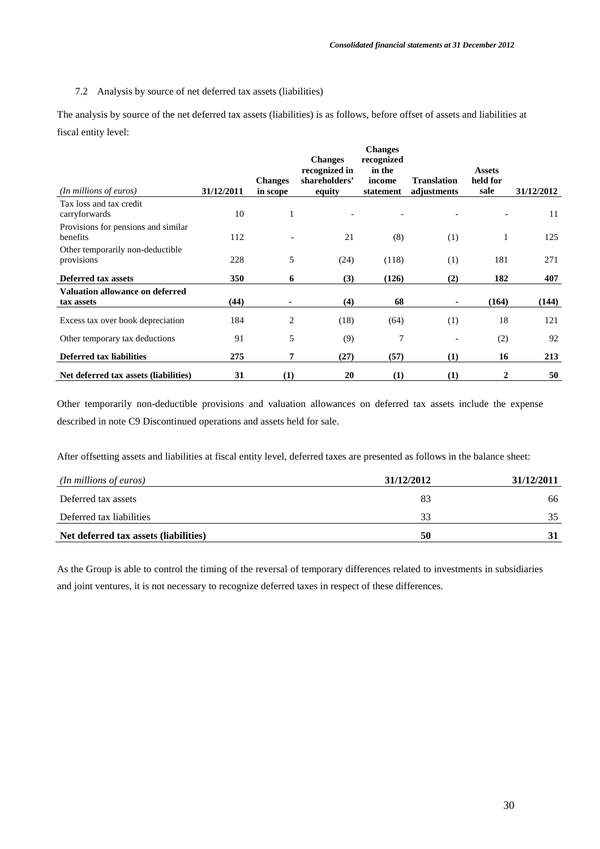# 7.2 Analysis by source of net deferred tax assets (liabilities)

The analysis by source of the net deferred tax assets (liabilities) is as follows, before offset of assets and liabilities at fiscal entity level:

|                                                      |            | <b>Changes</b> | <b>Changes</b><br>recognized in<br>shareholders' | <b>Changes</b><br>recognized<br>in the<br>income | <b>Translation</b> | <b>Assets</b><br>held for |            |
|------------------------------------------------------|------------|----------------|--------------------------------------------------|--------------------------------------------------|--------------------|---------------------------|------------|
| (In millions of euros)                               | 31/12/2011 | in scope       | equity                                           | statement                                        | adjustments        | sale                      | 31/12/2012 |
| Tax loss and tax credit<br>carryforwards             | 10         | 1              |                                                  |                                                  |                    |                           | 11         |
| Provisions for pensions and similar<br>benefits      | 112        | ۰              | 21                                               | (8)                                              | (1)                | 1                         | 125        |
| Other temporarily non-deductible<br>provisions       | 228        | 5              | (24)                                             | (118)                                            | (1)                | 181                       | 271        |
| Deferred tax assets                                  | 350        | 6              | (3)                                              | (126)                                            | (2)                | 182                       | 407        |
| <b>Valuation allowance on deferred</b><br>tax assets | (44)       |                | (4)                                              | 68                                               | ٠                  | (164)                     | (144)      |
| Excess tax over book depreciation                    | 184        | 2              | (18)                                             | (64)                                             | (1)                | 18                        | 121        |
| Other temporary tax deductions                       | 91         | 5              | (9)                                              | 7                                                |                    | (2)                       | 92         |
| <b>Deferred tax liabilities</b>                      | 275        | 7              | (27)                                             | (57)                                             | (1)                | 16                        | 213        |
| Net deferred tax assets (liabilities)                | 31         | (1)            | 20                                               | (1)                                              | (1)                | 2                         | 50         |

Other temporarily non-deductible provisions and valuation allowances on deferred tax assets include the expense described in note C9 Discontinued operations and assets held for sale.

After offsetting assets and liabilities at fiscal entity level, deferred taxes are presented as follows in the balance sheet:

| (In millions of euros)                | 31/12/2012 | 31/12/2011 |
|---------------------------------------|------------|------------|
| Deferred tax assets                   | 83         | 66         |
| Deferred tax liabilities              | 33         | 35         |
| Net deferred tax assets (liabilities) | 50         |            |

As the Group is able to control the timing of the reversal of temporary differences related to investments in subsidiaries and joint ventures, it is not necessary to recognize deferred taxes in respect of these differences.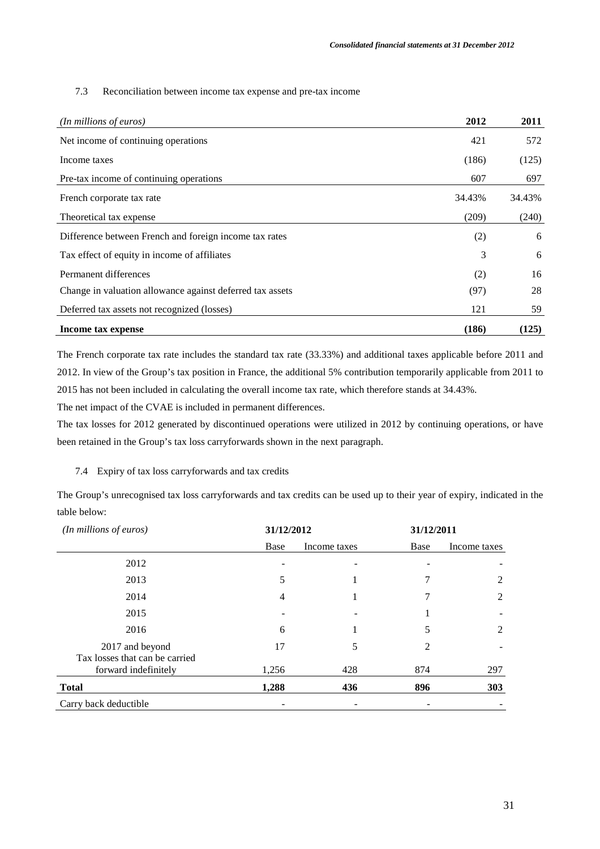# 7.3 Reconciliation between income tax expense and pre-tax income

| (In millions of euros)                                    | 2012   | 2011   |
|-----------------------------------------------------------|--------|--------|
| Net income of continuing operations                       | 421    | 572    |
| Income taxes                                              | (186)  | (125)  |
| Pre-tax income of continuing operations                   | 607    | 697    |
| French corporate tax rate                                 | 34.43% | 34.43% |
| Theoretical tax expense                                   | (209)  | (240)  |
| Difference between French and foreign income tax rates    | (2)    | 6      |
| Tax effect of equity in income of affiliates              | 3      | 6      |
| Permanent differences                                     | (2)    | 16     |
| Change in valuation allowance against deferred tax assets | (97)   | 28     |
| Deferred tax assets not recognized (losses)               | 121    | 59     |
| Income tax expense                                        | (186)  | (125)  |

The French corporate tax rate includes the standard tax rate (33.33%) and additional taxes applicable before 2011 and 2012. In view of the Group's tax position in France, the additional 5% contribution temporarily applicable from 2011 to 2015 has not been included in calculating the overall income tax rate, which therefore stands at 34.43%.

The net impact of the CVAE is included in permanent differences.

The tax losses for 2012 generated by discontinued operations were utilized in 2012 by continuing operations, or have been retained in the Group's tax loss carryforwards shown in the next paragraph.

# 7.4 Expiry of tax loss carryforwards and tax credits

The Group's unrecognised tax loss carryforwards and tax credits can be used up to their year of expiry, indicated in the table below:

| (In millions of euros)                            | 31/12/2012 | 31/12/2011   |      |              |
|---------------------------------------------------|------------|--------------|------|--------------|
|                                                   | Base       | Income taxes | Base | Income taxes |
| 2012                                              |            |              |      |              |
| 2013                                              | 5          |              |      | 2            |
| 2014                                              | 4          |              | 7    | 2            |
| 2015                                              |            |              |      |              |
| 2016                                              | 6          |              | 5    | 2            |
| 2017 and beyond<br>Tax losses that can be carried | 17         | 5            | 2    |              |
| forward indefinitely                              | 1,256      | 428          | 874  | 297          |
| <b>Total</b>                                      | 1,288      | 436          | 896  | 303          |
| Carry back deductible                             |            |              |      |              |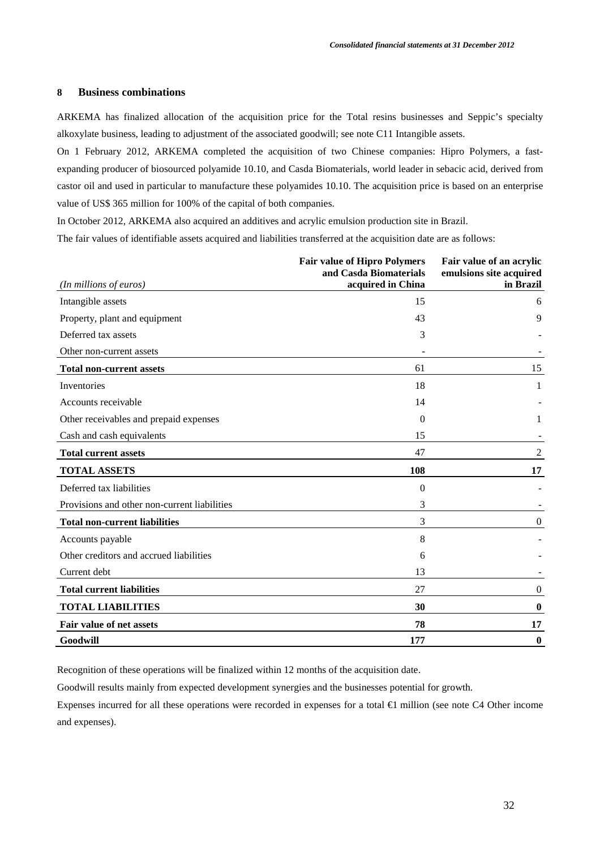#### **8 Business combinations**

ARKEMA has finalized allocation of the acquisition price for the Total resins businesses and Seppic's specialty alkoxylate business, leading to adjustment of the associated goodwill; see note C11 Intangible assets.

On 1 February 2012, ARKEMA completed the acquisition of two Chinese companies: Hipro Polymers, a fastexpanding producer of biosourced polyamide 10.10, and Casda Biomaterials, world leader in sebacic acid, derived from castor oil and used in particular to manufacture these polyamides 10.10. The acquisition price is based on an enterprise value of US\$ 365 million for 100% of the capital of both companies.

In October 2012, ARKEMA also acquired an additives and acrylic emulsion production site in Brazil.

The fair values of identifiable assets acquired and liabilities transferred at the acquisition date are as follows:

|                                              | <b>Fair value of Hipro Polymers</b><br>and Casda Biomaterials | Fair value of an acrylic<br>emulsions site acquired |
|----------------------------------------------|---------------------------------------------------------------|-----------------------------------------------------|
| (In millions of euros)                       | acquired in China                                             | in Brazil                                           |
| Intangible assets                            | 15                                                            | 6                                                   |
| Property, plant and equipment                | 43                                                            | 9                                                   |
| Deferred tax assets                          | 3                                                             |                                                     |
| Other non-current assets                     |                                                               |                                                     |
| <b>Total non-current assets</b>              | 61                                                            | 15                                                  |
| Inventories                                  | 18                                                            | 1                                                   |
| Accounts receivable                          | 14                                                            |                                                     |
| Other receivables and prepaid expenses       | $\Omega$                                                      | 1                                                   |
| Cash and cash equivalents                    | 15                                                            |                                                     |
| <b>Total current assets</b>                  | 47                                                            | $\overline{c}$                                      |
| <b>TOTAL ASSETS</b>                          | 108                                                           | 17                                                  |
| Deferred tax liabilities                     | $\Omega$                                                      |                                                     |
| Provisions and other non-current liabilities | 3                                                             |                                                     |
| <b>Total non-current liabilities</b>         | 3                                                             | $\Omega$                                            |
| Accounts payable                             | 8                                                             |                                                     |
| Other creditors and accrued liabilities      | 6                                                             |                                                     |
| Current debt                                 | 13                                                            |                                                     |
| <b>Total current liabilities</b>             | 27                                                            | $\theta$                                            |
| <b>TOTAL LIABILITIES</b>                     | 30                                                            | $\boldsymbol{0}$                                    |
| Fair value of net assets                     | 78                                                            | 17                                                  |
| Goodwill                                     | 177                                                           | $\mathbf{0}$                                        |

Recognition of these operations will be finalized within 12 months of the acquisition date.

Goodwill results mainly from expected development synergies and the businesses potential for growth.

Expenses incurred for all these operations were recorded in expenses for a total €1 million (see note C4 Other income and expenses).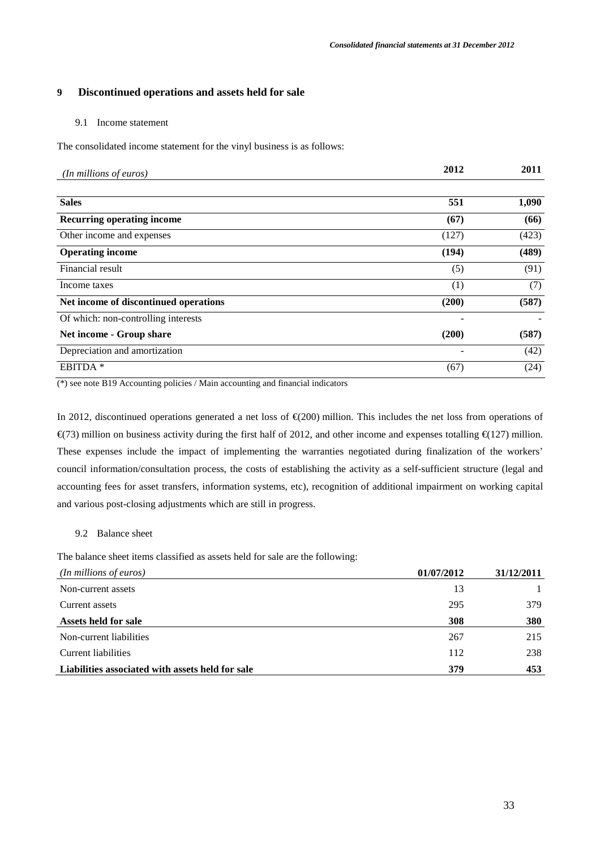# **9 Discontinued operations and assets held for sale**

#### 9.1 Income statement

The consolidated income statement for the vinyl business is as follows:

| (In millions of euros)                | 2012  | 2011  |
|---------------------------------------|-------|-------|
| <b>Sales</b>                          | 551   | 1,090 |
| <b>Recurring operating income</b>     | (67)  | (66)  |
| Other income and expenses             | (127) | (423) |
| <b>Operating income</b>               | (194) | (489) |
| Financial result                      | (5)   | (91)  |
| Income taxes                          | (1)   | (7)   |
| Net income of discontinued operations | (200) | (587) |
| Of which: non-controlling interests   |       |       |
| Net income - Group share              | (200) | (587) |
| Depreciation and amortization         |       | (42)  |
| EBITDA <sup>*</sup>                   | (67)  | (24)  |

(\*) see note B19 Accounting policies / Main accounting and financial indicators

In 2012, discontinued operations generated a net loss of  $\epsilon$ (200) million. This includes the net loss from operations of €(73) million on business activity during the first half of 2012, and other income and expenses totalling €(127) million. These expenses include the impact of implementing the warranties negotiated during finalization of the workers' council information/consultation process, the costs of establishing the activity as a self-sufficient structure (legal and accounting fees for asset transfers, information systems, etc), recognition of additional impairment on working capital and various post-closing adjustments which are still in progress.

#### 9.2 Balance sheet

The balance sheet items classified as assets held for sale are the following:

| (In millions of euros)                           | 01/07/2012 | 31/12/2011 |
|--------------------------------------------------|------------|------------|
| Non-current assets                               | 13         |            |
| Current assets                                   | 295        | 379        |
| <b>Assets held for sale</b>                      | 308        | 380        |
| Non-current liabilities                          | 267        | 215        |
| Current liabilities                              | 112        | 238        |
| Liabilities associated with assets held for sale | 379        | 453        |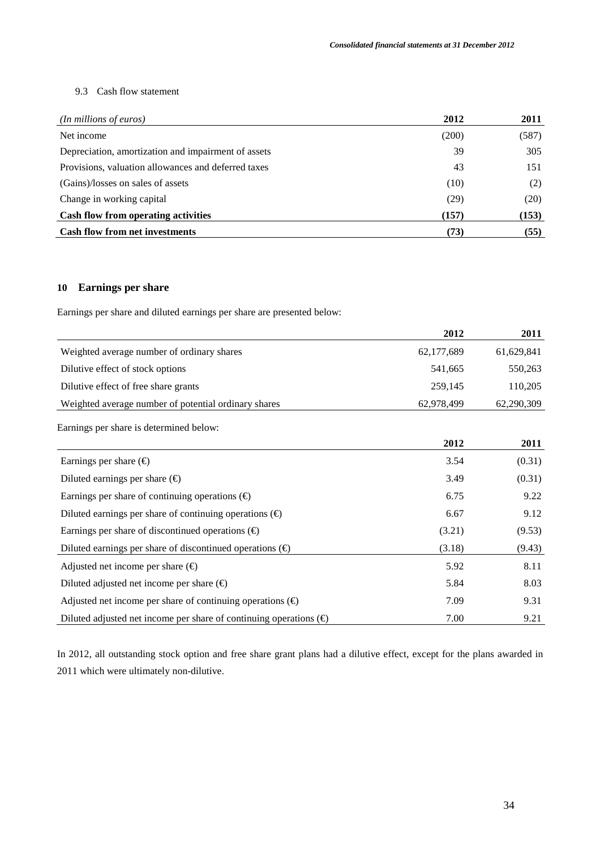# 9.3 Cash flow statement

| (In millions of euros)                              | 2012  | 2011  |
|-----------------------------------------------------|-------|-------|
| Net income                                          | (200) | (587) |
| Depreciation, amortization and impairment of assets | 39    | 305   |
| Provisions, valuation allowances and deferred taxes | 43    | 151   |
| (Gains)/losses on sales of assets                   | (10)  | (2)   |
| Change in working capital                           | (29)  | (20)  |
| Cash flow from operating activities                 | (157) | (153) |
| <b>Cash flow from net investments</b>               | (73)  | (55)  |

# **10 Earnings per share**

Earnings per share and diluted earnings per share are presented below:

|                                                                             | 2012       | 2011       |
|-----------------------------------------------------------------------------|------------|------------|
| Weighted average number of ordinary shares                                  | 62,177,689 | 61,629,841 |
| Dilutive effect of stock options                                            | 541,665    | 550,263    |
| Dilutive effect of free share grants                                        | 259,145    | 110,205    |
| Weighted average number of potential ordinary shares                        | 62,978,499 | 62,290,309 |
| Earnings per share is determined below:                                     |            |            |
|                                                                             | 2012       | 2011       |
| Earnings per share $(\epsilon)$                                             | 3.54       | (0.31)     |
| Diluted earnings per share $(\epsilon)$                                     | 3.49       | (0.31)     |
| Earnings per share of continuing operations $(\epsilon)$                    | 6.75       | 9.22       |
| Diluted earnings per share of continuing operations $(\epsilon)$            | 6.67       | 9.12       |
| Earnings per share of discontinued operations $(\epsilon)$                  | (3.21)     | (9.53)     |
| Diluted earnings per share of discontinued operations $(\epsilon)$          | (3.18)     | (9.43)     |
| Adjusted net income per share $(\epsilon)$                                  | 5.92       | 8.11       |
| Diluted adjusted net income per share $(\epsilon)$                          | 5.84       | 8.03       |
| Adjusted net income per share of continuing operations $(\epsilon)$         | 7.09       | 9.31       |
| Diluted adjusted net income per share of continuing operations $(\epsilon)$ | 7.00       | 9.21       |

In 2012, all outstanding stock option and free share grant plans had a dilutive effect, except for the plans awarded in 2011 which were ultimately non-dilutive.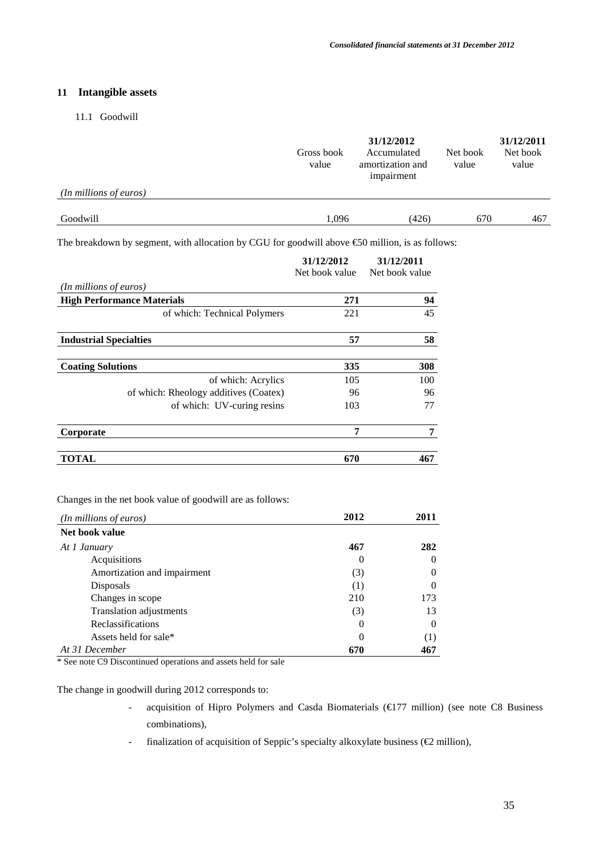# **11 Intangible assets**

# 11.1 Goodwill

|                        | Gross book<br>value | 31/12/2012<br>Accumulated<br>amortization and<br>impairment | Net book<br>value | 31/12/2011<br>Net book<br>value |
|------------------------|---------------------|-------------------------------------------------------------|-------------------|---------------------------------|
| (In millions of euros) |                     |                                                             |                   |                                 |
| Goodwill               | 1,096               | (426)                                                       | 670               | 467                             |

The breakdown by segment, with allocation by CGU for goodwill above €50 million, is as follows:

|                                       | 31/12/2012     | 31/12/2011     |  |
|---------------------------------------|----------------|----------------|--|
|                                       | Net book value | Net book value |  |
| (In millions of euros)                |                |                |  |
| <b>High Performance Materials</b>     | 271            | 94             |  |
| of which: Technical Polymers          | 221            | 45             |  |
| <b>Industrial Specialties</b>         | 57             | 58             |  |
| <b>Coating Solutions</b>              | 335            | 308            |  |
| of which: Acrylics                    | 105            | 100            |  |
| of which: Rheology additives (Coatex) | 96             | 96             |  |
| of which: UV-curing resins            | 103            | 77             |  |
| Corporate                             | 7              | 7              |  |
| <b>TOTAL</b>                          | 670            | 467            |  |

Changes in the net book value of goodwill are as follows:

| (In millions of euros)      | 2012     | 2011     |
|-----------------------------|----------|----------|
| Net book value              |          |          |
| At 1 January                | 467      | 282      |
| Acquisitions                | $\theta$ | $\theta$ |
| Amortization and impairment | (3)      | 0        |
| Disposals                   | (1)      | 0        |
| Changes in scope            | 210      | 173      |
| Translation adjustments     | (3)      | 13       |
| Reclassifications           | $\theta$ | $\theta$ |
| Assets held for sale*       | $\theta$ | (1)      |
| At 31 December              | 670      | 467      |

\* See note C9 Discontinued operations and assets held for sale

The change in goodwill during 2012 corresponds to:

- acquisition of Hipro Polymers and Casda Biomaterials (€177 million) (see note C8 Business combinations),
- finalization of acquisition of Seppic's specialty alkoxylate business (€2 million),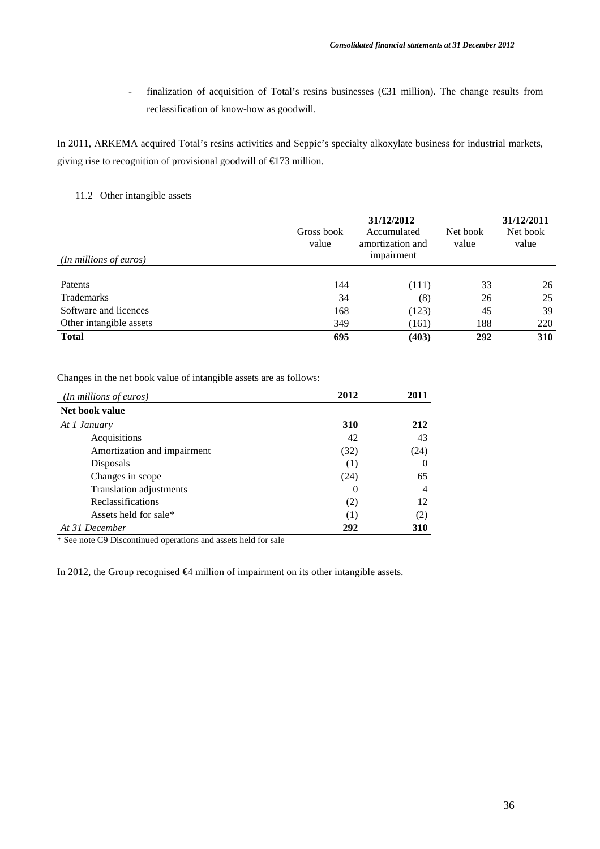- finalization of acquisition of Total's resins businesses (€31 million). The change results from reclassification of know-how as goodwill.

In 2011, ARKEMA acquired Total's resins activities and Seppic's specialty alkoxylate business for industrial markets, giving rise to recognition of provisional goodwill of €173 million.

# 11.2 Other intangible assets

| <i>(In millions of euros)</i> | 31/12/2012<br>Gross book<br>Accumulated<br>value<br>amortization and<br>impairment |       | Net book<br>value | 31/12/2011<br>Net book<br>value |  |
|-------------------------------|------------------------------------------------------------------------------------|-------|-------------------|---------------------------------|--|
| Patents                       | 144                                                                                | (111) | 33                | 26                              |  |
| Trademarks                    | 34                                                                                 | (8)   | 26                | 25                              |  |
| Software and licences         | 168                                                                                | (123) | 45                | 39                              |  |
| Other intangible assets       | 349                                                                                | (161) | 188               | 220                             |  |
| <b>Total</b>                  | 695                                                                                | (403) | 292               | 310                             |  |

Changes in the net book value of intangible assets are as follows:

| (In millions of euros)      | 2012 | 2011     |
|-----------------------------|------|----------|
| Net book value              |      |          |
| At 1 January                | 310  | 212      |
| Acquisitions                | 42   | 43       |
| Amortization and impairment | (32) | (24)     |
| Disposals                   | (1)  | $\theta$ |
| Changes in scope            | (24) | 65       |
| Translation adjustments     | 0    | 4        |
| Reclassifications           | (2)  | 12       |
| Assets held for sale*       | (1)  | (2)      |
| At 31 December              | 292  | 310      |

\* See note C9 Discontinued operations and assets held for sale

In 2012, the Group recognised €4 million of impairment on its other intangible assets.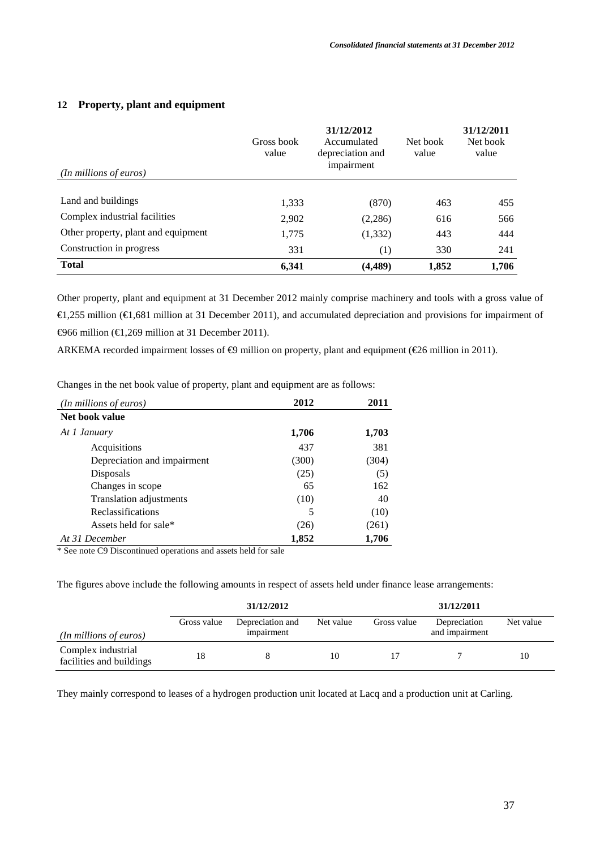|                                     | 31/12/2012<br>Gross book<br>Accumulated<br>depreciation and<br>value<br>impairment |          | Net book<br>value | 31/12/2011<br>Net book<br>value |  |
|-------------------------------------|------------------------------------------------------------------------------------|----------|-------------------|---------------------------------|--|
| (In millions of euros)              |                                                                                    |          |                   |                                 |  |
| Land and buildings                  | 1,333                                                                              | (870)    | 463               | 455                             |  |
| Complex industrial facilities       | 2,902                                                                              | (2,286)  | 616               | 566                             |  |
| Other property, plant and equipment | 1,775                                                                              | (1, 332) | 443               | 444                             |  |
| Construction in progress            | 331                                                                                | (1)      | 330               | 241                             |  |
| <b>Total</b>                        | 6,341                                                                              | (4,489)  | 1,852             | 1,706                           |  |

# **12 Property, plant and equipment**

Other property, plant and equipment at 31 December 2012 mainly comprise machinery and tools with a gross value of €1,255 million (€1,681 million at 31 December 2011), and accumulated depreciation and provisions for impairment of €966 million (€1,269 million at 31 December 2011).

ARKEMA recorded impairment losses of  $\epsilon$ 9 million on property, plant and equipment ( $\epsilon$ 26 million in 2011).

Changes in the net book value of property, plant and equipment are as follows:

| (In millions of euros)      | 2012  | 2011  |
|-----------------------------|-------|-------|
| Net book value              |       |       |
| At 1 January                | 1,706 | 1,703 |
| Acquisitions                | 437   | 381   |
| Depreciation and impairment | (300) | (304) |
| Disposals                   | (25)  | (5)   |
| Changes in scope            | 65    | 162   |
| Translation adjustments     | (10)  | 40    |
| Reclassifications           | 5     | (10)  |
| Assets held for sale*       | (26)  | (261) |
| At 31 December              | 1,852 | 1,706 |

\* See note C9 Discontinued operations and assets held for sale

The figures above include the following amounts in respect of assets held under finance lease arrangements:

|                                                | 31/12/2012  |                                |           | 31/12/2011  |                                |           |  |
|------------------------------------------------|-------------|--------------------------------|-----------|-------------|--------------------------------|-----------|--|
| (In millions of euros)                         | Gross value | Depreciation and<br>impairment | Net value | Gross value | Depreciation<br>and impairment | Net value |  |
| Complex industrial<br>facilities and buildings | 18          |                                | 10        |             |                                | 10        |  |

They mainly correspond to leases of a hydrogen production unit located at Lacq and a production unit at Carling.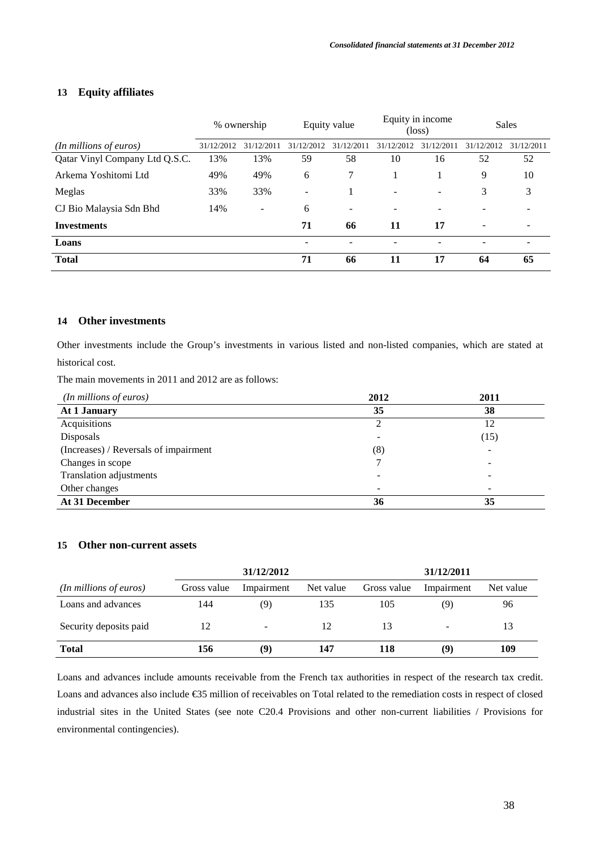|                                |            | % ownership              |            | Equity value |                          | Equity in income<br>$(\text{loss})$ |                              | <b>Sales</b> |
|--------------------------------|------------|--------------------------|------------|--------------|--------------------------|-------------------------------------|------------------------------|--------------|
| <i>(In millions of euros)</i>  | 31/12/2012 | 31/12/2011               | 31/12/2012 | 31/12/2011   | 31/12/2012               | 31/12/2011                          | 31/12/2012                   | 31/12/2011   |
| Qatar Vinyl Company Ltd Q.S.C. | 13%        | 13%                      | 59         | 58           | 10                       | 16                                  | 52                           | 52           |
| Arkema Yoshitomi Ltd           | 49%        | 49%                      | 6          |              |                          |                                     | 9                            | 10           |
| Meglas                         | 33%        | 33%                      |            |              | $\overline{\phantom{a}}$ | ۰                                   | 3                            | 3            |
| CJ Bio Malaysia Sdn Bhd        | 14%        | $\overline{\phantom{a}}$ | 6          |              | $\overline{\phantom{a}}$ |                                     |                              |              |
| <b>Investments</b>             |            |                          | 71         | 66           | 11                       | 17                                  | $\qquad \qquad \blacksquare$ |              |
| Loans                          |            |                          |            |              |                          |                                     |                              |              |
| <b>Total</b>                   |            |                          | 71         | 66           | 11                       | 17                                  | 64                           | 65           |

# **13 Equity affiliates**

# **14 Other investments**

Other investments include the Group's investments in various listed and non-listed companies, which are stated at historical cost.

The main movements in 2011 and 2012 are as follows:

| (In millions of euros)                | 2012 | 2011 |
|---------------------------------------|------|------|
| At 1 January                          | 35   | 38   |
| Acquisitions                          |      | 12   |
| Disposals                             |      | (15) |
| (Increases) / Reversals of impairment | (8)  | -    |
| Changes in scope                      |      |      |
| Translation adjustments               |      | -    |
| Other changes                         |      | -    |
| At 31 December                        | 36   | 35   |

# **15 Other non-current assets**

|                               |             | 31/12/2012               |           |             | 31/12/2011               |           |
|-------------------------------|-------------|--------------------------|-----------|-------------|--------------------------|-----------|
| <i>(In millions of euros)</i> | Gross value | Impairment               | Net value | Gross value | Impairment               | Net value |
| Loans and advances            | 144         | (9)                      | 135       | 105         | (9)                      | 96        |
| Security deposits paid        |             | $\overline{\phantom{0}}$ | 12        |             | $\overline{\phantom{a}}$ | 13        |
| <b>Total</b>                  | 156         | (9)                      | 147       | 118         | (9)                      | 109       |

Loans and advances include amounts receivable from the French tax authorities in respect of the research tax credit. Loans and advances also include €35 million of receivables on Total related to the remediation costs in respect of closed industrial sites in the United States (see note C20.4 Provisions and other non-current liabilities / Provisions for environmental contingencies).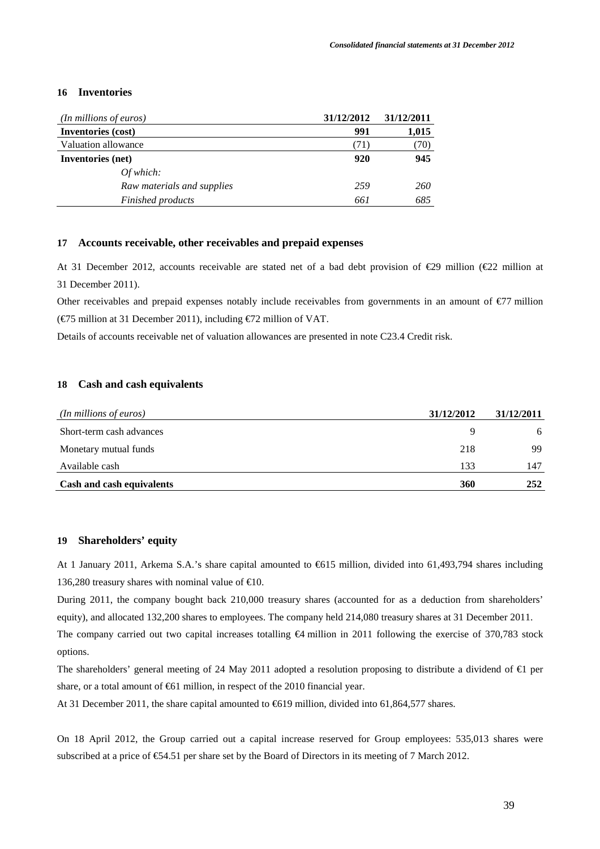# **16 Inventories**

| (In millions of euros)     | 31/12/2012 | 31/12/2011 |
|----------------------------|------------|------------|
| <b>Inventories</b> (cost)  | 991        | 1,015      |
| Valuation allowance        | (71)       | (70)       |
| Inventories (net)          | 920        | 945        |
| Of which:                  |            |            |
| Raw materials and supplies | 259        | 260        |
| <i>Finished products</i>   | 661        | 685        |

## **17 Accounts receivable, other receivables and prepaid expenses**

At 31 December 2012, accounts receivable are stated net of a bad debt provision of €29 million (€22 million at 31 December 2011).

Other receivables and prepaid expenses notably include receivables from governments in an amount of  $\epsilon$ 77 million (€75 million at 31 December 2011), including €72 million of VAT.

Details of accounts receivable net of valuation allowances are presented in note C23.4 Credit risk.

# **18 Cash and cash equivalents**

| (In millions of euros)    | 31/12/2012 | 31/12/2011 |
|---------------------------|------------|------------|
| Short-term cash advances  | Q          | 6          |
| Monetary mutual funds     | 218        | 99         |
| Available cash            | 133        | 147        |
| Cash and cash equivalents | 360        | 252        |

# **19 Shareholders' equity**

At 1 January 2011, Arkema S.A.'s share capital amounted to €615 million, divided into 61,493,794 shares including 136,280 treasury shares with nominal value of  $\text{\textsterling}10$ .

During 2011, the company bought back 210,000 treasury shares (accounted for as a deduction from shareholders' equity), and allocated 132,200 shares to employees. The company held 214,080 treasury shares at 31 December 2011. The company carried out two capital increases totalling  $\epsilon$ 4 million in 2011 following the exercise of 370,783 stock options.

The shareholders' general meeting of 24 May 2011 adopted a resolution proposing to distribute a dividend of €1 per share, or a total amount of  $\epsilon$ 61 million, in respect of the 2010 financial year.

At 31 December 2011, the share capital amounted to  $\epsilon$ 619 million, divided into 61,864,577 shares.

On 18 April 2012, the Group carried out a capital increase reserved for Group employees: 535,013 shares were subscribed at a price of  $\epsilon$ 54.51 per share set by the Board of Directors in its meeting of 7 March 2012.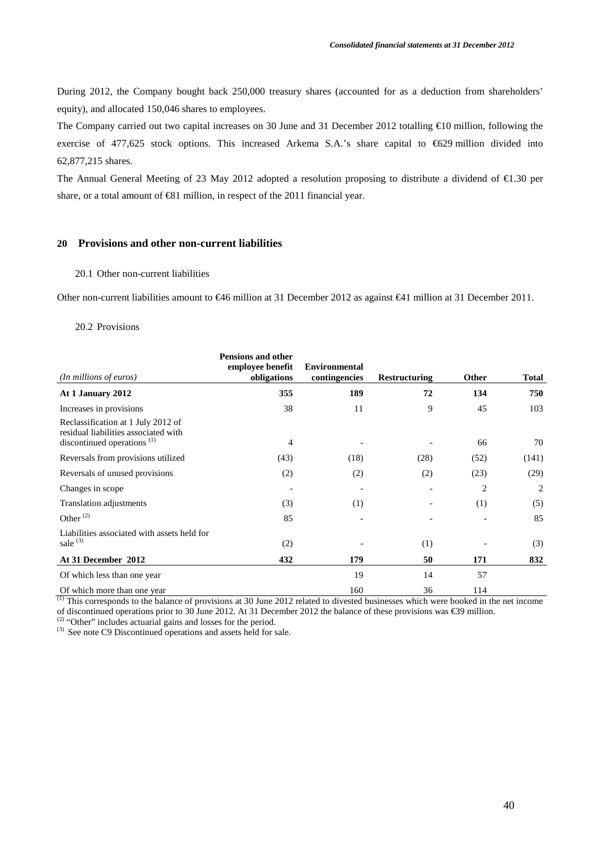During 2012, the Company bought back 250,000 treasury shares (accounted for as a deduction from shareholders' equity), and allocated 150,046 shares to employees.

The Company carried out two capital increases on 30 June and 31 December 2012 totalling €10 million, following the exercise of 477,625 stock options. This increased Arkema S.A.'s share capital to €629 million divided into 62,877,215 shares.

The Annual General Meeting of 23 May 2012 adopted a resolution proposing to distribute a dividend of €1.30 per share, or a total amount of  $\epsilon$ 81 million, in respect of the 2011 financial year.

# **20 Provisions and other non-current liabilities**

### 20.1 Other non-current liabilities

Other non-current liabilities amount to €46 million at 31 December 2012 as against €41 million at 31 December 2011.

# 20.2 Provisions

| (In millions of euros)                                                                                               | <b>Pensions and other</b><br>employee benefit<br>obligations | <b>Environmental</b><br>contingencies | <b>Restructuring</b> | Other | <b>Total</b> |
|----------------------------------------------------------------------------------------------------------------------|--------------------------------------------------------------|---------------------------------------|----------------------|-------|--------------|
| At 1 January 2012                                                                                                    | 355                                                          | 189                                   | 72                   | 134   | 750          |
| Increases in provisions                                                                                              | 38                                                           | 11                                    | 9                    | 45    | 103          |
| Reclassification at 1 July 2012 of<br>residual liabilities associated with<br>discontinued operations <sup>(1)</sup> | 4                                                            |                                       |                      | 66    | 70           |
| Reversals from provisions utilized                                                                                   | (43)                                                         | (18)                                  | (28)                 | (52)  | (141)        |
| Reversals of unused provisions                                                                                       | (2)                                                          | (2)                                   | (2)                  | (23)  | (29)         |
| Changes in scope                                                                                                     |                                                              |                                       |                      | 2     | 2            |
| Translation adjustments                                                                                              | (3)                                                          | (1)                                   |                      | (1)   | (5)          |
| Other <sup>(2)</sup>                                                                                                 | 85                                                           | $\overline{\phantom{a}}$              |                      |       | 85           |
| Liabilities associated with assets held for<br>sale $(3)$                                                            | (2)                                                          |                                       | (1)                  |       | (3)          |
| At 31 December 2012                                                                                                  | 432                                                          | 179                                   | 50                   | 171   | 832          |
| Of which less than one year                                                                                          |                                                              | 19                                    | 14                   | 57    |              |
| Of which more than one year                                                                                          |                                                              | 160                                   | 36                   | 114   |              |

 $<sup>(1)</sup>$  This corresponds to the balance of provisions at 30 June 2012 related to divested businesses which were booked in the net income</sup> of discontinued operations prior to 30 June 2012. At 31 December 2012 the balance of these provisions was  $\epsilon$ 39 million.

<sup>(2)</sup> "Other" includes actuarial gains and losses for the period.

(3) See note C9 Discontinued operations and assets held for sale.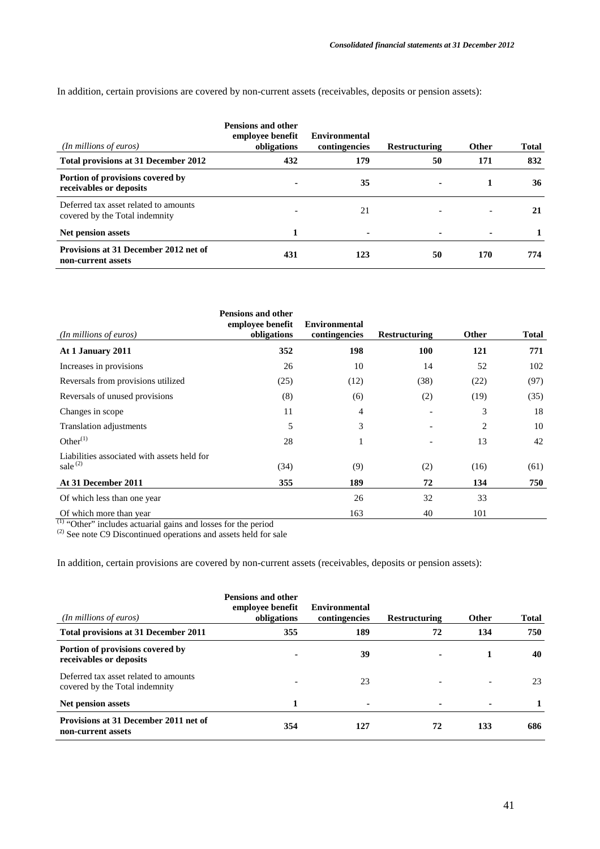In addition, certain provisions are covered by non-current assets (receivables, deposits or pension assets):

| (In millions of euros)                                                  | <b>Pensions and other</b><br>employee benefit<br>obligations | <b>Environmental</b><br>contingencies | <b>Restructuring</b> | <b>Other</b> | <b>Total</b> |
|-------------------------------------------------------------------------|--------------------------------------------------------------|---------------------------------------|----------------------|--------------|--------------|
| <b>Total provisions at 31 December 2012</b>                             | 432                                                          | 179                                   | 50                   | 171          | 832          |
| Portion of provisions covered by<br>receivables or deposits             | ۰                                                            | 35                                    | ٠                    |              | 36           |
| Deferred tax asset related to amounts<br>covered by the Total indemnity |                                                              | 21                                    |                      |              | 21           |
| Net pension assets                                                      | 1                                                            | ٠                                     | ٠                    | ٠            |              |
| Provisions at 31 December 2012 net of<br>non-current assets             | 431                                                          | 123                                   | 50                   | 170          | 774          |

| (In millions of euros)                                       | <b>Pensions and other</b><br>employee benefit<br>obligations | <b>Environmental</b><br>contingencies | <b>Restructuring</b> | <b>Other</b> | Total |
|--------------------------------------------------------------|--------------------------------------------------------------|---------------------------------------|----------------------|--------------|-------|
| At 1 January 2011                                            | 352                                                          | 198                                   | 100                  | 121          | 771   |
| Increases in provisions                                      | 26                                                           | 10                                    | 14                   | 52           | 102   |
| Reversals from provisions utilized                           | (25)                                                         | (12)                                  | (38)                 | (22)         | (97)  |
| Reversals of unused provisions                               | (8)                                                          | (6)                                   | (2)                  | (19)         | (35)  |
| Changes in scope                                             | 11                                                           | 4                                     |                      | 3            | 18    |
| Translation adjustments                                      | 5                                                            | 3                                     |                      | 2            | 10    |
| Other $(1)$                                                  | 28                                                           | 1                                     |                      | 13           | 42    |
| Liabilities associated with assets held for<br>sale $^{(2)}$ | (34)                                                         | (9)                                   | (2)                  | (16)         | (61)  |
| At 31 December 2011                                          | 355                                                          | 189                                   | 72                   | 134          | 750   |
| Of which less than one year                                  |                                                              | 26                                    | 32                   | 33           |       |
| Of which more than year                                      |                                                              | 163                                   | 40                   | 101          |       |

 $<sup>(1)</sup>$  "Other" includes actuarial gains and losses for the period</sup>

(2) See note C9 Discontinued operations and assets held for sale

In addition, certain provisions are covered by non-current assets (receivables, deposits or pension assets):

| (In millions of euros)                                                  | <b>Pensions and other</b><br>employee benefit<br>obligations | <b>Environmental</b><br>contingencies | <b>Restructuring</b> | <b>Other</b>             | <b>Total</b> |
|-------------------------------------------------------------------------|--------------------------------------------------------------|---------------------------------------|----------------------|--------------------------|--------------|
| <b>Total provisions at 31 December 2011</b>                             | 355                                                          | 189                                   | 72                   | 134                      | 750          |
| Portion of provisions covered by<br>receivables or deposits             | -                                                            | 39                                    |                      |                          | 40           |
| Deferred tax asset related to amounts<br>covered by the Total indemnity |                                                              | 23                                    |                      | $\overline{\phantom{a}}$ | 23           |
| Net pension assets                                                      | 1                                                            |                                       | $\blacksquare$       | ٠                        | 1            |
| Provisions at 31 December 2011 net of<br>non-current assets             | 354                                                          | 127                                   | 72                   | 133                      | 686          |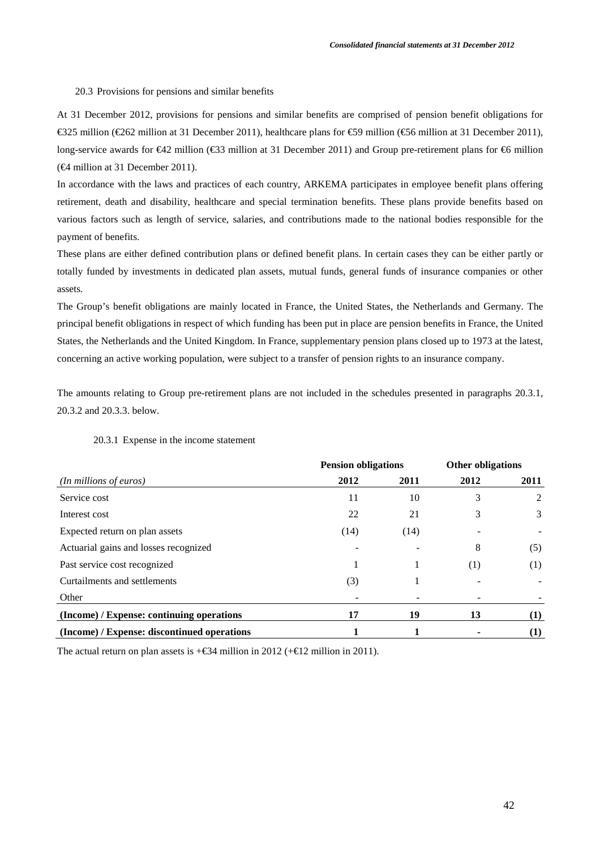### 20.3 Provisions for pensions and similar benefits

At 31 December 2012, provisions for pensions and similar benefits are comprised of pension benefit obligations for €325 million (€262 million at 31 December 2011), helthcare plans for €59 million (€56 million at 31 December 2011), long-service awards for  $\epsilon$ 42 million ( $\epsilon$ 33 million at 31 December 2011) and Group pre-retirement plans for  $\epsilon$ 6 million (€4 million at 31 December 2011).

In accordance with the laws and practices of each country, ARKEMA participates in employee benefit plans offering retirement, death and disability, healthcare and special termination benefits. These plans provide benefits based on various factors such as length of service, salaries, and contributions made to the national bodies responsible for the payment of benefits.

These plans are either defined contribution plans or defined benefit plans. In certain cases they can be either partly or totally funded by investments in dedicated plan assets, mutual funds, general funds of insurance companies or other assets.

The Group's benefit obligations are mainly located in France, the United States, the Netherlands and Germany. The principal benefit obligations in respect of which funding has been put in place are pension benefits in France, the United States, the Netherlands and the United Kingdom. In France, supplementary pension plans closed up to 1973 at the latest, concerning an active working population, were subject to a transfer of pension rights to an insurance company.

The amounts relating to Group pre-retirement plans are not included in the schedules presented in paragraphs 20.3.1, 20.3.2 and 20.3.3. below.

|                                             | <b>Pension obligations</b> | <b>Other obligations</b> |      |          |
|---------------------------------------------|----------------------------|--------------------------|------|----------|
| (In millions of euros)                      | 2012                       | 2011                     | 2012 | 2011     |
| Service cost                                | 11                         | 10                       | 3    | 2        |
| Interest cost                               | 22                         | 21                       | 3    | 3        |
| Expected return on plan assets              | (14)                       | (14)                     |      |          |
| Actuarial gains and losses recognized       |                            |                          | 8    | (5)      |
| Past service cost recognized                |                            | 1                        | (1)  | (1)      |
| Curtailments and settlements                | (3)                        |                          |      |          |
| Other                                       |                            |                          |      |          |
| (Income) / Expense: continuing operations   | 17                         | 19                       | 13   | (1)      |
| (Income) / Expense: discontinued operations |                            |                          |      | $\bf(1)$ |

#### 20.3.1 Expense in the income statement

The actual return on plan assets is  $+\epsilon$ 34 million in 2012 ( $+\epsilon$ 12 million in 2011).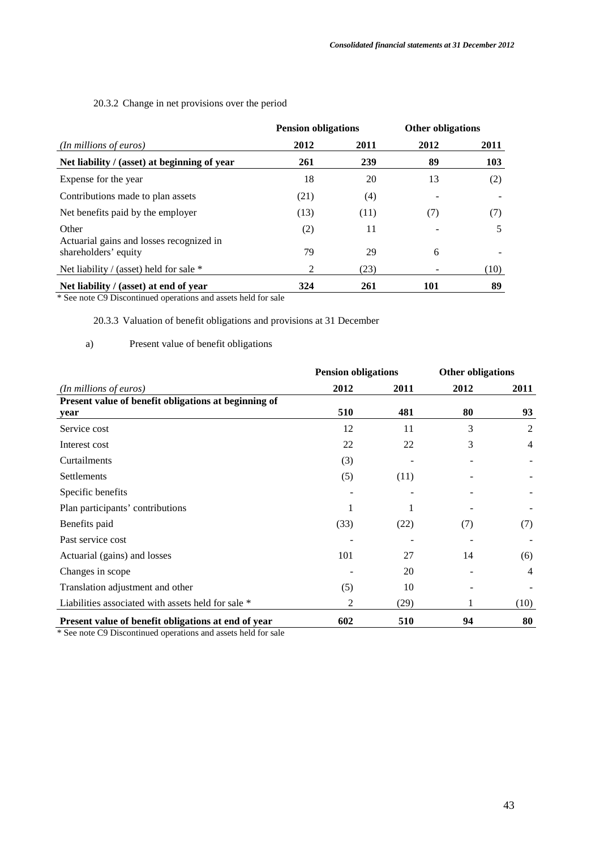|  |  |  | 20.3.2 Change in net provisions over the period |
|--|--|--|-------------------------------------------------|
|--|--|--|-------------------------------------------------|

|                                                   | <b>Pension obligations</b> |      | Other obligations |      |  |
|---------------------------------------------------|----------------------------|------|-------------------|------|--|
| (In millions of euros)                            | 2012                       | 2011 | 2012              | 2011 |  |
| Net liability / (asset) at beginning of year      | 261                        | 239  | 89                | 103  |  |
| Expense for the year                              | 18                         | 20   | 13                | (2)  |  |
| Contributions made to plan assets                 | (21)                       | (4)  |                   |      |  |
| Net benefits paid by the employer                 | (13)                       | (11) | (7)               | (7)  |  |
| Other<br>Actuarial gains and losses recognized in | (2)                        | 11   |                   | 5    |  |
| shareholders' equity                              | 79                         | 29   | 6                 |      |  |
| Net liability / (asset) held for sale *           | 2                          | (23) |                   | (10) |  |
| Net liability / (asset) at end of year            | 324                        | 261  | 101               | 89   |  |

\* See note C9 Discontinued operations and assets held for sale

# 20.3.3 Valuation of benefit obligations and provisions at 31 December

# a) Present value of benefit obligations

|                                                      | <b>Pension obligations</b> |      | <b>Other obligations</b> |                |  |
|------------------------------------------------------|----------------------------|------|--------------------------|----------------|--|
| (In millions of euros)                               | 2012                       | 2011 | 2012                     | 2011           |  |
| Present value of benefit obligations at beginning of |                            |      |                          |                |  |
| year                                                 | 510                        | 481  | 80                       | 93             |  |
| Service cost                                         | 12                         | 11   | 3                        | 2              |  |
| Interest cost                                        | 22                         | 22   | 3                        | $\overline{4}$ |  |
| Curtailments                                         | (3)                        |      |                          |                |  |
| Settlements                                          | (5)                        | (11) |                          |                |  |
| Specific benefits                                    |                            |      |                          |                |  |
| Plan participants' contributions                     | 1                          | 1    |                          |                |  |
| Benefits paid                                        | (33)                       | (22) | (7)                      | (7)            |  |
| Past service cost                                    |                            |      |                          |                |  |
| Actuarial (gains) and losses                         | 101                        | 27   | 14                       | (6)            |  |
| Changes in scope                                     |                            | 20   |                          | $\overline{4}$ |  |
| Translation adjustment and other                     | (5)                        | 10   |                          |                |  |
| Liabilities associated with assets held for sale *   | 2                          | (29) |                          | (10)           |  |
| Present value of benefit obligations at end of year  | 602                        | 510  | 94                       | 80             |  |

\* See note C9 Discontinued operations and assets held for sale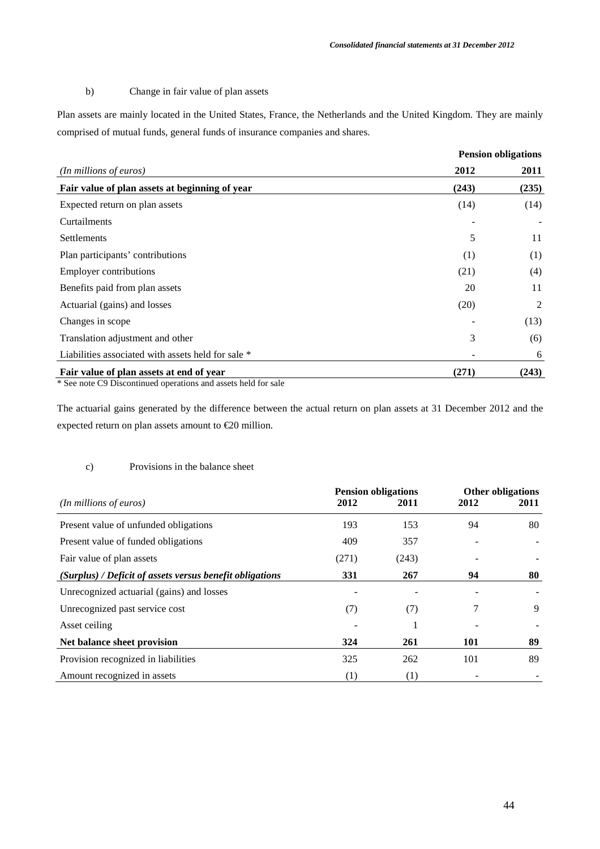# b) Change in fair value of plan assets

Plan assets are mainly located in the United States, France, the Netherlands and the United Kingdom. They are mainly comprised of mutual funds, general funds of insurance companies and shares.

|                                                                | <b>Pension obligations</b> |       |  |  |
|----------------------------------------------------------------|----------------------------|-------|--|--|
| (In millions of euros)                                         | 2012                       | 2011  |  |  |
| Fair value of plan assets at beginning of year                 | (243)                      | (235) |  |  |
| Expected return on plan assets                                 | (14)                       | (14)  |  |  |
| Curtailments                                                   |                            |       |  |  |
| Settlements                                                    | 5                          | 11    |  |  |
| Plan participants' contributions                               | (1)                        | (1)   |  |  |
| <b>Employer contributions</b>                                  | (21)                       | (4)   |  |  |
| Benefits paid from plan assets                                 | 20                         | 11    |  |  |
| Actuarial (gains) and losses                                   | (20)                       | 2     |  |  |
| Changes in scope                                               |                            | (13)  |  |  |
| Translation adjustment and other                               | 3                          | (6)   |  |  |
| Liabilities associated with assets held for sale *             |                            | 6     |  |  |
| Fair value of plan assets at end of year                       | (271)                      | (243) |  |  |
| * See note CQ Discontinued operations and assets held for sale |                            |       |  |  |

See note C9 Discontinued operations and assets held for sale

The actuarial gains generated by the difference between the actual return on plan assets at 31 December 2012 and the expected return on plan assets amount to  $\epsilon$ 20 million.

# c) Provisions in the balance sheet

|                                                          |                  | <b>Pension obligations</b> | Other obligations |      |  |
|----------------------------------------------------------|------------------|----------------------------|-------------------|------|--|
| (In millions of euros)                                   | 2012             | 2011                       | 2012              | 2011 |  |
| Present value of unfunded obligations                    | 193              | 153                        | 94                | 80   |  |
| Present value of funded obligations                      | 409              | 357                        |                   |      |  |
| Fair value of plan assets                                | (271)            | (243)                      |                   |      |  |
| (Surplus) / Deficit of assets versus benefit obligations | <b>331</b>       | 267                        | 94                | 80   |  |
| Unrecognized actuarial (gains) and losses                |                  |                            |                   |      |  |
| Unrecognized past service cost                           | (7)              | (7)                        | 7                 | 9    |  |
| Asset ceiling                                            |                  |                            |                   |      |  |
| Net balance sheet provision                              | 324              | 261                        | 101               | 89   |  |
| Provision recognized in liabilities                      | 325              | 262                        | 101               | 89   |  |
| Amount recognized in assets                              | $\left(1\right)$ | (1)                        |                   |      |  |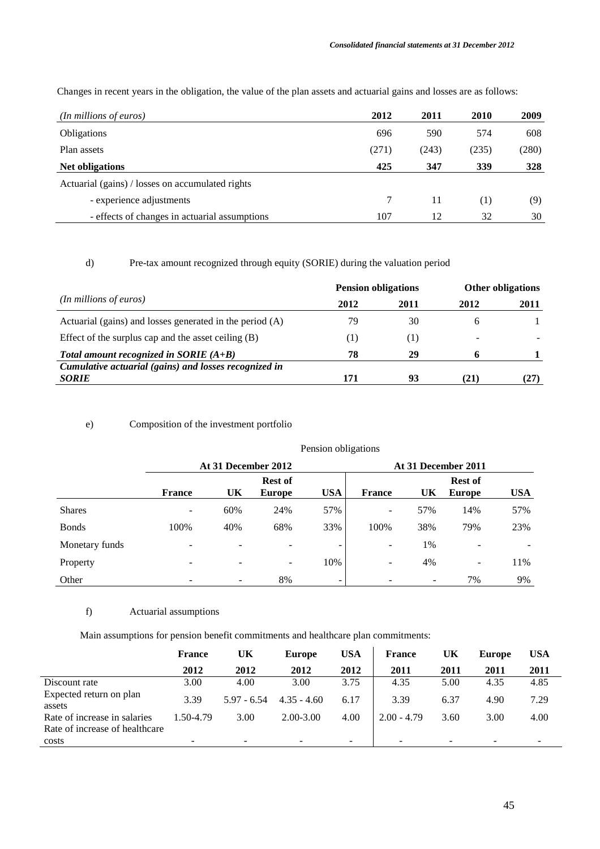| (In millions of euros)                           | 2012  | 2011  | 2010  | 2009  |
|--------------------------------------------------|-------|-------|-------|-------|
| <b>Obligations</b>                               | 696   | 590   | 574   | 608   |
| Plan assets                                      | (271) | (243) | (235) | (280) |
| <b>Net obligations</b>                           | 425   | 347   | 339   | 328   |
| Actuarial (gains) / losses on accumulated rights |       |       |       |       |
| - experience adjustments                         |       | 11    | (1)   | (9)   |
| - effects of changes in actuarial assumptions    | 107   | 12    | 32    | 30    |

Changes in recent years in the obligation, the value of the plan assets and actuarial gains and losses are as follows:

# d) Pre-tax amount recognized through equity (SORIE) during the valuation period

|                                                          | <b>Pension obligations</b> |      | <b>Other obligations</b> |      |  |
|----------------------------------------------------------|----------------------------|------|--------------------------|------|--|
| <i>(In millions of euros)</i>                            | 2012                       | 2011 | 2012                     | 2011 |  |
| Actuarial (gains) and losses generated in the period (A) | 79                         | 30   | h                        |      |  |
| Effect of the surplus cap and the asset ceiling $(B)$    | [1]                        | (1)  | ۰                        |      |  |
| Total amount recognized in SORIE $(A+B)$                 | 78                         | 29   |                          |      |  |
| Cumulative actuarial (gains) and losses recognized in    |                            |      |                          |      |  |
| <b>SORIE</b>                                             | 171                        | 93   | (21)                     | (27) |  |

# e) Composition of the investment portfolio

|                | Pension obligations      |                              |                                 |            |                     |     |                                 |            |
|----------------|--------------------------|------------------------------|---------------------------------|------------|---------------------|-----|---------------------------------|------------|
|                |                          |                              | At 31 December 2012             |            | At 31 December 2011 |     |                                 |            |
|                | <b>France</b>            | UK                           | <b>Rest of</b><br><b>Europe</b> | <b>USA</b> | <b>France</b>       | UK  | <b>Rest of</b><br><b>Europe</b> | <b>USA</b> |
| <b>Shares</b>  | $\overline{\phantom{a}}$ | 60%                          | 24%                             | 57%        |                     | 57% | 14%                             | 57%        |
| <b>Bonds</b>   | 100%                     | 40%                          | 68%                             | 33%        | 100%                | 38% | 79%                             | 23%        |
| Monetary funds |                          | $\qquad \qquad \blacksquare$ | $\qquad \qquad$                 | -          | $\qquad \qquad$     | 1%  |                                 |            |
| Property       | $\overline{\phantom{0}}$ | $\qquad \qquad -$            | $\overline{\phantom{a}}$        | 10%        | Ξ.                  | 4%  | $\overline{\phantom{a}}$        | 11%        |
| Other          |                          | $\overline{\phantom{a}}$     | 8%                              | -          |                     |     | 7%                              | 9%         |

# f) Actuarial assumptions

Main assumptions for pension benefit commitments and healthcare plan commitments:

|                                                                | <b>France</b> | UK                       | <b>Europe</b>            | <b>USA</b>               | <b>France</b>            | UK   | <b>Europe</b> | USA                      |
|----------------------------------------------------------------|---------------|--------------------------|--------------------------|--------------------------|--------------------------|------|---------------|--------------------------|
|                                                                | 2012          | 2012                     | 2012                     | 2012                     | 2011                     | 2011 | 2011          | 2011                     |
| Discount rate                                                  | 3.00          | 4.00                     | 3.00                     | 3.75                     | 4.35                     | 5.00 | 4.35          | 4.85                     |
| Expected return on plan<br>assets                              | 3.39          | $5.97 - 6.54$            | $4.35 - 4.60$            | 6.17                     | 3.39                     | 6.37 | 4.90          | 7.29                     |
| Rate of increase in salaries<br>Rate of increase of healthcare | 1.50-4.79     | 3.00                     | $2.00 - 3.00$            | 4.00                     | $2.00 - 4.79$            | 3.60 | 3.00          | 4.00                     |
| costs                                                          | -             | $\overline{\phantom{0}}$ | $\overline{\phantom{a}}$ | $\overline{\phantom{a}}$ | $\overline{\phantom{a}}$ | -    | -             | $\overline{\phantom{0}}$ |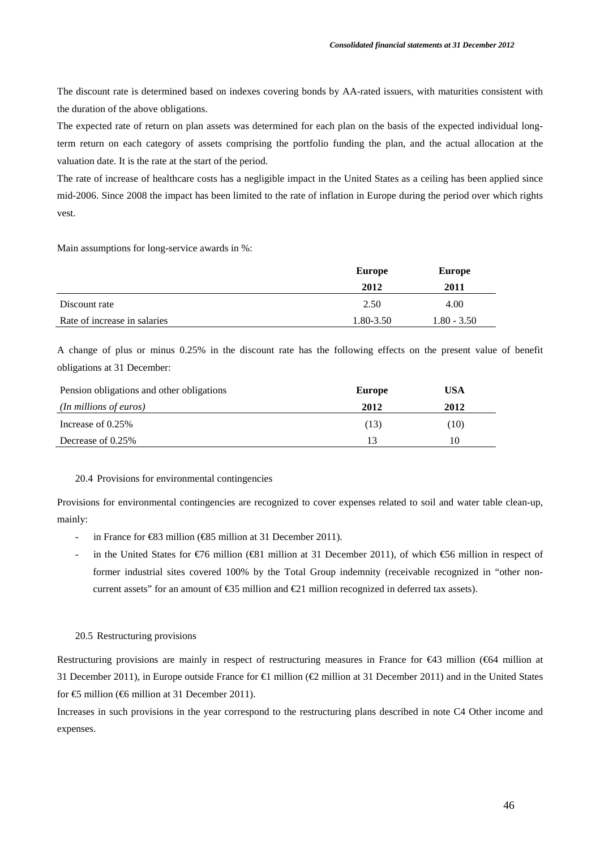The discount rate is determined based on indexes covering bonds by AA-rated issuers, with maturities consistent with the duration of the above obligations.

The expected rate of return on plan assets was determined for each plan on the basis of the expected individual longterm return on each category of assets comprising the portfolio funding the plan, and the actual allocation at the valuation date. It is the rate at the start of the period.

The rate of increase of healthcare costs has a negligible impact in the United States as a ceiling has been applied since mid-2006. Since 2008 the impact has been limited to the rate of inflation in Europe during the period over which rights vest.

Main assumptions for long-service awards in %:

|                              | <b>Europe</b> | <b>Europe</b> |
|------------------------------|---------------|---------------|
|                              | 2012          | <b>2011</b>   |
| Discount rate                | 2.50          | 4.00          |
| Rate of increase in salaries | 1.80-3.50     | $1.80 - 3.50$ |

A change of plus or minus 0.25% in the discount rate has the following effects on the present value of benefit obligations at 31 December:

| Pension obligations and other obligations | Europe | <b>USA</b> |
|-------------------------------------------|--------|------------|
| (In millions of euros)                    | 2012   | 2012       |
| Increase of 0.25%                         | (13)   | (10)       |
| Decrease of 0.25%                         |        | 10         |

# 20.4 Provisions for environmental contingencies

Provisions for environmental contingencies are recognized to cover expenses related to soil and water table clean-up, mainly:

- in France for  $\epsilon$ 83 million ( $\epsilon$ 85 million at 31 Decembr 2011).
- in the United States for €76 million (€81 million a 31 December 2011), of which €56 million in respect of former industrial sites covered 100% by the Total Group indemnity (receivable recognized in "other noncurrent assets" for an amount of  $\epsilon$ 35 million and  $\epsilon$ 2 million recognized in deferred tax assets).

### 20.5 Restructuring provisions

Restructuring provisions are mainly in respect of restructuring measures in France for €43 million (€64 million at 31 December 2011), in Europe outside France for €1 million (€2 million at 31 December 2011) and in the United States for €5 million (€6 million at 31 December 2011).

Increases in such provisions in the year correspond to the restructuring plans described in note C4 Other income and expenses.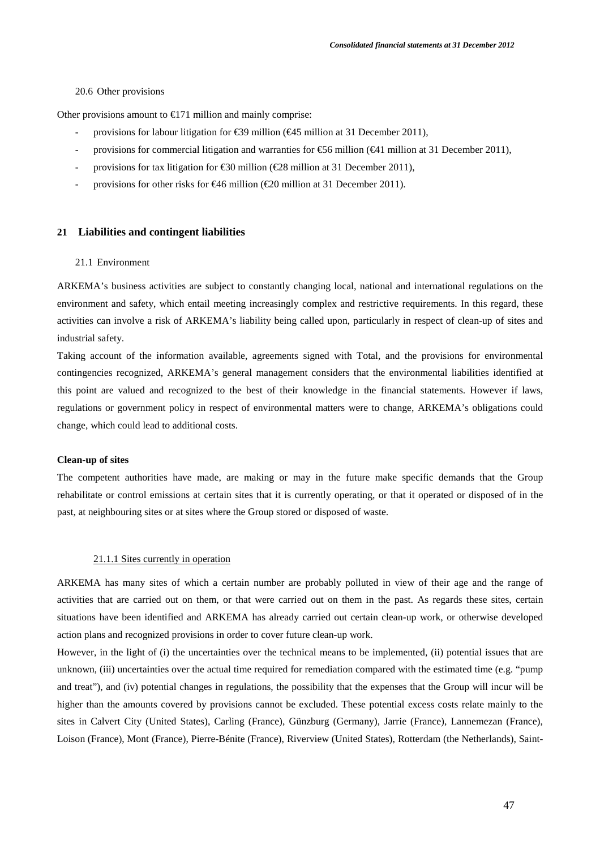#### 20.6 Other provisions

Other provisions amount to  $\epsilon$ 171 million and mainly comprise:

- provisions for labour litigation for  $\epsilon$ 39 million ( $\epsilon$ 45 million at 31 December 2011),
- provisions for commercial litigation and warranties for  $\epsilon$ 56 million ( $\epsilon$ 41 million at 31 December 2011),
- provisions for tax litigation for  $\epsilon$ 30 million ( $\epsilon$ 28 million at 31 December 2011),
- provisions for other risks for  $\epsilon$ 46 million ( $\epsilon$ 20 million at 31 December 2011).

# **21 Liabilities and contingent liabilities**

#### 21.1 Environment

ARKEMA's business activities are subject to constantly changing local, national and international regulations on the environment and safety, which entail meeting increasingly complex and restrictive requirements. In this regard, these activities can involve a risk of ARKEMA's liability being called upon, particularly in respect of clean-up of sites and industrial safety.

Taking account of the information available, agreements signed with Total, and the provisions for environmental contingencies recognized, ARKEMA's general management considers that the environmental liabilities identified at this point are valued and recognized to the best of their knowledge in the financial statements. However if laws, regulations or government policy in respect of environmental matters were to change, ARKEMA's obligations could change, which could lead to additional costs.

#### **Clean-up of sites**

The competent authorities have made, are making or may in the future make specific demands that the Group rehabilitate or control emissions at certain sites that it is currently operating, or that it operated or disposed of in the past, at neighbouring sites or at sites where the Group stored or disposed of waste.

#### 21.1.1 Sites currently in operation

ARKEMA has many sites of which a certain number are probably polluted in view of their age and the range of activities that are carried out on them, or that were carried out on them in the past. As regards these sites, certain situations have been identified and ARKEMA has already carried out certain clean-up work, or otherwise developed action plans and recognized provisions in order to cover future clean-up work.

However, in the light of (i) the uncertainties over the technical means to be implemented, (ii) potential issues that are unknown, (iii) uncertainties over the actual time required for remediation compared with the estimated time (e.g. "pump and treat"), and (iv) potential changes in regulations, the possibility that the expenses that the Group will incur will be higher than the amounts covered by provisions cannot be excluded. These potential excess costs relate mainly to the sites in Calvert City (United States), Carling (France), Günzburg (Germany), Jarrie (France), Lannemezan (France), Loison (France), Mont (France), Pierre-Bénite (France), Riverview (United States), Rotterdam (the Netherlands), Saint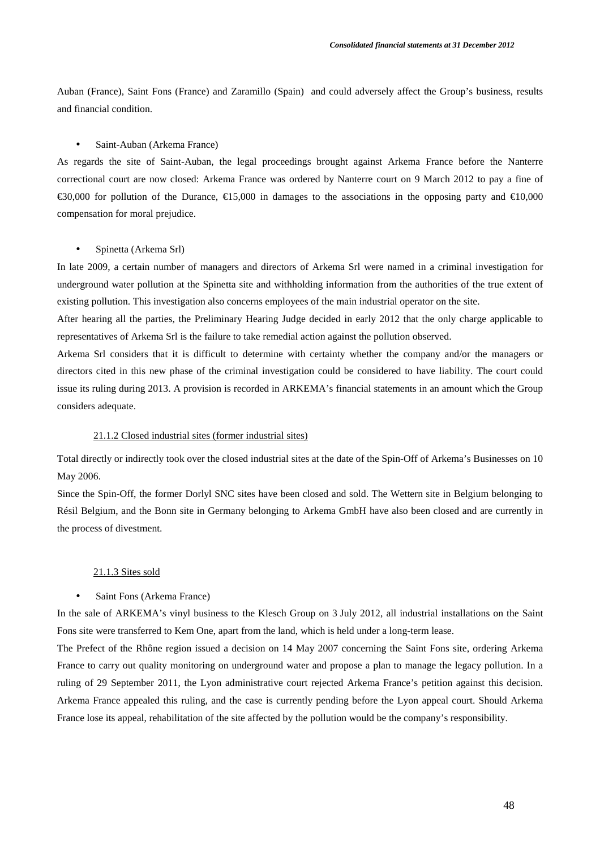Auban (France), Saint Fons (France) and Zaramillo (Spain) and could adversely affect the Group's business, results and financial condition.

#### • Saint-Auban (Arkema France)

As regards the site of Saint-Auban, the legal proceedings brought against Arkema France before the Nanterre correctional court are now closed: Arkema France was ordered by Nanterre court on 9 March 2012 to pay a fine of €30,000 for pollution of the Durance, €15,000 in danges to the associations in the opposing party and €10,000 compensation for moral prejudice.

# • Spinetta (Arkema Srl)

In late 2009, a certain number of managers and directors of Arkema Srl were named in a criminal investigation for underground water pollution at the Spinetta site and withholding information from the authorities of the true extent of existing pollution. This investigation also concerns employees of the main industrial operator on the site.

After hearing all the parties, the Preliminary Hearing Judge decided in early 2012 that the only charge applicable to representatives of Arkema Srl is the failure to take remedial action against the pollution observed.

Arkema Srl considers that it is difficult to determine with certainty whether the company and/or the managers or directors cited in this new phase of the criminal investigation could be considered to have liability. The court could issue its ruling during 2013. A provision is recorded in ARKEMA's financial statements in an amount which the Group considers adequate.

# 21.1.2 Closed industrial sites (former industrial sites)

Total directly or indirectly took over the closed industrial sites at the date of the Spin-Off of Arkema's Businesses on 10 May 2006.

Since the Spin-Off, the former Dorlyl SNC sites have been closed and sold. The Wettern site in Belgium belonging to Résil Belgium, and the Bonn site in Germany belonging to Arkema GmbH have also been closed and are currently in the process of divestment.

### 21.1.3 Sites sold

#### • Saint Fons (Arkema France)

In the sale of ARKEMA's vinyl business to the Klesch Group on 3 July 2012, all industrial installations on the Saint Fons site were transferred to Kem One, apart from the land, which is held under a long-term lease.

The Prefect of the Rhône region issued a decision on 14 May 2007 concerning the Saint Fons site, ordering Arkema France to carry out quality monitoring on underground water and propose a plan to manage the legacy pollution. In a ruling of 29 September 2011, the Lyon administrative court rejected Arkema France's petition against this decision. Arkema France appealed this ruling, and the case is currently pending before the Lyon appeal court. Should Arkema France lose its appeal, rehabilitation of the site affected by the pollution would be the company's responsibility.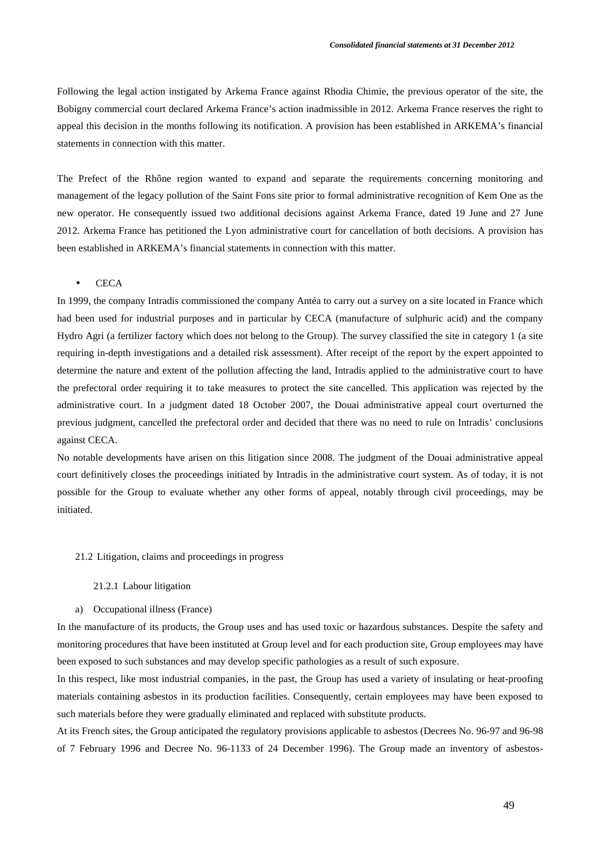Following the legal action instigated by Arkema France against Rhodia Chimie, the previous operator of the site, the Bobigny commercial court declared Arkema France's action inadmissible in 2012. Arkema France reserves the right to appeal this decision in the months following its notification. A provision has been established in ARKEMA's financial statements in connection with this matter.

The Prefect of the Rhône region wanted to expand and separate the requirements concerning monitoring and management of the legacy pollution of the Saint Fons site prior to formal administrative recognition of Kem One as the new operator. He consequently issued two additional decisions against Arkema France, dated 19 June and 27 June 2012. Arkema France has petitioned the Lyon administrative court for cancellation of both decisions. A provision has been established in ARKEMA's financial statements in connection with this matter.

## • CECA

In 1999, the company Intradis commissioned the company Antéa to carry out a survey on a site located in France which had been used for industrial purposes and in particular by CECA (manufacture of sulphuric acid) and the company Hydro Agri (a fertilizer factory which does not belong to the Group). The survey classified the site in category 1 (a site requiring in-depth investigations and a detailed risk assessment). After receipt of the report by the expert appointed to determine the nature and extent of the pollution affecting the land, Intradis applied to the administrative court to have the prefectoral order requiring it to take measures to protect the site cancelled. This application was rejected by the administrative court. In a judgment dated 18 October 2007, the Douai administrative appeal court overturned the previous judgment, cancelled the prefectoral order and decided that there was no need to rule on Intradis' conclusions against CECA.

No notable developments have arisen on this litigation since 2008. The judgment of the Douai administrative appeal court definitively closes the proceedings initiated by Intradis in the administrative court system. As of today, it is not possible for the Group to evaluate whether any other forms of appeal, notably through civil proceedings, may be initiated.

## 21.2 Litigation, claims and proceedings in progress

## 21.2.1 Labour litigation

## a) Occupational illness (France)

In the manufacture of its products, the Group uses and has used toxic or hazardous substances. Despite the safety and monitoring procedures that have been instituted at Group level and for each production site, Group employees may have been exposed to such substances and may develop specific pathologies as a result of such exposure.

In this respect, like most industrial companies, in the past, the Group has used a variety of insulating or heat-proofing materials containing asbestos in its production facilities. Consequently, certain employees may have been exposed to such materials before they were gradually eliminated and replaced with substitute products.

At its French sites, the Group anticipated the regulatory provisions applicable to asbestos (Decrees No. 96-97 and 96-98 of 7 February 1996 and Decree No. 96-1133 of 24 December 1996). The Group made an inventory of asbestos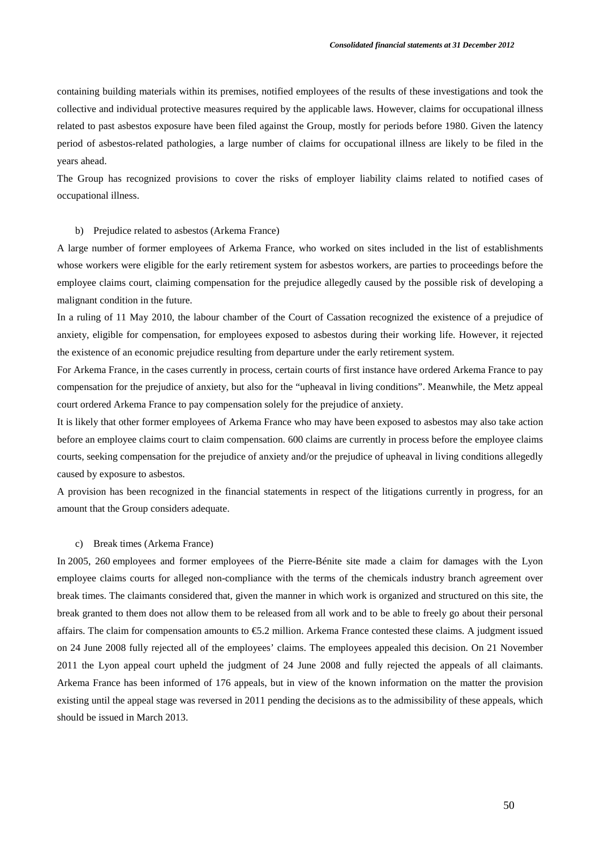containing building materials within its premises, notified employees of the results of these investigations and took the collective and individual protective measures required by the applicable laws. However, claims for occupational illness related to past asbestos exposure have been filed against the Group, mostly for periods before 1980. Given the latency period of asbestos-related pathologies, a large number of claims for occupational illness are likely to be filed in the years ahead.

The Group has recognized provisions to cover the risks of employer liability claims related to notified cases of occupational illness.

## b) Prejudice related to asbestos (Arkema France)

A large number of former employees of Arkema France, who worked on sites included in the list of establishments whose workers were eligible for the early retirement system for asbestos workers, are parties to proceedings before the employee claims court, claiming compensation for the prejudice allegedly caused by the possible risk of developing a malignant condition in the future.

In a ruling of 11 May 2010, the labour chamber of the Court of Cassation recognized the existence of a prejudice of anxiety, eligible for compensation, for employees exposed to asbestos during their working life. However, it rejected the existence of an economic prejudice resulting from departure under the early retirement system.

For Arkema France, in the cases currently in process, certain courts of first instance have ordered Arkema France to pay compensation for the prejudice of anxiety, but also for the "upheaval in living conditions". Meanwhile, the Metz appeal court ordered Arkema France to pay compensation solely for the prejudice of anxiety.

It is likely that other former employees of Arkema France who may have been exposed to asbestos may also take action before an employee claims court to claim compensation. 600 claims are currently in process before the employee claims courts, seeking compensation for the prejudice of anxiety and/or the prejudice of upheaval in living conditions allegedly caused by exposure to asbestos.

A provision has been recognized in the financial statements in respect of the litigations currently in progress, for an amount that the Group considers adequate.

## c) Break times (Arkema France)

In 2005, 260 employees and former employees of the Pierre-Bénite site made a claim for damages with the Lyon employee claims courts for alleged non-compliance with the terms of the chemicals industry branch agreement over break times. The claimants considered that, given the manner in which work is organized and structured on this site, the break granted to them does not allow them to be released from all work and to be able to freely go about their personal affairs. The claim for compensation amounts to €5.2 million. Arkema France contested these claims. A judgment issued on 24 June 2008 fully rejected all of the employees' claims. The employees appealed this decision. On 21 November 2011 the Lyon appeal court upheld the judgment of 24 June 2008 and fully rejected the appeals of all claimants. Arkema France has been informed of 176 appeals, but in view of the known information on the matter the provision existing until the appeal stage was reversed in 2011 pending the decisions as to the admissibility of these appeals, which should be issued in March 2013.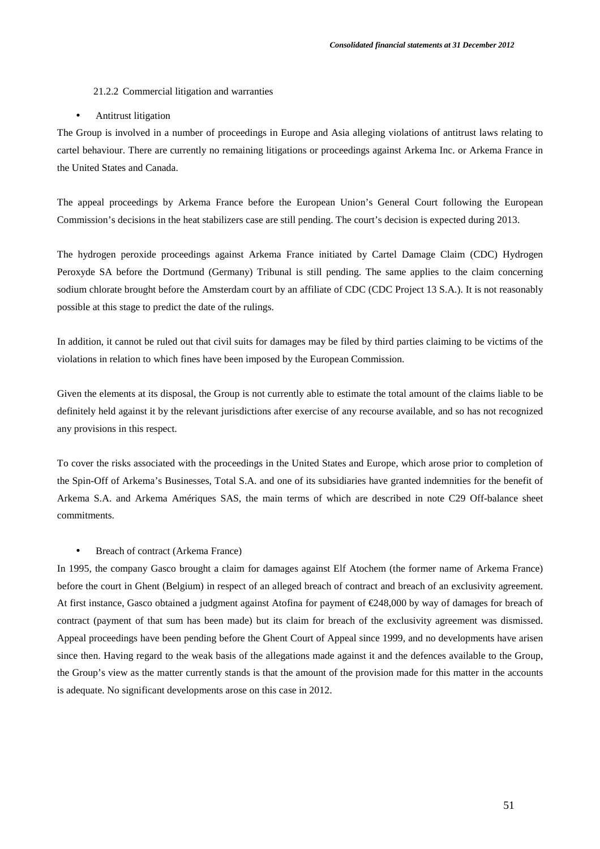#### 21.2.2 Commercial litigation and warranties

#### • Antitrust litigation

The Group is involved in a number of proceedings in Europe and Asia alleging violations of antitrust laws relating to cartel behaviour. There are currently no remaining litigations or proceedings against Arkema Inc. or Arkema France in the United States and Canada.

The appeal proceedings by Arkema France before the European Union's General Court following the European Commission's decisions in the heat stabilizers case are still pending. The court's decision is expected during 2013.

The hydrogen peroxide proceedings against Arkema France initiated by Cartel Damage Claim (CDC) Hydrogen Peroxyde SA before the Dortmund (Germany) Tribunal is still pending. The same applies to the claim concerning sodium chlorate brought before the Amsterdam court by an affiliate of CDC (CDC Project 13 S.A.). It is not reasonably possible at this stage to predict the date of the rulings.

In addition, it cannot be ruled out that civil suits for damages may be filed by third parties claiming to be victims of the violations in relation to which fines have been imposed by the European Commission.

Given the elements at its disposal, the Group is not currently able to estimate the total amount of the claims liable to be definitely held against it by the relevant jurisdictions after exercise of any recourse available, and so has not recognized any provisions in this respect.

To cover the risks associated with the proceedings in the United States and Europe, which arose prior to completion of the Spin-Off of Arkema's Businesses, Total S.A. and one of its subsidiaries have granted indemnities for the benefit of Arkema S.A. and Arkema Amériques SAS, the main terms of which are described in note C29 Off-balance sheet commitments.

# • Breach of contract (Arkema France)

In 1995, the company Gasco brought a claim for damages against Elf Atochem (the former name of Arkema France) before the court in Ghent (Belgium) in respect of an alleged breach of contract and breach of an exclusivity agreement. At first instance, Gasco obtained a judgment against Atofina for payment of €248,000 by way of damages for breach of contract (payment of that sum has been made) but its claim for breach of the exclusivity agreement was dismissed. Appeal proceedings have been pending before the Ghent Court of Appeal since 1999, and no developments have arisen since then. Having regard to the weak basis of the allegations made against it and the defences available to the Group, the Group's view as the matter currently stands is that the amount of the provision made for this matter in the accounts is adequate. No significant developments arose on this case in 2012.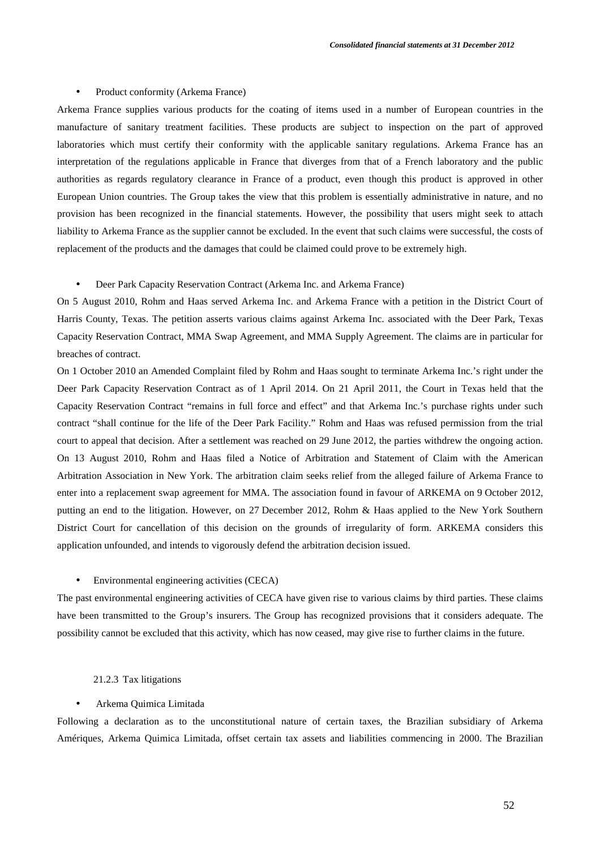#### • Product conformity (Arkema France)

Arkema France supplies various products for the coating of items used in a number of European countries in the manufacture of sanitary treatment facilities. These products are subject to inspection on the part of approved laboratories which must certify their conformity with the applicable sanitary regulations. Arkema France has an interpretation of the regulations applicable in France that diverges from that of a French laboratory and the public authorities as regards regulatory clearance in France of a product, even though this product is approved in other European Union countries. The Group takes the view that this problem is essentially administrative in nature, and no provision has been recognized in the financial statements. However, the possibility that users might seek to attach liability to Arkema France as the supplier cannot be excluded. In the event that such claims were successful, the costs of replacement of the products and the damages that could be claimed could prove to be extremely high.

### • Deer Park Capacity Reservation Contract (Arkema Inc. and Arkema France)

On 5 August 2010, Rohm and Haas served Arkema Inc. and Arkema France with a petition in the District Court of Harris County, Texas. The petition asserts various claims against Arkema Inc. associated with the Deer Park, Texas Capacity Reservation Contract, MMA Swap Agreement, and MMA Supply Agreement. The claims are in particular for breaches of contract.

On 1 October 2010 an Amended Complaint filed by Rohm and Haas sought to terminate Arkema Inc.'s right under the Deer Park Capacity Reservation Contract as of 1 April 2014. On 21 April 2011, the Court in Texas held that the Capacity Reservation Contract "remains in full force and effect" and that Arkema Inc.'s purchase rights under such contract "shall continue for the life of the Deer Park Facility." Rohm and Haas was refused permission from the trial court to appeal that decision. After a settlement was reached on 29 June 2012, the parties withdrew the ongoing action. On 13 August 2010, Rohm and Haas filed a Notice of Arbitration and Statement of Claim with the American Arbitration Association in New York. The arbitration claim seeks relief from the alleged failure of Arkema France to enter into a replacement swap agreement for MMA. The association found in favour of ARKEMA on 9 October 2012, putting an end to the litigation. However, on 27 December 2012, Rohm & Haas applied to the New York Southern District Court for cancellation of this decision on the grounds of irregularity of form. ARKEMA considers this application unfounded, and intends to vigorously defend the arbitration decision issued.

# • Environmental engineering activities (CECA)

The past environmental engineering activities of CECA have given rise to various claims by third parties. These claims have been transmitted to the Group's insurers. The Group has recognized provisions that it considers adequate. The possibility cannot be excluded that this activity, which has now ceased, may give rise to further claims in the future.

## 21.2.3 Tax litigations

#### • Arkema Quimica Limitada

Following a declaration as to the unconstitutional nature of certain taxes, the Brazilian subsidiary of Arkema Amériques, Arkema Quimica Limitada, offset certain tax assets and liabilities commencing in 2000. The Brazilian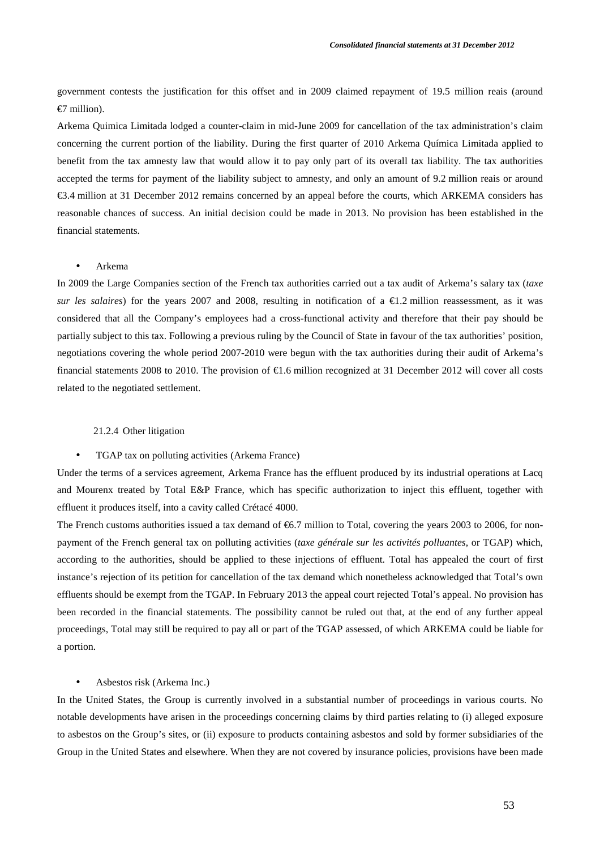government contests the justification for this offset and in 2009 claimed repayment of 19.5 million reais (around €7 million).

Arkema Quimica Limitada lodged a counter-claim in mid-June 2009 for cancellation of the tax administration's claim concerning the current portion of the liability. During the first quarter of 2010 Arkema Química Limitada applied to benefit from the tax amnesty law that would allow it to pay only part of its overall tax liability. The tax authorities accepted the terms for payment of the liability subject to amnesty, and only an amount of 9.2 million reais or around €3.4 million at 31 December 2012 remains concerned by an appeal before the courts, which ARKEMA considers has reasonable chances of success. An initial decision could be made in 2013. No provision has been established in the financial statements.

### • Arkema

In 2009 the Large Companies section of the French tax authorities carried out a tax audit of Arkema's salary tax (*taxe sur les salaires*) for the years 2007 and 2008, resulting in notification of a €1.2 million reassessment, as it was considered that all the Company's employees had a cross-functional activity and therefore that their pay should be partially subject to this tax. Following a previous ruling by the Council of State in favour of the tax authorities' position, negotiations covering the whole period 2007-2010 were begun with the tax authorities during their audit of Arkema's financial statements 2008 to 2010. The provision of  $\epsilon$ 1.6 million recognized at 31 December 2012 will cover all costs related to the negotiated settlement.

#### 21.2.4 Other litigation

#### • TGAP tax on polluting activities (Arkema France)

Under the terms of a services agreement, Arkema France has the effluent produced by its industrial operations at Lacq and Mourenx treated by Total E&P France, which has specific authorization to inject this effluent, together with effluent it produces itself, into a cavity called Crétacé 4000.

The French customs authorities issued a tax demand of  $\epsilon$ 6.7 million to Total, covering the years 2003 to 2006, for nonpayment of the French general tax on polluting activities (*taxe générale sur les activités polluantes*, or TGAP) which, according to the authorities, should be applied to these injections of effluent. Total has appealed the court of first instance's rejection of its petition for cancellation of the tax demand which nonetheless acknowledged that Total's own effluents should be exempt from the TGAP. In February 2013 the appeal court rejected Total's appeal. No provision has been recorded in the financial statements. The possibility cannot be ruled out that, at the end of any further appeal proceedings, Total may still be required to pay all or part of the TGAP assessed, of which ARKEMA could be liable for a portion.

# • Asbestos risk (Arkema Inc.)

In the United States, the Group is currently involved in a substantial number of proceedings in various courts. No notable developments have arisen in the proceedings concerning claims by third parties relating to (i) alleged exposure to asbestos on the Group's sites, or (ii) exposure to products containing asbestos and sold by former subsidiaries of the Group in the United States and elsewhere. When they are not covered by insurance policies, provisions have been made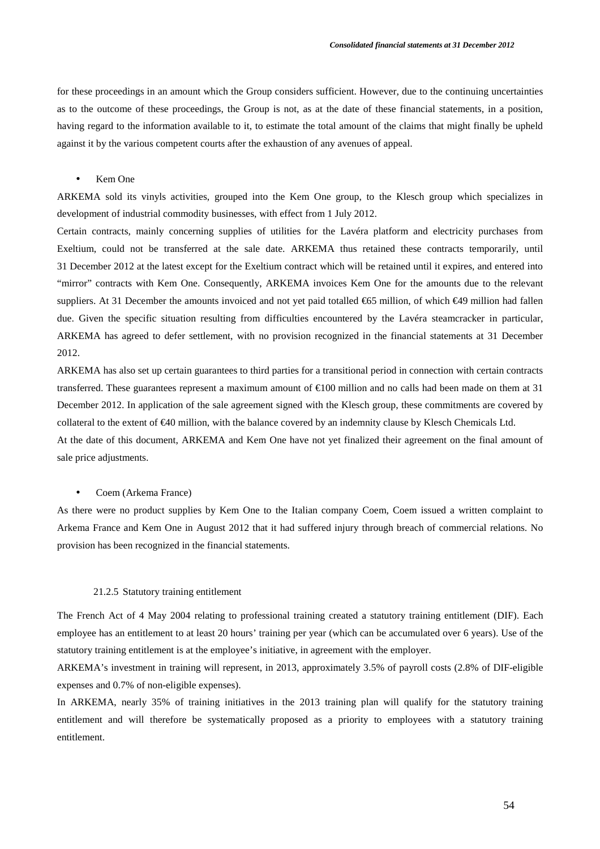for these proceedings in an amount which the Group considers sufficient. However, due to the continuing uncertainties as to the outcome of these proceedings, the Group is not, as at the date of these financial statements, in a position, having regard to the information available to it, to estimate the total amount of the claims that might finally be upheld against it by the various competent courts after the exhaustion of any avenues of appeal.

#### • Kem One

ARKEMA sold its vinyls activities, grouped into the Kem One group, to the Klesch group which specializes in development of industrial commodity businesses, with effect from 1 July 2012.

Certain contracts, mainly concerning supplies of utilities for the Lavéra platform and electricity purchases from Exeltium, could not be transferred at the sale date. ARKEMA thus retained these contracts temporarily, until 31 December 2012 at the latest except for the Exeltium contract which will be retained until it expires, and entered into "mirror" contracts with Kem One. Consequently, ARKEMA invoices Kem One for the amounts due to the relevant suppliers. At 31 December the amounts invoiced and not yet paid totalled €65 million, of which €49 million had fallen due. Given the specific situation resulting from difficulties encountered by the Lavéra steamcracker in particular, ARKEMA has agreed to defer settlement, with no provision recognized in the financial statements at 31 December 2012.

ARKEMA has also set up certain guarantees to third parties for a transitional period in connection with certain contracts transferred. These guarantees represent a maximum amount of €100 million and no calls had been made on them at 31 December 2012. In application of the sale agreement signed with the Klesch group, these commitments are covered by collateral to the extent of €40 million, with the balance covered by an indemnity clause by Klesch Chemicals Ltd. At the date of this document, ARKEMA and Kem One have not yet finalized their agreement on the final amount of sale price adjustments.

## • Coem (Arkema France)

As there were no product supplies by Kem One to the Italian company Coem, Coem issued a written complaint to Arkema France and Kem One in August 2012 that it had suffered injury through breach of commercial relations. No provision has been recognized in the financial statements.

#### 21.2.5 Statutory training entitlement

The French Act of 4 May 2004 relating to professional training created a statutory training entitlement (DIF). Each employee has an entitlement to at least 20 hours' training per year (which can be accumulated over 6 years). Use of the statutory training entitlement is at the employee's initiative, in agreement with the employer.

ARKEMA's investment in training will represent, in 2013, approximately 3.5% of payroll costs (2.8% of DIF-eligible expenses and 0.7% of non-eligible expenses).

In ARKEMA, nearly 35% of training initiatives in the 2013 training plan will qualify for the statutory training entitlement and will therefore be systematically proposed as a priority to employees with a statutory training entitlement.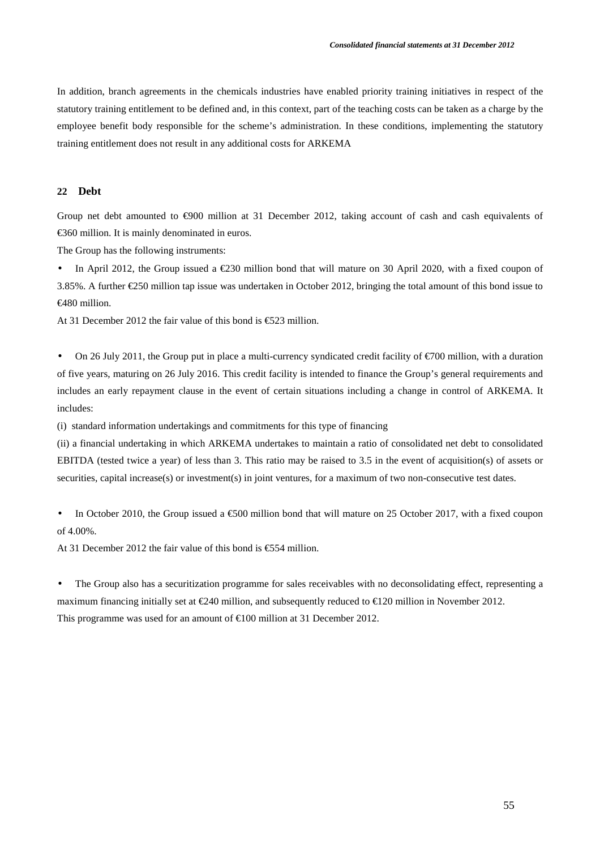In addition, branch agreements in the chemicals industries have enabled priority training initiatives in respect of the statutory training entitlement to be defined and, in this context, part of the teaching costs can be taken as a charge by the employee benefit body responsible for the scheme's administration. In these conditions, implementing the statutory training entitlement does not result in any additional costs for ARKEMA

# **22 Debt**

Group net debt amounted to  $\epsilon$ 900 million at 31 December 2012, taking account of cash and cash equivalents of €360 million. It is mainly denominated in euros.

The Group has the following instruments:

• In April 2012, the Group issued a  $\epsilon$ 230 million bond that will mature on 30 April 2020, with a fixed coupon of 3.85%. A further  $\epsilon$ 250 million tap issue was undertaken in October 2012, bringing the total amount of this bond issue to €480 million.

At 31 December 2012 the fair value of this bond is €523 million.

On 26 July 2011, the Group put in place a multi-currency syndicated credit facility of  $\epsilon$ 700 million, with a duration of five years, maturing on 26 July 2016. This credit facility is intended to finance the Group's general requirements and includes an early repayment clause in the event of certain situations including a change in control of ARKEMA. It includes:

(i) standard information undertakings and commitments for this type of financing

(ii) a financial undertaking in which ARKEMA undertakes to maintain a ratio of consolidated net debt to consolidated EBITDA (tested twice a year) of less than 3. This ratio may be raised to 3.5 in the event of acquisition(s) of assets or securities, capital increase(s) or investment(s) in joint ventures, for a maximum of two non-consecutive test dates.

• In October 2010, the Group issued a €500 million bond that will mature on 25 October 2017, with a fixed coupon of 4.00%.

At 31 December 2012 the fair value of this bond is €554 million.

• The Group also has a securitization programme for sales receivables with no deconsolidating effect, representing a maximum financing initially set at  $\epsilon$ 240 million, and subsequently reduced to  $\epsilon$ 120 million in November 2012. This programme was used for an amount of  $\epsilon$ 100 million at 31 December 2012.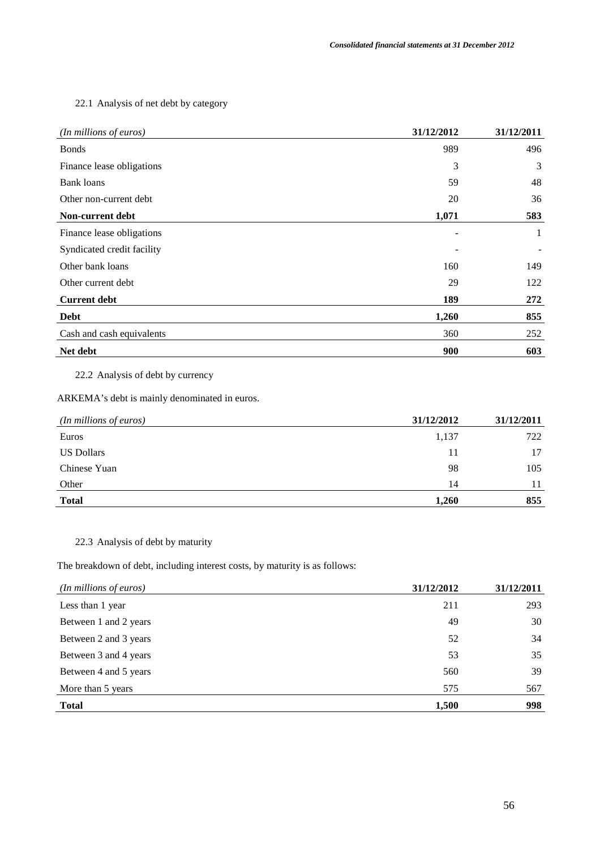# 22.1 Analysis of net debt by category

| (In millions of euros)     | 31/12/2012        | 31/12/2011 |
|----------------------------|-------------------|------------|
| <b>B</b> onds              | 989               | 496        |
| Finance lease obligations  | 3                 | 3          |
| <b>Bank loans</b>          | 59                | 48         |
| Other non-current debt     | 20                | 36         |
| Non-current debt           | 1,071             | 583        |
| Finance lease obligations  | $\qquad \qquad -$ | 1          |
| Syndicated credit facility |                   |            |
| Other bank loans           | 160               | 149        |
| Other current debt         | 29                | 122        |
| <b>Current debt</b>        | 189               | 272        |
| Debt                       | 1,260             | 855        |
| Cash and cash equivalents  | 360               | 252        |
| Net debt                   | 900               | 603        |

22.2 Analysis of debt by currency

ARKEMA's debt is mainly denominated in euros.

| (In millions of euros) | 31/12/2012 | 31/12/2011 |
|------------------------|------------|------------|
| Euros                  | 1,137      | 722        |
| <b>US Dollars</b>      | 11         | 17         |
| Chinese Yuan           | 98         | 105        |
| Other                  | 14         | 11         |
| <b>Total</b>           | 1,260      | 855        |

# 22.3 Analysis of debt by maturity

The breakdown of debt, including interest costs, by maturity is as follows:

| (In millions of euros) | 31/12/2012 | 31/12/2011 |
|------------------------|------------|------------|
| Less than 1 year       | 211        | 293        |
| Between 1 and 2 years  | 49         | 30         |
| Between 2 and 3 years  | 52         | 34         |
| Between 3 and 4 years  | 53         | 35         |
| Between 4 and 5 years  | 560        | 39         |
| More than 5 years      | 575        | 567        |
| <b>Total</b>           | 1,500      | 998        |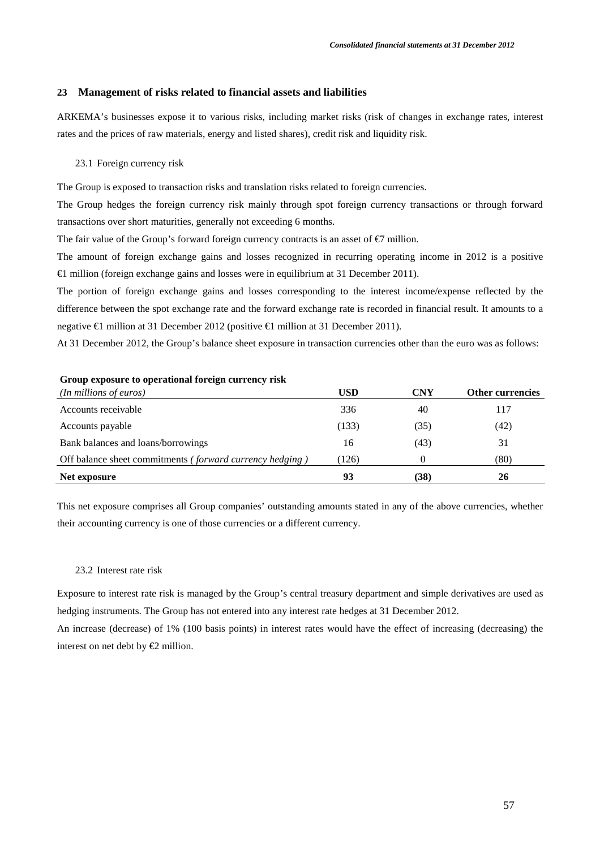# **23 Management of risks related to financial assets and liabilities**

ARKEMA's businesses expose it to various risks, including market risks (risk of changes in exchange rates, interest rates and the prices of raw materials, energy and listed shares), credit risk and liquidity risk.

#### 23.1 Foreign currency risk

The Group is exposed to transaction risks and translation risks related to foreign currencies.

The Group hedges the foreign currency risk mainly through spot foreign currency transactions or through forward transactions over short maturities, generally not exceeding 6 months.

The fair value of the Group's forward foreign currency contracts is an asset of  $\epsilon$ 7 million.

The amount of foreign exchange gains and losses recognized in recurring operating income in 2012 is a positive  $\epsilon$ 1 million (foreign exchange gains and losses werein equilibrium at 31 December 2011).

The portion of foreign exchange gains and losses corresponding to the interest income/expense reflected by the difference between the spot exchange rate and the forward exchange rate is recorded in financial result. It amounts to a negative  $\epsilon$ 1 million at 31 December 2012 (positive  $\epsilon$  million at 31 December 2011).

At 31 December 2012, the Group's balance sheet exposure in transaction currencies other than the euro was as follows:

| Group exposure to operational foreign currency risk      |       |            |                         |
|----------------------------------------------------------|-------|------------|-------------------------|
| (In millions of euros)                                   | USD   | <b>CNY</b> | <b>Other currencies</b> |
| Accounts receivable                                      | 336   | 40         | 117                     |
| Accounts payable                                         | (133) | (35)       | (42)                    |
| Bank balances and loans/borrowings                       | 16    | (43)       | 31                      |
| Off balance sheet commitments (forward currency hedging) | (126) | $\Omega$   | (80)                    |
| Net exposure                                             | 93    | (38)       | 26                      |

# **Group exposure to operational foreign currency risk**

This net exposure comprises all Group companies' outstanding amounts stated in any of the above currencies, whether their accounting currency is one of those currencies or a different currency.

## 23.2 Interest rate risk

Exposure to interest rate risk is managed by the Group's central treasury department and simple derivatives are used as hedging instruments. The Group has not entered into any interest rate hedges at 31 December 2012.

An increase (decrease) of 1% (100 basis points) in interest rates would have the effect of increasing (decreasing) the interest on net debt by €2 million.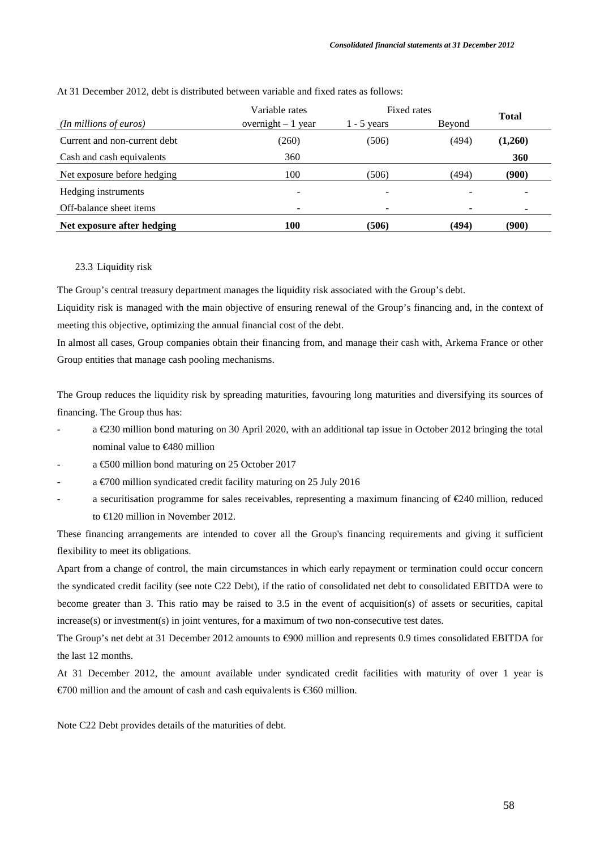|                              | Variable rates           | Fixed rates   |        | <b>Total</b> |  |
|------------------------------|--------------------------|---------------|--------|--------------|--|
| (In millions of euros)       | overnight $-1$ year      | $1 - 5$ years | Beyond |              |  |
| Current and non-current debt | (260)                    | (506)         | (494)  | (1,260)      |  |
| Cash and cash equivalents    | 360                      |               |        | 360          |  |
| Net exposure before hedging  | 100                      | (506)         | (494)  | (900)        |  |
| Hedging instruments          |                          |               |        |              |  |
| Off-balance sheet items      | $\overline{\phantom{a}}$ |               |        |              |  |
| Net exposure after hedging   | 100                      | (506)         | (494)  | (900)        |  |

At 31 December 2012, debt is distributed between variable and fixed rates as follows:

## 23.3 Liquidity risk

The Group's central treasury department manages the liquidity risk associated with the Group's debt.

Liquidity risk is managed with the main objective of ensuring renewal of the Group's financing and, in the context of meeting this objective, optimizing the annual financial cost of the debt.

In almost all cases, Group companies obtain their financing from, and manage their cash with, Arkema France or other Group entities that manage cash pooling mechanisms.

The Group reduces the liquidity risk by spreading maturities, favouring long maturities and diversifying its sources of financing. The Group thus has:

- $a \in 230$  million bond maturing on 30 April 2020, with an additional tap issue in October 2012 bringing the total nominal value to €480 million
- $a \in 500$  million bond maturing on 25 October 2017
- $a \in 700$  million syndicated credit facility maturing on 25 July 2016
- a securitisation programme for sales receivables, representing a maximum financing of  $\epsilon$ 240 million, reduced to €120 million in November 2012.

These financing arrangements are intended to cover all the Group's financing requirements and giving it sufficient flexibility to meet its obligations.

Apart from a change of control, the main circumstances in which early repayment or termination could occur concern the syndicated credit facility (see note C22 Debt), if the ratio of consolidated net debt to consolidated EBITDA were to become greater than 3. This ratio may be raised to 3.5 in the event of acquisition(s) of assets or securities, capital increase(s) or investment(s) in joint ventures, for a maximum of two non-consecutive test dates.

The Group's net debt at 31 December 2012 amounts to €900 million and represents 0.9 times consolidated EBITDA for the last 12 months.

At 31 December 2012, the amount available under syndicated credit facilities with maturity of over 1 year is €700 million and the amount of cash and cash equivalents is €360 million.

Note C22 Debt provides details of the maturities of debt.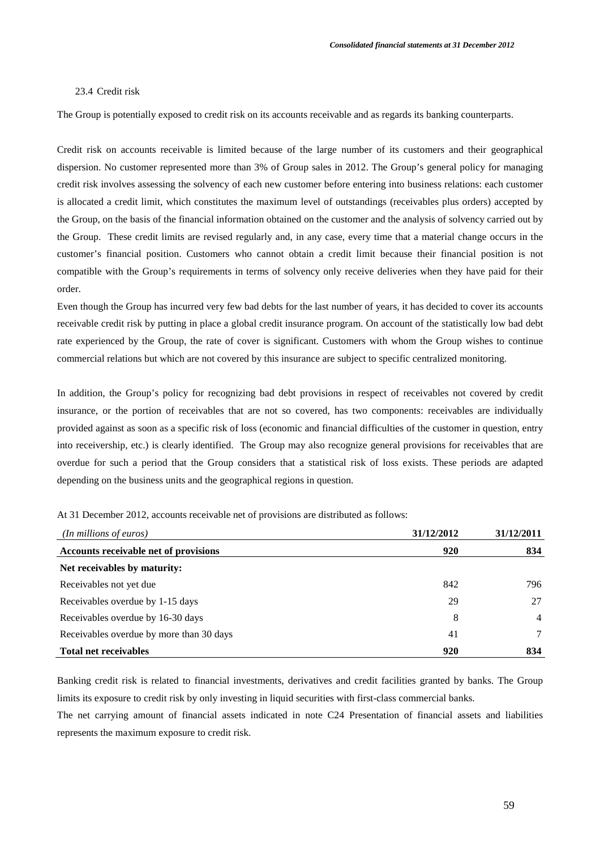### 23.4 Credit risk

The Group is potentially exposed to credit risk on its accounts receivable and as regards its banking counterparts.

Credit risk on accounts receivable is limited because of the large number of its customers and their geographical dispersion. No customer represented more than 3% of Group sales in 2012. The Group's general policy for managing credit risk involves assessing the solvency of each new customer before entering into business relations: each customer is allocated a credit limit, which constitutes the maximum level of outstandings (receivables plus orders) accepted by the Group, on the basis of the financial information obtained on the customer and the analysis of solvency carried out by the Group. These credit limits are revised regularly and, in any case, every time that a material change occurs in the customer's financial position. Customers who cannot obtain a credit limit because their financial position is not compatible with the Group's requirements in terms of solvency only receive deliveries when they have paid for their order.

Even though the Group has incurred very few bad debts for the last number of years, it has decided to cover its accounts receivable credit risk by putting in place a global credit insurance program. On account of the statistically low bad debt rate experienced by the Group, the rate of cover is significant. Customers with whom the Group wishes to continue commercial relations but which are not covered by this insurance are subject to specific centralized monitoring.

In addition, the Group's policy for recognizing bad debt provisions in respect of receivables not covered by credit insurance, or the portion of receivables that are not so covered, has two components: receivables are individually provided against as soon as a specific risk of loss (economic and financial difficulties of the customer in question, entry into receivership, etc.) is clearly identified. The Group may also recognize general provisions for receivables that are overdue for such a period that the Group considers that a statistical risk of loss exists. These periods are adapted depending on the business units and the geographical regions in question.

| (In millions of euros)                   | 31/12/2012 | 31/12/2011     |
|------------------------------------------|------------|----------------|
| Accounts receivable net of provisions    | 920        | 834            |
| Net receivables by maturity:             |            |                |
| Receivables not yet due                  | 842        | 796            |
| Receivables overdue by 1-15 days         | 29         | 27             |
| Receivables overdue by 16-30 days        | 8          | $\overline{4}$ |
| Receivables overdue by more than 30 days | 41         | 7              |
| <b>Total net receivables</b>             | 920        | 834            |

At 31 December 2012, accounts receivable net of provisions are distributed as follows:

Banking credit risk is related to financial investments, derivatives and credit facilities granted by banks. The Group limits its exposure to credit risk by only investing in liquid securities with first-class commercial banks.

The net carrying amount of financial assets indicated in note C24 Presentation of financial assets and liabilities represents the maximum exposure to credit risk.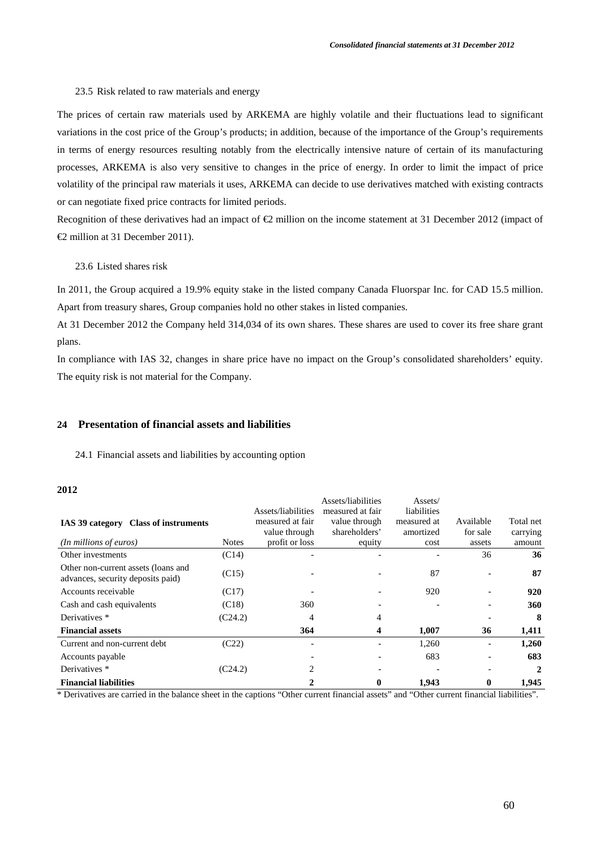## 23.5 Risk related to raw materials and energy

The prices of certain raw materials used by ARKEMA are highly volatile and their fluctuations lead to significant variations in the cost price of the Group's products; in addition, because of the importance of the Group's requirements in terms of energy resources resulting notably from the electrically intensive nature of certain of its manufacturing processes, ARKEMA is also very sensitive to changes in the price of energy. In order to limit the impact of price volatility of the principal raw materials it uses, ARKEMA can decide to use derivatives matched with existing contracts or can negotiate fixed price contracts for limited periods.

Recognition of these derivatives had an impact of  $\bigoplus$  million on the income statement at 31 December 2012 (impact of €2 million at 31 December 2011).

#### 23.6 Listed shares risk

In 2011, the Group acquired a 19.9% equity stake in the listed company Canada Fluorspar Inc. for CAD 15.5 million. Apart from treasury shares, Group companies hold no other stakes in listed companies.

At 31 December 2012 the Company held 314,034 of its own shares. These shares are used to cover its free share grant plans.

In compliance with IAS 32, changes in share price have no impact on the Group's consolidated shareholders' equity. The equity risk is not material for the Company.

# **24 Presentation of financial assets and liabilities**

24.1 Financial assets and liabilities by accounting option

# **2012**

|                                                                          |              | Assets/liabilities | 7 1990 1971 1140 1111 1109<br>measured at fair | 11330007<br>liabilities |                          |              |
|--------------------------------------------------------------------------|--------------|--------------------|------------------------------------------------|-------------------------|--------------------------|--------------|
| IAS 39 category Class of instruments                                     |              | measured at fair   | value through                                  | measured at             | Available                | Total net    |
|                                                                          |              | value through      | shareholders'                                  | amortized               | for sale                 | carrying     |
| (In millions of euros)                                                   | <b>Notes</b> | profit or loss     | equity                                         | cost                    | assets                   | amount       |
| Other investments                                                        | (C14)        |                    |                                                |                         | 36                       | 36           |
| Other non-current assets (loans and<br>advances, security deposits paid) | (C15)        |                    |                                                | 87                      |                          | 87           |
| Accounts receivable                                                      | (C17)        |                    |                                                | 920                     |                          | 920          |
| Cash and cash equivalents                                                | (C18)        | 360                |                                                |                         | $\overline{\phantom{0}}$ | 360          |
| Derivatives <sup>*</sup>                                                 | (C24.2)      | 4                  | 4                                              |                         |                          | 8            |
| <b>Financial assets</b>                                                  |              | 364                | 4                                              | 1,007                   | 36                       | 1,411        |
| Current and non-current debt                                             | (C22)        |                    |                                                | 1,260                   | $\overline{\phantom{a}}$ | 1,260        |
| Accounts payable                                                         |              |                    |                                                | 683                     |                          | 683          |
| Derivatives *                                                            | (C24.2)      | 2                  |                                                |                         |                          | $\mathbf{2}$ |
| <b>Financial liabilities</b>                                             |              |                    |                                                | 1,943                   | $\bf{0}$                 | 1,945        |

Assets/liabilities

Assets/

\* Derivatives are carried in the balance sheet in the captions "Other current financial assets" and "Other current financial liabilities".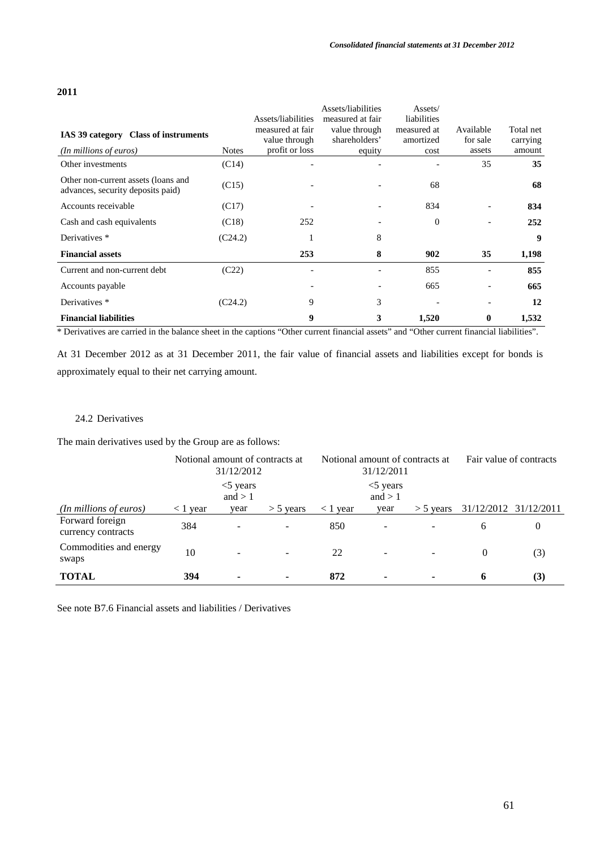Assets/

|                                                                          |              | Assets/liabilities                | measured at fair               | liabilities              |                       |                       |
|--------------------------------------------------------------------------|--------------|-----------------------------------|--------------------------------|--------------------------|-----------------------|-----------------------|
| IAS 39 category Class of instruments                                     |              | measured at fair<br>value through | value through<br>shareholders' | measured at<br>amortized | Available<br>for sale | Total net<br>carrying |
| (In millions of euros)                                                   | <b>Notes</b> | profit or loss                    | equity                         | cost                     | assets                | amount                |
| Other investments                                                        | (C14)        |                                   |                                |                          | 35                    | 35                    |
| Other non-current assets (loans and<br>advances, security deposits paid) | (C15)        |                                   |                                | 68                       |                       | 68                    |
| Accounts receivable                                                      | (C17)        | $\overline{\phantom{0}}$          |                                | 834                      |                       | 834                   |
| Cash and cash equivalents                                                | (C18)        | 252                               |                                | $\theta$                 |                       | 252                   |
| Derivatives *                                                            | (C24.2)      |                                   | 8                              |                          |                       | 9                     |
| <b>Financial assets</b>                                                  |              | 253                               | 8                              | 902                      | 35                    | 1,198                 |
| Current and non-current debt                                             | (C22)        |                                   |                                | 855                      |                       | 855                   |
| Accounts payable                                                         |              |                                   |                                | 665                      |                       | 665                   |
| Derivatives *                                                            | (C24.2)      | 9                                 | 3                              |                          |                       | 12                    |
| <b>Financial liabilities</b>                                             |              | 9                                 | 3                              | 1,520                    | $\bf{0}$              | 1,532                 |

Assets/liabilities

# **2011**

\* Derivatives are carried in the balance sheet in the captions "Other current financial assets" and "Other current financial liabilities".

At 31 December 2012 as at 31 December 2011, the fair value of financial assets and liabilities except for bonds is approximately equal to their net carrying amount.

# 24.2 Derivatives

The main derivatives used by the Group are as follows:

|                                       |            | Notional amount of contracts at<br>31/12/2012 |                          |            | Notional amount of contracts at<br>31/12/2011 |                          |   | Fair value of contracts |
|---------------------------------------|------------|-----------------------------------------------|--------------------------|------------|-----------------------------------------------|--------------------------|---|-------------------------|
|                                       |            | $<$ 5 years<br>and $> 1$                      |                          |            | $<$ 5 years<br>and $>1$                       |                          |   |                         |
| <i>(In millions of euros)</i>         | $<$ 1 year | year                                          | $>$ 5 years              | $<$ 1 year | year                                          | $>$ 5 years              |   | 31/12/2012 31/12/2011   |
| Forward foreign<br>currency contracts | 384        | $\overline{\phantom{a}}$                      | $\overline{\phantom{a}}$ | 850        | $\overline{\phantom{0}}$                      |                          | 6 | 0                       |
| Commodities and energy<br>swaps       | 10         | $\overline{\phantom{0}}$                      | $\overline{\phantom{a}}$ | 22         | $\overline{\phantom{0}}$                      | $\overline{\phantom{a}}$ | 0 | (3)                     |
| <b>TOTAL</b>                          | 394        | ٠                                             | ٠                        | 872        | $\overline{\phantom{0}}$                      | $\blacksquare$           | 6 | (3)                     |

See note B7.6 Financial assets and liabilities / Derivatives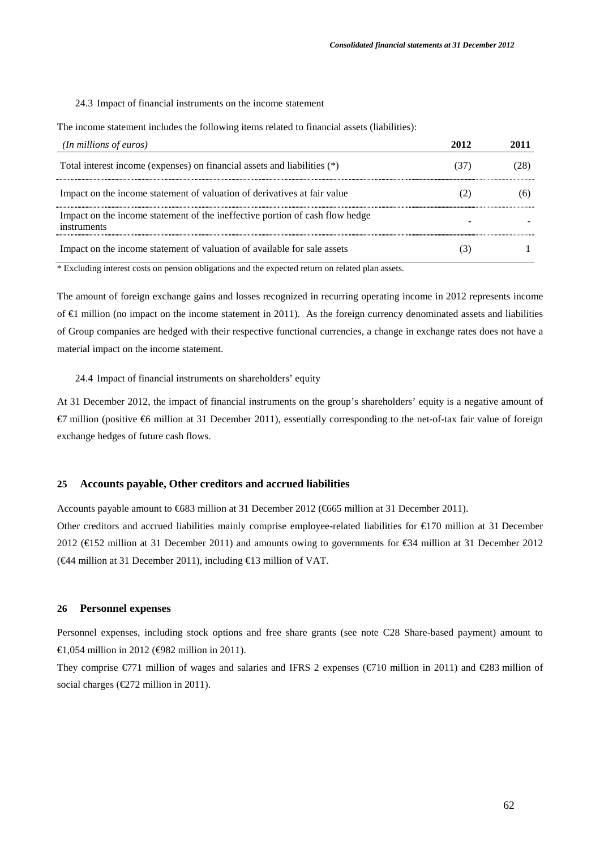### 24.3 Impact of financial instruments on the income statement

The income statement includes the following items related to financial assets (liabilities):

| <i>(In millions of euros)</i>                                                               | 2012 |  |
|---------------------------------------------------------------------------------------------|------|--|
| Total interest income (expenses) on financial assets and liabilities (*)                    |      |  |
| Impact on the income statement of valuation of derivatives at fair value                    |      |  |
| Impact on the income statement of the ineffective portion of cash flow hedge<br>instruments |      |  |
| Impact on the income statement of valuation of available for sale assets                    |      |  |

\* Excluding interest costs on pension obligations and the expected return on related plan assets.

The amount of foreign exchange gains and losses recognized in recurring operating income in 2012 represents income of  $\epsilon$ 1 million (no impact on the income statement in 2011). As the foreign currency denominated assets and liabilities of Group companies are hedged with their respective functional currencies, a change in exchange rates does not have a material impact on the income statement.

#### 24.4 Impact of financial instruments on shareholders' equity

At 31 December 2012, the impact of financial instruments on the group's shareholders' equity is a negative amount of €7 million (positive €6 million at 31 December 2011), essentially corresponding to the net-of-tax fair value of foreign exchange hedges of future cash flows.

## **25 Accounts payable, Other creditors and accrued liabilities**

Accounts payable amount to €683 million at 31 December 2012 (€665 million at 31 December 2011). Other creditors and accrued liabilities mainly comprise employee-related liabilities for €170 million at 31 December 2012 (€152 million at 31 December 2011) and amounts owing to governments for €34 million at 31 December 2012 (€44 million at 31 December 2011), including €13 million of VAT.

#### **26 Personnel expenses**

Personnel expenses, including stock options and free share grants (see note C28 Share-based payment) amount to €1,054 million in 2012 (€982 million in 2011).

They comprise  $\epsilon$ 771 million of wages and salaries and IFRS 2 expenses ( $\epsilon$ 710 million in 2011) and  $\epsilon$ 283 million of social charges ( $\epsilon$ 272 million in 2011).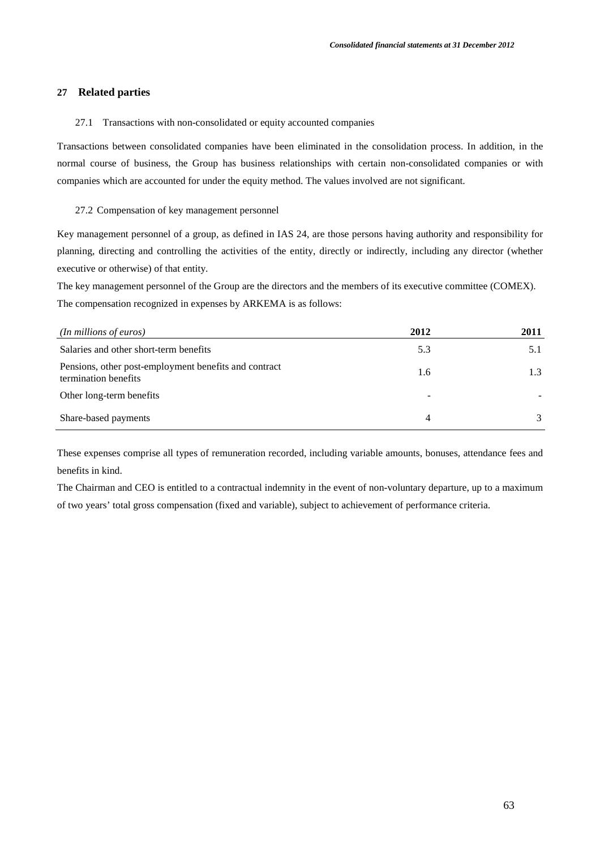# **27 Related parties**

## 27.1 Transactions with non-consolidated or equity accounted companies

Transactions between consolidated companies have been eliminated in the consolidation process. In addition, in the normal course of business, the Group has business relationships with certain non-consolidated companies or with companies which are accounted for under the equity method. The values involved are not significant.

# 27.2 Compensation of key management personnel

Key management personnel of a group, as defined in IAS 24, are those persons having authority and responsibility for planning, directing and controlling the activities of the entity, directly or indirectly, including any director (whether executive or otherwise) of that entity.

The key management personnel of the Group are the directors and the members of its executive committee (COMEX). The compensation recognized in expenses by ARKEMA is as follows:

| (In millions of euros)                                                        | 2012 | 2011 |
|-------------------------------------------------------------------------------|------|------|
| Salaries and other short-term benefits                                        | 5.3  | 5.1  |
| Pensions, other post-employment benefits and contract<br>termination benefits | 1.6  | 1.3  |
| Other long-term benefits                                                      |      |      |
| Share-based payments                                                          | 4    |      |

These expenses comprise all types of remuneration recorded, including variable amounts, bonuses, attendance fees and benefits in kind.

The Chairman and CEO is entitled to a contractual indemnity in the event of non-voluntary departure, up to a maximum of two years' total gross compensation (fixed and variable), subject to achievement of performance criteria.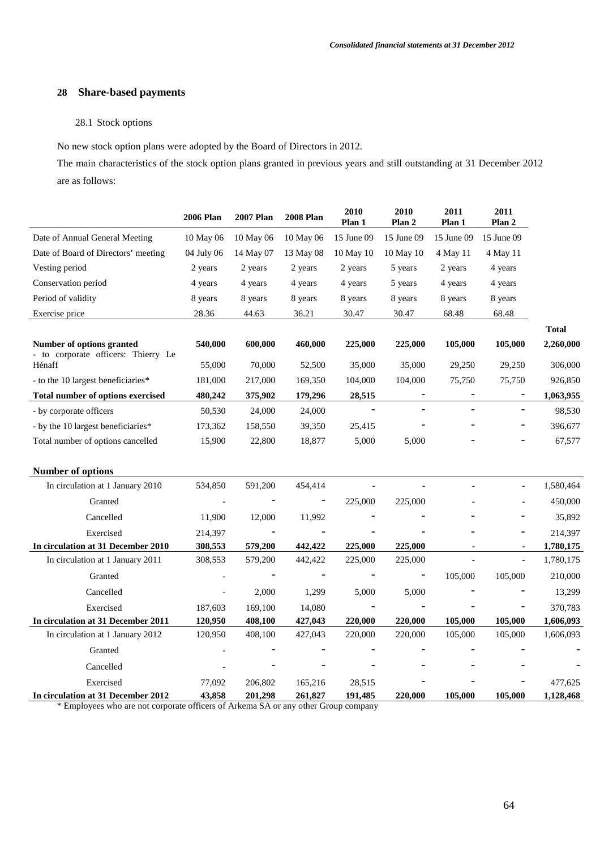# **28 Share-based payments**

# 28.1 Stock options

No new stock option plans were adopted by the Board of Directors in 2012.

The main characteristics of the stock option plans granted in previous years and still outstanding at 31 December 2012 are as follows:

|                                                                | <b>2006 Plan</b> | <b>2007 Plan</b> | <b>2008 Plan</b>         | 2010<br>Plan 1           | 2010<br>Plan 2           | 2011<br>Plan 1 | 2011<br>Plan 2           |              |
|----------------------------------------------------------------|------------------|------------------|--------------------------|--------------------------|--------------------------|----------------|--------------------------|--------------|
| Date of Annual General Meeting                                 | 10 May 06        | 10 May 06        | 10 May 06                | 15 June 09               | 15 June 09               | 15 June 09     | 15 June 09               |              |
| Date of Board of Directors' meeting                            | 04 July 06       | 14 May 07        | 13 May 08                | 10 May 10                | 10 May 10                | 4 May 11       | 4 May 11                 |              |
| Vesting period                                                 | 2 years          | 2 years          | 2 years                  | 2 years                  | 5 years                  | 2 years        | 4 years                  |              |
| Conservation period                                            | 4 years          | 4 years          | 4 years                  | 4 years                  | 5 years                  | 4 years        | 4 years                  |              |
| Period of validity                                             | 8 years          | 8 years          | 8 years                  | 8 years                  | 8 years                  | 8 years        | 8 years                  |              |
| Exercise price                                                 | 28.36            | 44.63            | 36.21                    | 30.47                    | 30.47                    | 68.48          | 68.48                    |              |
|                                                                |                  |                  |                          |                          |                          |                |                          | <b>Total</b> |
| Number of options granted<br>to corporate officers: Thierry Le | 540,000          | 600,000          | 460,000                  | 225,000                  | 225,000                  | 105,000        | 105,000                  | 2,260,000    |
| Hénaff                                                         | 55,000           | 70,000           | 52,500                   | 35,000                   | 35,000                   | 29,250         | 29,250                   | 306,000      |
| - to the 10 largest beneficiaries*                             | 181,000          | 217,000          | 169,350                  | 104,000                  | 104,000                  | 75,750         | 75,750                   | 926,850      |
| <b>Total number of options exercised</b>                       | 480,242          | 375,902          | 179,296                  | 28,515                   |                          |                | $\overline{\phantom{a}}$ | 1,063,955    |
| - by corporate officers                                        | 50,530           | 24,000           | 24,000                   |                          | $\overline{\phantom{a}}$ |                |                          | 98,530       |
| - by the 10 largest beneficiaries*                             | 173,362          | 158,550          | 39,350                   | 25,415                   |                          |                |                          | 396,677      |
| Total number of options cancelled                              | 15,900           | 22,800           | 18,877                   | 5,000                    | 5,000                    |                |                          | 67,577       |
| <b>Number of options</b>                                       |                  |                  |                          |                          |                          |                |                          |              |
| In circulation at 1 January 2010                               | 534,850          | 591,200          | 454,414                  |                          |                          |                |                          | 1,580,464    |
| Granted                                                        |                  |                  | $\overline{\phantom{a}}$ | 225,000                  | 225,000                  |                |                          | 450,000      |
| Cancelled                                                      | 11,900           | 12,000           | 11,992                   |                          |                          |                |                          | 35,892       |
| Exercised                                                      | 214,397          |                  |                          |                          |                          |                |                          | 214,397      |
| In circulation at 31 December 2010                             | 308,553          | 579,200          | 442,422                  | 225,000                  | 225,000                  |                |                          | 1,780,175    |
| In circulation at 1 January 2011                               | 308,553          | 579,200          | 442,422                  | 225,000                  | 225,000                  |                |                          | 1,780,175    |
| Granted                                                        |                  |                  | $\overline{\phantom{0}}$ | $\overline{\phantom{0}}$ | $\overline{\phantom{a}}$ | 105,000        | 105,000                  | 210,000      |
| Cancelled                                                      |                  | 2,000            | 1,299                    | 5,000                    | 5,000                    |                |                          | 13,299       |
| Exercised                                                      | 187,603          | 169,100          | 14,080                   |                          |                          |                |                          | 370,783      |
| In circulation at 31 December 2011                             | 120,950          | 408,100          | 427,043                  | 220,000                  | 220,000                  | 105,000        | 105,000                  | 1,606,093    |
| In circulation at 1 January 2012                               | 120,950          | 408,100          | 427,043                  | 220,000                  | 220,000                  | 105,000        | 105,000                  | 1,606,093    |
| Granted                                                        |                  |                  |                          |                          |                          |                |                          |              |
| Cancelled                                                      |                  |                  |                          |                          |                          |                |                          |              |
| Exercised                                                      | 77,092           | 206,802          | 165,216                  | 28,515                   |                          |                |                          | 477,625      |
| In circulation at 31 December 2012                             | 43,858           | 201,298          | 261,827                  | 191,485                  | 220,000                  | 105,000        | 105,000                  | 1,128,468    |

\* Employees who are not corporate officers of Arkema SA or any other Group company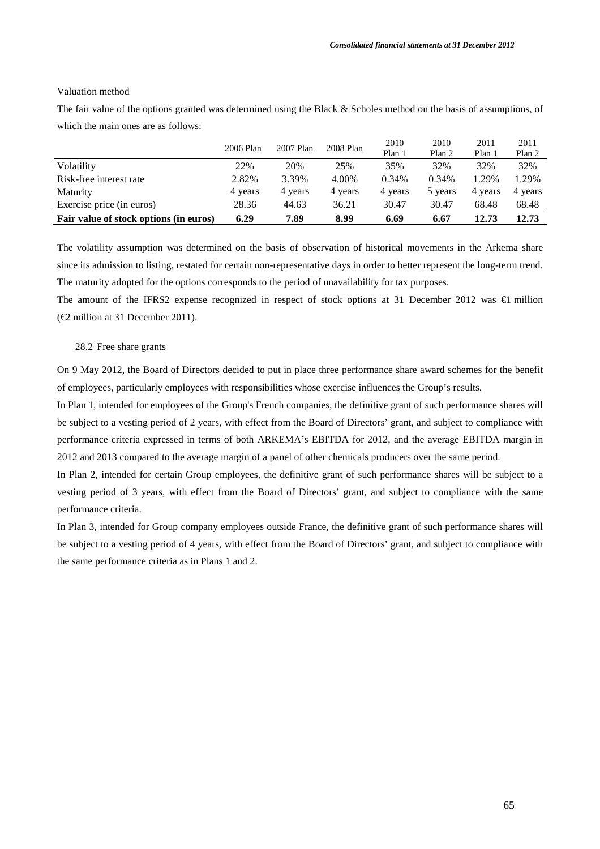#### Valuation method

The fair value of the options granted was determined using the Black & Scholes method on the basis of assumptions, of which the main ones are as follows:

| Fair value of stock options (in euros) | 6.29      | 7.89      | 8.99      | 6.69    | 6.67    | 12.73   | 12.73   |
|----------------------------------------|-----------|-----------|-----------|---------|---------|---------|---------|
| Exercise price (in euros)              | 28.36     | 44.63     | 36.21     | 30.47   | 30.47   | 68.48   | 68.48   |
| Maturity                               | 4 years   | 4 years   | 4 years   | 4 years | 5 years | 4 years | 4 years |
| Risk-free interest rate                | 2.82%     | 3.39%     | 4.00%     | 0.34%   | 0.34%   | 1.29%   | 1.29%   |
| <b>Volatility</b>                      | 22%       | 20%       | 25%       | 35%     | 32%     | 32%     | 32%     |
|                                        |           |           |           |         | Plan 2  | Plan 1  | Plan 2  |
|                                        | 2006 Plan | 2007 Plan | 2008 Plan | 2010    | 2010    | 2011    | 2011    |

The volatility assumption was determined on the basis of observation of historical movements in the Arkema share since its admission to listing, restated for certain non-representative days in order to better represent the long-term trend. The maturity adopted for the options corresponds to the period of unavailability for tax purposes.

The amount of the IFRS2 expense recognized in respect of stock options at 31 December 2012 was €1 million (€2 million at 31 December 2011).

## 28.2 Free share grants

On 9 May 2012, the Board of Directors decided to put in place three performance share award schemes for the benefit of employees, particularly employees with responsibilities whose exercise influences the Group's results.

In Plan 1, intended for employees of the Group's French companies, the definitive grant of such performance shares will be subject to a vesting period of 2 years, with effect from the Board of Directors' grant, and subject to compliance with performance criteria expressed in terms of both ARKEMA's EBITDA for 2012, and the average EBITDA margin in 2012 and 2013 compared to the average margin of a panel of other chemicals producers over the same period.

In Plan 2, intended for certain Group employees, the definitive grant of such performance shares will be subject to a vesting period of 3 years, with effect from the Board of Directors' grant, and subject to compliance with the same performance criteria.

In Plan 3, intended for Group company employees outside France, the definitive grant of such performance shares will be subject to a vesting period of 4 years, with effect from the Board of Directors' grant, and subject to compliance with the same performance criteria as in Plans 1 and 2.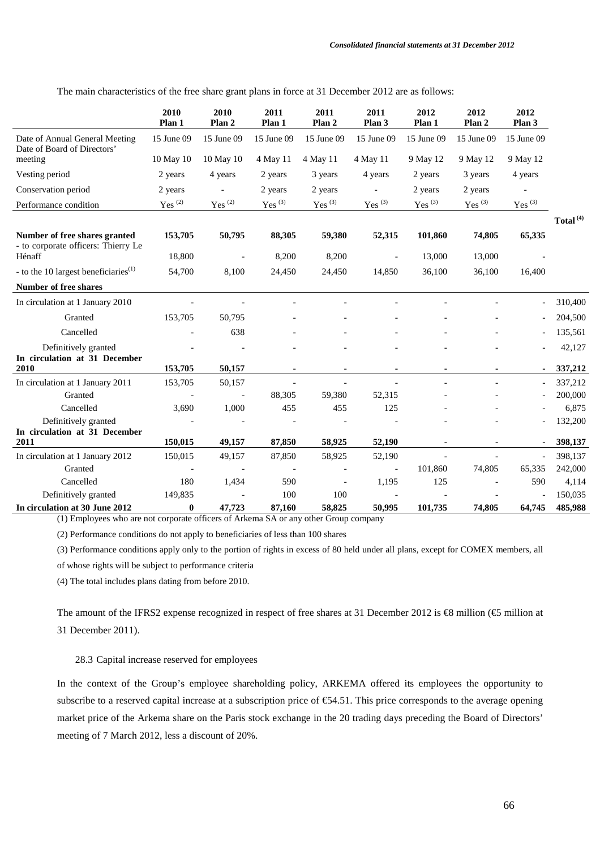The main characteristics of the free share grant plans in force at 31 December 2012 are as follows:

|                                                                      | 2010<br>Plan 1       | 2010<br>Plan 2       | 2011<br>Plan 1           | 2011<br>Plan 2                   | 2011<br>Plan 3           | 2012<br>Plan 1       | 2012<br>Plan 2       | 2012<br>Plan 3           |                |
|----------------------------------------------------------------------|----------------------|----------------------|--------------------------|----------------------------------|--------------------------|----------------------|----------------------|--------------------------|----------------|
| Date of Annual General Meeting<br>Date of Board of Directors'        | 15 June 09           | 15 June 09           | 15 June 09               | 15 June 09                       | 15 June 09               | 15 June 09           | 15 June 09           | 15 June 09               |                |
| meeting                                                              | 10 May 10            | 10 May 10            | 4 May 11                 | 4 May 11                         | 4 May 11                 | 9 May 12             | 9 May 12             | 9 May 12                 |                |
| Vesting period                                                       | 2 years              | 4 years              | 2 years                  | 3 years                          | 4 years                  | 2 years              | 3 years              | 4 years                  |                |
| Conservation period                                                  | 2 years              |                      | 2 years                  | 2 years                          |                          | 2 years              | 2 years              |                          |                |
| Performance condition                                                | $\mathrm{Yes}^{(2)}$ | $\mathrm{Yes}^{(2)}$ | $\mathrm{Yes}^{(3)}$     | $\underline{Yes}$ <sup>(3)</sup> | Yes $(3)$                | $\mathrm{Yes}^{(3)}$ | $\mathrm{Yes}^{(3)}$ | $\mathrm{Yes}^{(3)}$     |                |
|                                                                      |                      |                      |                          |                                  |                          |                      |                      |                          | Total $^{(4)}$ |
| Number of free shares granted<br>- to corporate officers: Thierry Le | 153,705              | 50,795               | 88,305                   | 59,380                           | 52,315                   | 101,860              | 74,805               | 65,335                   |                |
| Hénaff                                                               | 18,800               |                      | 8,200                    | 8,200                            |                          | 13,000               | 13,000               |                          |                |
| - to the 10 largest beneficiaries <sup>(1)</sup>                     | 54,700               | 8,100                | 24,450                   | 24,450                           | 14,850                   | 36,100               | 36,100               | 16,400                   |                |
| <b>Number of free shares</b>                                         |                      |                      |                          |                                  |                          |                      |                      |                          |                |
| In circulation at 1 January 2010                                     |                      |                      |                          |                                  |                          |                      |                      |                          | 310,400        |
| Granted                                                              | 153,705              | 50,795               |                          |                                  |                          |                      |                      |                          | 204,500        |
| Cancelled                                                            |                      | 638                  |                          |                                  |                          |                      |                      |                          | 135,561        |
| Definitively granted<br>In circulation at 31 December                |                      |                      |                          |                                  |                          |                      |                      |                          | 42,127         |
| 2010                                                                 | 153,705              | 50,157               | $\overline{\phantom{a}}$ | $\sim$                           |                          | $\blacksquare$       | ٠                    |                          | 337,212        |
| In circulation at 1 January 2011                                     | 153,705              | 50,157               |                          |                                  |                          |                      |                      | $\overline{\phantom{a}}$ | 337,212        |
| Granted                                                              |                      |                      | 88,305                   | 59,380                           | 52,315                   |                      |                      |                          | 200,000        |
| Cancelled                                                            | 3,690                | 1,000                | 455                      | 455                              | 125                      |                      |                      |                          | 6,875          |
| Definitively granted<br>In circulation at 31 December                |                      |                      |                          | $\blacksquare$                   |                          |                      |                      |                          | 132,200        |
| 2011                                                                 | 150,015              | 49,157               | 87,850                   | 58,925                           | 52,190                   |                      |                      |                          | 398,137        |
| In circulation at 1 January 2012                                     | 150,015              | 49,157               | 87,850                   | 58,925                           | 52,190                   |                      |                      | $\overline{\phantom{a}}$ | 398,137        |
| Granted                                                              |                      |                      |                          |                                  | $\overline{\phantom{a}}$ | 101.860              | 74,805               | 65,335                   | 242,000        |
| Cancelled                                                            | 180                  | 1,434                | 590                      |                                  | 1,195                    | 125                  |                      | 590                      | 4,114          |
| Definitively granted                                                 | 149,835              |                      | 100                      | 100                              |                          |                      |                      |                          | 150,035        |
| In circulation at 30 June 2012                                       | $\bf{0}$             | 47,723               | 87,160                   | 58,825                           | 50,995                   | 101,735              | 74,805               | 64,745                   | 485,988        |

(1) Employees who are not corporate officers of Arkema SA or any other Group company

(2) Performance conditions do not apply to beneficiaries of less than 100 shares

(3) Performance conditions apply only to the portion of rights in excess of 80 held under all plans, except for COMEX members, all

of whose rights will be subject to performance criteria

(4) The total includes plans dating from before 2010.

The amount of the IFRS2 expense recognized in respect of free shares at 31 December 2012 is  $\epsilon$ 8 million  $(\epsilon$ 5 million at 31 December 2011).

## 28.3 Capital increase reserved for employees

In the context of the Group's employee shareholding policy, ARKEMA offered its employees the opportunity to subscribe to a reserved capital increase at a subscription price of  $\epsilon$ 54.51. This price corresponds to the average opening market price of the Arkema share on the Paris stock exchange in the 20 trading days preceding the Board of Directors' meeting of 7 March 2012, less a discount of 20%.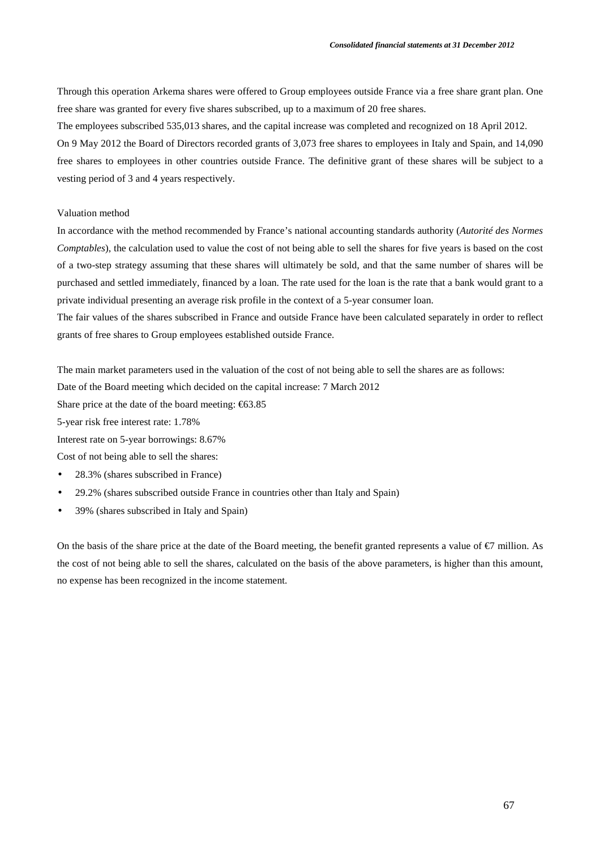Through this operation Arkema shares were offered to Group employees outside France via a free share grant plan. One free share was granted for every five shares subscribed, up to a maximum of 20 free shares.

The employees subscribed 535,013 shares, and the capital increase was completed and recognized on 18 April 2012. On 9 May 2012 the Board of Directors recorded grants of 3,073 free shares to employees in Italy and Spain, and 14,090 free shares to employees in other countries outside France. The definitive grant of these shares will be subject to a vesting period of 3 and 4 years respectively.

## Valuation method

In accordance with the method recommended by France's national accounting standards authority (*Autorité des Normes Comptables*), the calculation used to value the cost of not being able to sell the shares for five years is based on the cost of a two-step strategy assuming that these shares will ultimately be sold, and that the same number of shares will be purchased and settled immediately, financed by a loan. The rate used for the loan is the rate that a bank would grant to a private individual presenting an average risk profile in the context of a 5-year consumer loan.

The fair values of the shares subscribed in France and outside France have been calculated separately in order to reflect grants of free shares to Group employees established outside France.

The main market parameters used in the valuation of the cost of not being able to sell the shares are as follows:

Date of the Board meeting which decided on the capital increase: 7 March 2012

Share price at the date of the board meeting:  $\epsilon$ 63.85

5-year risk free interest rate: 1.78%

Interest rate on 5-year borrowings: 8.67%

Cost of not being able to sell the shares:

- 28.3% (shares subscribed in France)
- 29.2% (shares subscribed outside France in countries other than Italy and Spain)
- 39% (shares subscribed in Italy and Spain)

On the basis of the share price at the date of the Board meeting, the benefit granted represents a value of  $\epsilon$ 7 million. As the cost of not being able to sell the shares, calculated on the basis of the above parameters, is higher than this amount, no expense has been recognized in the income statement.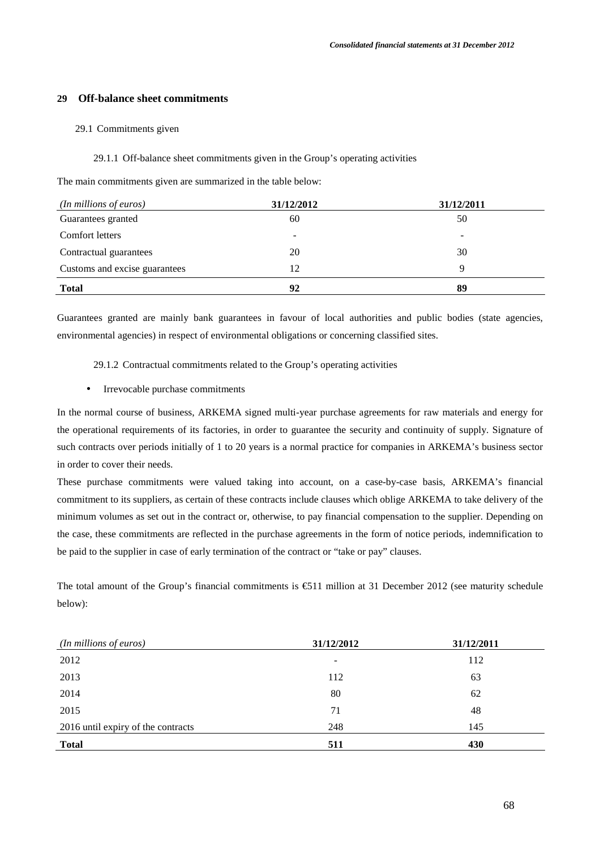# **29 Off-balance sheet commitments**

# 29.1 Commitments given

## 29.1.1 Off-balance sheet commitments given in the Group's operating activities

The main commitments given are summarized in the table below:

| (In millions of euros)        | 31/12/2012 | 31/12/2011 |
|-------------------------------|------------|------------|
| Guarantees granted            | 60         | 50         |
| Comfort letters               | ٠          | -          |
| Contractual guarantees        | 20         | 30         |
| Customs and excise guarantees | 12         | 9          |
| <b>Total</b>                  | 92         | 89         |

Guarantees granted are mainly bank guarantees in favour of local authorities and public bodies (state agencies, environmental agencies) in respect of environmental obligations or concerning classified sites.

29.1.2 Contractual commitments related to the Group's operating activities

• Irrevocable purchase commitments

In the normal course of business, ARKEMA signed multi-year purchase agreements for raw materials and energy for the operational requirements of its factories, in order to guarantee the security and continuity of supply. Signature of such contracts over periods initially of 1 to 20 years is a normal practice for companies in ARKEMA's business sector in order to cover their needs.

These purchase commitments were valued taking into account, on a case-by-case basis, ARKEMA's financial commitment to its suppliers, as certain of these contracts include clauses which oblige ARKEMA to take delivery of the minimum volumes as set out in the contract or, otherwise, to pay financial compensation to the supplier. Depending on the case, these commitments are reflected in the purchase agreements in the form of notice periods, indemnification to be paid to the supplier in case of early termination of the contract or "take or pay" clauses.

The total amount of the Group's financial commitments is €511 million at 31 December 2012 (see maturity schedule below):

| (In millions of euros)             | 31/12/2012               | 31/12/2011 |
|------------------------------------|--------------------------|------------|
| 2012                               | $\overline{\phantom{a}}$ | 112        |
| 2013                               | 112                      | 63         |
| 2014                               | 80                       | 62         |
| 2015                               | 71                       | 48         |
| 2016 until expiry of the contracts | 248                      | 145        |
| <b>Total</b>                       | 511                      | 430        |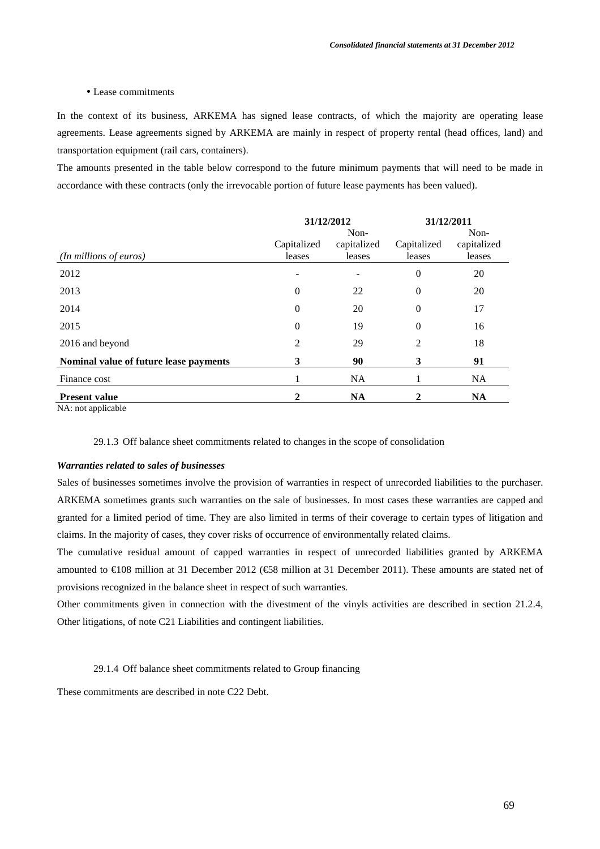### • Lease commitments

In the context of its business, ARKEMA has signed lease contracts, of which the majority are operating lease agreements. Lease agreements signed by ARKEMA are mainly in respect of property rental (head offices, land) and transportation equipment (rail cars, containers).

The amounts presented in the table below correspond to the future minimum payments that will need to be made in accordance with these contracts (only the irrevocable portion of future lease payments has been valued).

|                                        | 31/12/2012  |             | 31/12/2011       |             |
|----------------------------------------|-------------|-------------|------------------|-------------|
|                                        |             | Non-        |                  | Non-        |
|                                        | Capitalized | capitalized | Capitalized      | capitalized |
| (In millions of euros)                 | leases      | leases      | leases           | leases      |
| 2012                                   |             |             | $\boldsymbol{0}$ | 20          |
| 2013                                   | $\theta$    | 22          | $\theta$         | 20          |
| 2014                                   | $\theta$    | 20          | $\theta$         | 17          |
| 2015                                   | $\theta$    | 19          | $\theta$         | 16          |
| 2016 and beyond                        | 2           | 29          | $\overline{2}$   | 18          |
| Nominal value of future lease payments | 3           | 90          | 3                | 91          |
| Finance cost                           |             | <b>NA</b>   |                  | <b>NA</b>   |
| <b>Present value</b>                   | 2           | <b>NA</b>   |                  | <b>NA</b>   |

NA: not applicable

29.1.3 Off balance sheet commitments related to changes in the scope of consolidation

## *Warranties related to sales of businesses*

Sales of businesses sometimes involve the provision of warranties in respect of unrecorded liabilities to the purchaser. ARKEMA sometimes grants such warranties on the sale of businesses. In most cases these warranties are capped and granted for a limited period of time. They are also limited in terms of their coverage to certain types of litigation and claims. In the majority of cases, they cover risks of occurrence of environmentally related claims.

The cumulative residual amount of capped warranties in respect of unrecorded liabilities granted by ARKEMA amounted to €108 million at 31 December 2012 (€58 million at 31 December 2011). These amounts are stated net of provisions recognized in the balance sheet in respect of such warranties.

Other commitments given in connection with the divestment of the vinyls activities are described in section 21.2.4, Other litigations, of note C21 Liabilities and contingent liabilities.

# 29.1.4 Off balance sheet commitments related to Group financing

These commitments are described in note C22 Debt.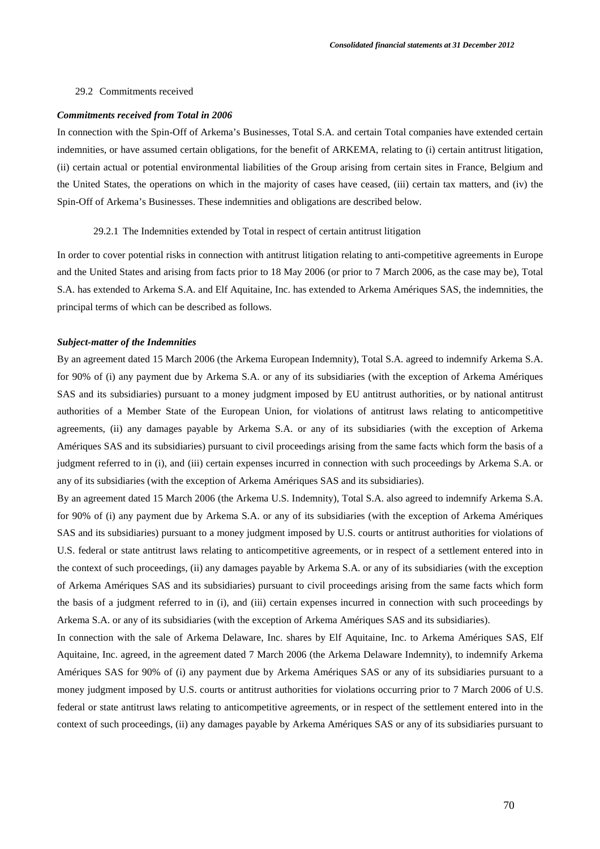#### 29.2 Commitments received

### *Commitments received from Total in 2006*

In connection with the Spin-Off of Arkema's Businesses, Total S.A. and certain Total companies have extended certain indemnities, or have assumed certain obligations, for the benefit of ARKEMA, relating to (i) certain antitrust litigation, (ii) certain actual or potential environmental liabilities of the Group arising from certain sites in France, Belgium and the United States, the operations on which in the majority of cases have ceased, (iii) certain tax matters, and (iv) the Spin-Off of Arkema's Businesses. These indemnities and obligations are described below.

#### 29.2.1 The Indemnities extended by Total in respect of certain antitrust litigation

In order to cover potential risks in connection with antitrust litigation relating to anti-competitive agreements in Europe and the United States and arising from facts prior to 18 May 2006 (or prior to 7 March 2006, as the case may be), Total S.A. has extended to Arkema S.A. and Elf Aquitaine, Inc. has extended to Arkema Amériques SAS, the indemnities, the principal terms of which can be described as follows.

### *Subject-matter of the Indemnities*

By an agreement dated 15 March 2006 (the Arkema European Indemnity), Total S.A. agreed to indemnify Arkema S.A. for 90% of (i) any payment due by Arkema S.A. or any of its subsidiaries (with the exception of Arkema Amériques SAS and its subsidiaries) pursuant to a money judgment imposed by EU antitrust authorities, or by national antitrust authorities of a Member State of the European Union, for violations of antitrust laws relating to anticompetitive agreements, (ii) any damages payable by Arkema S.A. or any of its subsidiaries (with the exception of Arkema Amériques SAS and its subsidiaries) pursuant to civil proceedings arising from the same facts which form the basis of a judgment referred to in (i), and (iii) certain expenses incurred in connection with such proceedings by Arkema S.A. or any of its subsidiaries (with the exception of Arkema Amériques SAS and its subsidiaries).

By an agreement dated 15 March 2006 (the Arkema U.S. Indemnity), Total S.A. also agreed to indemnify Arkema S.A. for 90% of (i) any payment due by Arkema S.A. or any of its subsidiaries (with the exception of Arkema Amériques SAS and its subsidiaries) pursuant to a money judgment imposed by U.S. courts or antitrust authorities for violations of U.S. federal or state antitrust laws relating to anticompetitive agreements, or in respect of a settlement entered into in the context of such proceedings, (ii) any damages payable by Arkema S.A. or any of its subsidiaries (with the exception of Arkema Amériques SAS and its subsidiaries) pursuant to civil proceedings arising from the same facts which form the basis of a judgment referred to in (i), and (iii) certain expenses incurred in connection with such proceedings by Arkema S.A. or any of its subsidiaries (with the exception of Arkema Amériques SAS and its subsidiaries).

In connection with the sale of Arkema Delaware, Inc. shares by Elf Aquitaine, Inc. to Arkema Amériques SAS, Elf Aquitaine, Inc. agreed, in the agreement dated 7 March 2006 (the Arkema Delaware Indemnity), to indemnify Arkema Amériques SAS for 90% of (i) any payment due by Arkema Amériques SAS or any of its subsidiaries pursuant to a money judgment imposed by U.S. courts or antitrust authorities for violations occurring prior to 7 March 2006 of U.S. federal or state antitrust laws relating to anticompetitive agreements, or in respect of the settlement entered into in the context of such proceedings, (ii) any damages payable by Arkema Amériques SAS or any of its subsidiaries pursuant to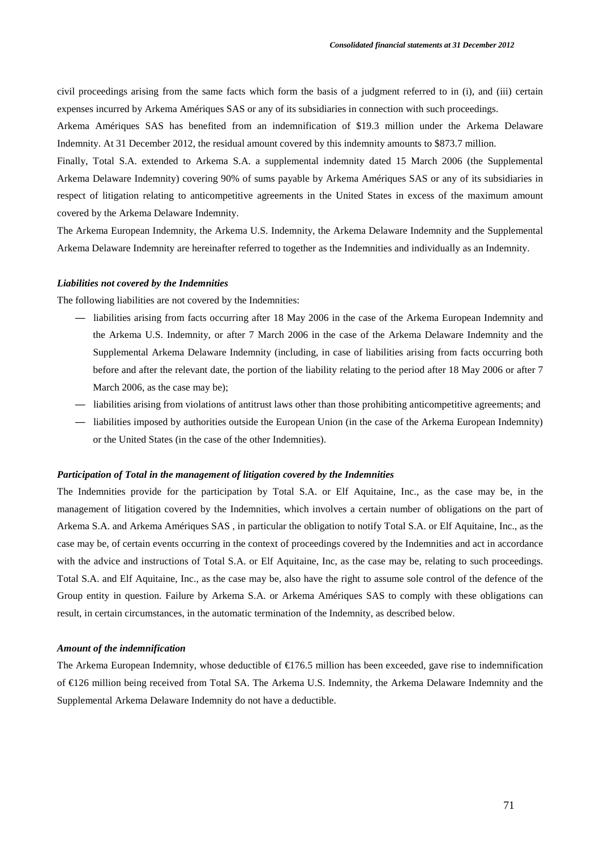civil proceedings arising from the same facts which form the basis of a judgment referred to in (i), and (iii) certain expenses incurred by Arkema Amériques SAS or any of its subsidiaries in connection with such proceedings.

Arkema Amériques SAS has benefited from an indemnification of \$19.3 million under the Arkema Delaware Indemnity. At 31 December 2012, the residual amount covered by this indemnity amounts to \$873.7 million.

Finally, Total S.A. extended to Arkema S.A. a supplemental indemnity dated 15 March 2006 (the Supplemental Arkema Delaware Indemnity) covering 90% of sums payable by Arkema Amériques SAS or any of its subsidiaries in respect of litigation relating to anticompetitive agreements in the United States in excess of the maximum amount covered by the Arkema Delaware Indemnity.

The Arkema European Indemnity, the Arkema U.S. Indemnity, the Arkema Delaware Indemnity and the Supplemental Arkema Delaware Indemnity are hereinafter referred to together as the Indemnities and individually as an Indemnity.

### *Liabilities not covered by the Indemnities*

The following liabilities are not covered by the Indemnities:

- liabilities arising from facts occurring after 18 May 2006 in the case of the Arkema European Indemnity and the Arkema U.S. Indemnity, or after 7 March 2006 in the case of the Arkema Delaware Indemnity and the Supplemental Arkema Delaware Indemnity (including, in case of liabilities arising from facts occurring both before and after the relevant date, the portion of the liability relating to the period after 18 May 2006 or after 7 March 2006, as the case may be);
- liabilities arising from violations of antitrust laws other than those prohibiting anticompetitive agreements; and
- liabilities imposed by authorities outside the European Union (in the case of the Arkema European Indemnity) or the United States (in the case of the other Indemnities).

#### *Participation of Total in the management of litigation covered by the Indemnities*

The Indemnities provide for the participation by Total S.A. or Elf Aquitaine, Inc., as the case may be, in the management of litigation covered by the Indemnities, which involves a certain number of obligations on the part of Arkema S.A. and Arkema Amériques SAS , in particular the obligation to notify Total S.A. or Elf Aquitaine, Inc., as the case may be, of certain events occurring in the context of proceedings covered by the Indemnities and act in accordance with the advice and instructions of Total S.A. or Elf Aquitaine, Inc, as the case may be, relating to such proceedings. Total S.A. and Elf Aquitaine, Inc., as the case may be, also have the right to assume sole control of the defence of the Group entity in question. Failure by Arkema S.A. or Arkema Amériques SAS to comply with these obligations can result, in certain circumstances, in the automatic termination of the Indemnity, as described below.

### *Amount of the indemnification*

The Arkema European Indemnity, whose deductible of €176.5 million has been exceeded, gave rise to indemnification of €126 million being received from Total SA. The Arkema U.S. Indemnity, the Arkema Delaware Indemnity and the Supplemental Arkema Delaware Indemnity do not have a deductible.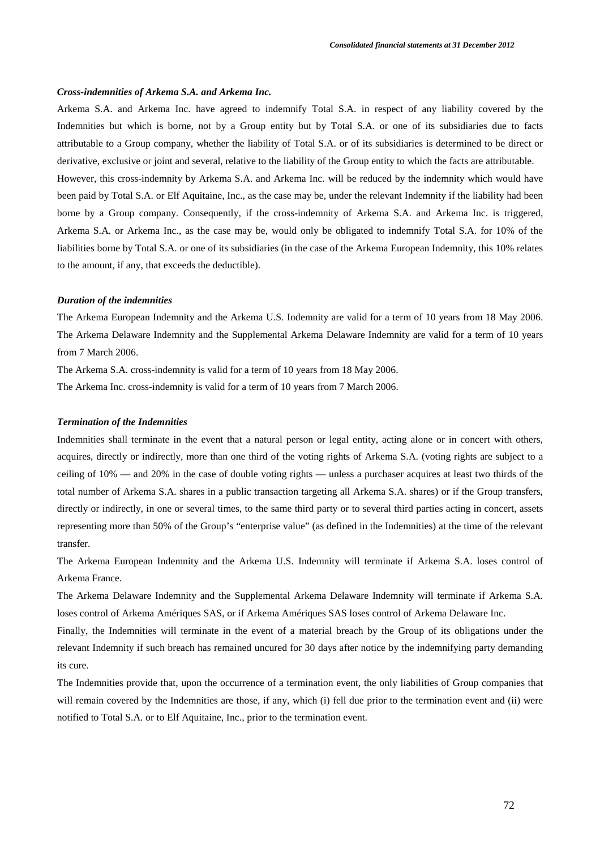#### *Cross-indemnities of Arkema S.A. and Arkema Inc.*

Arkema S.A. and Arkema Inc. have agreed to indemnify Total S.A. in respect of any liability covered by the Indemnities but which is borne, not by a Group entity but by Total S.A. or one of its subsidiaries due to facts attributable to a Group company, whether the liability of Total S.A. or of its subsidiaries is determined to be direct or derivative, exclusive or joint and several, relative to the liability of the Group entity to which the facts are attributable. However, this cross-indemnity by Arkema S.A. and Arkema Inc. will be reduced by the indemnity which would have been paid by Total S.A. or Elf Aquitaine, Inc., as the case may be, under the relevant Indemnity if the liability had been borne by a Group company. Consequently, if the cross-indemnity of Arkema S.A. and Arkema Inc. is triggered, Arkema S.A. or Arkema Inc., as the case may be, would only be obligated to indemnify Total S.A. for 10% of the liabilities borne by Total S.A. or one of its subsidiaries (in the case of the Arkema European Indemnity, this 10% relates to the amount, if any, that exceeds the deductible).

### *Duration of the indemnities*

The Arkema European Indemnity and the Arkema U.S. Indemnity are valid for a term of 10 years from 18 May 2006. The Arkema Delaware Indemnity and the Supplemental Arkema Delaware Indemnity are valid for a term of 10 years from 7 March 2006.

The Arkema S.A. cross-indemnity is valid for a term of 10 years from 18 May 2006. The Arkema Inc. cross-indemnity is valid for a term of 10 years from 7 March 2006.

#### *Termination of the Indemnities*

Indemnities shall terminate in the event that a natural person or legal entity, acting alone or in concert with others, acquires, directly or indirectly, more than one third of the voting rights of Arkema S.A. (voting rights are subject to a ceiling of 10% — and 20% in the case of double voting rights — unless a purchaser acquires at least two thirds of the total number of Arkema S.A. shares in a public transaction targeting all Arkema S.A. shares) or if the Group transfers, directly or indirectly, in one or several times, to the same third party or to several third parties acting in concert, assets representing more than 50% of the Group's "enterprise value" (as defined in the Indemnities) at the time of the relevant transfer.

The Arkema European Indemnity and the Arkema U.S. Indemnity will terminate if Arkema S.A. loses control of Arkema France.

The Arkema Delaware Indemnity and the Supplemental Arkema Delaware Indemnity will terminate if Arkema S.A. loses control of Arkema Amériques SAS, or if Arkema Amériques SAS loses control of Arkema Delaware Inc.

Finally, the Indemnities will terminate in the event of a material breach by the Group of its obligations under the relevant Indemnity if such breach has remained uncured for 30 days after notice by the indemnifying party demanding its cure.

The Indemnities provide that, upon the occurrence of a termination event, the only liabilities of Group companies that will remain covered by the Indemnities are those, if any, which (i) fell due prior to the termination event and (ii) were notified to Total S.A. or to Elf Aquitaine, Inc., prior to the termination event.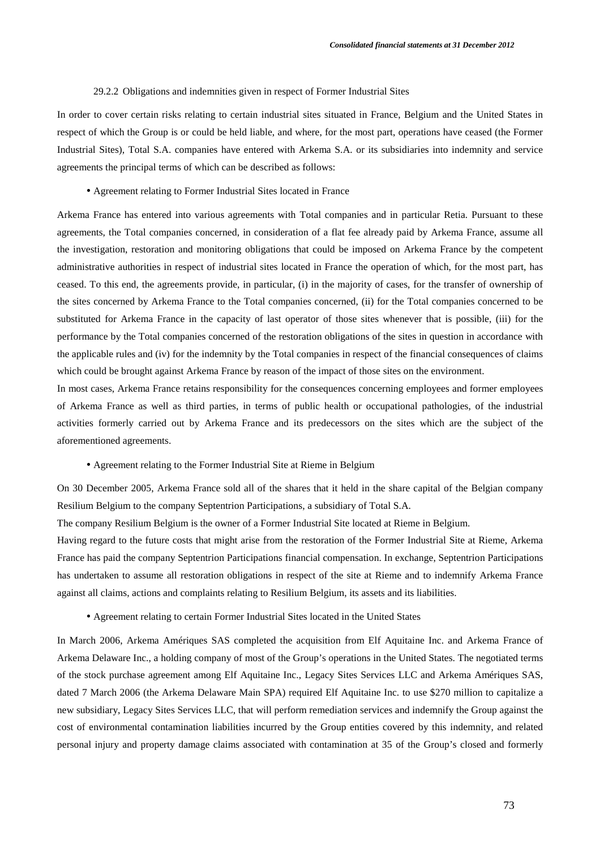## 29.2.2 Obligations and indemnities given in respect of Former Industrial Sites

In order to cover certain risks relating to certain industrial sites situated in France, Belgium and the United States in respect of which the Group is or could be held liable, and where, for the most part, operations have ceased (the Former Industrial Sites), Total S.A. companies have entered with Arkema S.A. or its subsidiaries into indemnity and service agreements the principal terms of which can be described as follows:

• Agreement relating to Former Industrial Sites located in France

Arkema France has entered into various agreements with Total companies and in particular Retia. Pursuant to these agreements, the Total companies concerned, in consideration of a flat fee already paid by Arkema France, assume all the investigation, restoration and monitoring obligations that could be imposed on Arkema France by the competent administrative authorities in respect of industrial sites located in France the operation of which, for the most part, has ceased. To this end, the agreements provide, in particular, (i) in the majority of cases, for the transfer of ownership of the sites concerned by Arkema France to the Total companies concerned, (ii) for the Total companies concerned to be substituted for Arkema France in the capacity of last operator of those sites whenever that is possible, (iii) for the performance by the Total companies concerned of the restoration obligations of the sites in question in accordance with the applicable rules and (iv) for the indemnity by the Total companies in respect of the financial consequences of claims which could be brought against Arkema France by reason of the impact of those sites on the environment.

In most cases, Arkema France retains responsibility for the consequences concerning employees and former employees of Arkema France as well as third parties, in terms of public health or occupational pathologies, of the industrial activities formerly carried out by Arkema France and its predecessors on the sites which are the subject of the aforementioned agreements.

• Agreement relating to the Former Industrial Site at Rieme in Belgium

On 30 December 2005, Arkema France sold all of the shares that it held in the share capital of the Belgian company Resilium Belgium to the company Septentrion Participations, a subsidiary of Total S.A.

The company Resilium Belgium is the owner of a Former Industrial Site located at Rieme in Belgium.

Having regard to the future costs that might arise from the restoration of the Former Industrial Site at Rieme, Arkema France has paid the company Septentrion Participations financial compensation. In exchange, Septentrion Participations has undertaken to assume all restoration obligations in respect of the site at Rieme and to indemnify Arkema France against all claims, actions and complaints relating to Resilium Belgium, its assets and its liabilities.

• Agreement relating to certain Former Industrial Sites located in the United States

In March 2006, Arkema Amériques SAS completed the acquisition from Elf Aquitaine Inc. and Arkema France of Arkema Delaware Inc., a holding company of most of the Group's operations in the United States. The negotiated terms of the stock purchase agreement among Elf Aquitaine Inc., Legacy Sites Services LLC and Arkema Amériques SAS, dated 7 March 2006 (the Arkema Delaware Main SPA) required Elf Aquitaine Inc. to use \$270 million to capitalize a new subsidiary, Legacy Sites Services LLC, that will perform remediation services and indemnify the Group against the cost of environmental contamination liabilities incurred by the Group entities covered by this indemnity, and related personal injury and property damage claims associated with contamination at 35 of the Group's closed and formerly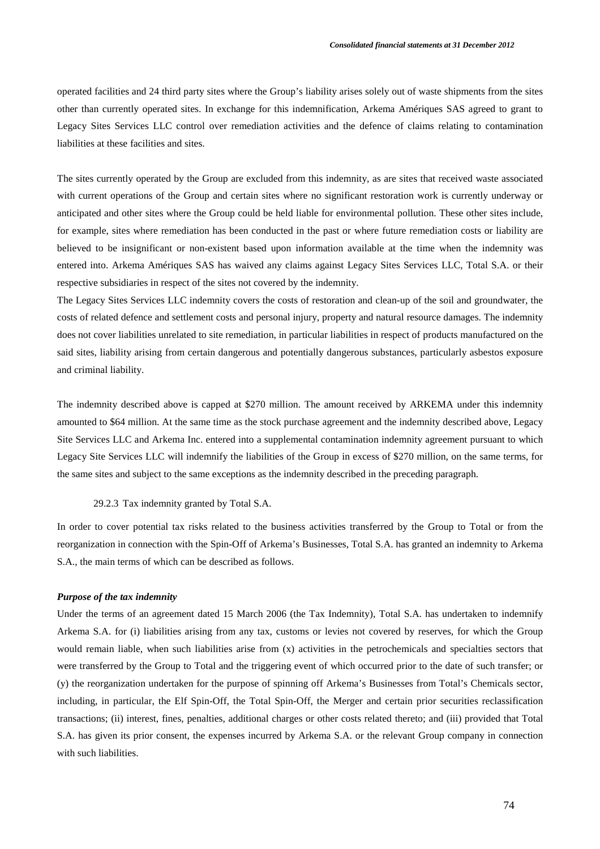operated facilities and 24 third party sites where the Group's liability arises solely out of waste shipments from the sites other than currently operated sites. In exchange for this indemnification, Arkema Amériques SAS agreed to grant to Legacy Sites Services LLC control over remediation activities and the defence of claims relating to contamination liabilities at these facilities and sites.

The sites currently operated by the Group are excluded from this indemnity, as are sites that received waste associated with current operations of the Group and certain sites where no significant restoration work is currently underway or anticipated and other sites where the Group could be held liable for environmental pollution. These other sites include, for example, sites where remediation has been conducted in the past or where future remediation costs or liability are believed to be insignificant or non-existent based upon information available at the time when the indemnity was entered into. Arkema Amériques SAS has waived any claims against Legacy Sites Services LLC, Total S.A. or their respective subsidiaries in respect of the sites not covered by the indemnity.

The Legacy Sites Services LLC indemnity covers the costs of restoration and clean-up of the soil and groundwater, the costs of related defence and settlement costs and personal injury, property and natural resource damages. The indemnity does not cover liabilities unrelated to site remediation, in particular liabilities in respect of products manufactured on the said sites, liability arising from certain dangerous and potentially dangerous substances, particularly asbestos exposure and criminal liability.

The indemnity described above is capped at \$270 million. The amount received by ARKEMA under this indemnity amounted to \$64 million. At the same time as the stock purchase agreement and the indemnity described above, Legacy Site Services LLC and Arkema Inc. entered into a supplemental contamination indemnity agreement pursuant to which Legacy Site Services LLC will indemnify the liabilities of the Group in excess of \$270 million, on the same terms, for the same sites and subject to the same exceptions as the indemnity described in the preceding paragraph.

# 29.2.3 Tax indemnity granted by Total S.A.

In order to cover potential tax risks related to the business activities transferred by the Group to Total or from the reorganization in connection with the Spin-Off of Arkema's Businesses, Total S.A. has granted an indemnity to Arkema S.A., the main terms of which can be described as follows.

#### *Purpose of the tax indemnity*

Under the terms of an agreement dated 15 March 2006 (the Tax Indemnity), Total S.A. has undertaken to indemnify Arkema S.A. for (i) liabilities arising from any tax, customs or levies not covered by reserves, for which the Group would remain liable, when such liabilities arise from (x) activities in the petrochemicals and specialties sectors that were transferred by the Group to Total and the triggering event of which occurred prior to the date of such transfer; or (y) the reorganization undertaken for the purpose of spinning off Arkema's Businesses from Total's Chemicals sector, including, in particular, the Elf Spin-Off, the Total Spin-Off, the Merger and certain prior securities reclassification transactions; (ii) interest, fines, penalties, additional charges or other costs related thereto; and (iii) provided that Total S.A. has given its prior consent, the expenses incurred by Arkema S.A. or the relevant Group company in connection with such liabilities.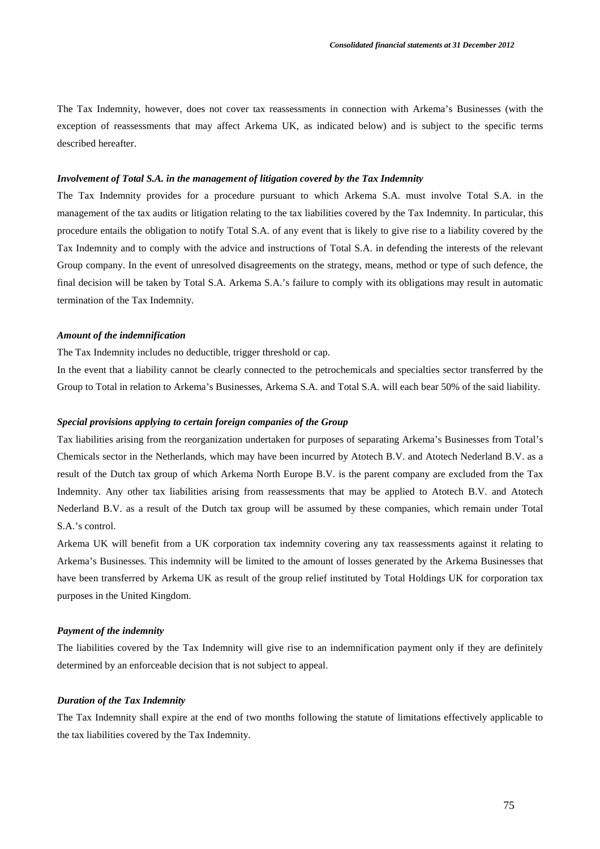The Tax Indemnity, however, does not cover tax reassessments in connection with Arkema's Businesses (with the exception of reassessments that may affect Arkema UK, as indicated below) and is subject to the specific terms described hereafter.

# *Involvement of Total S.A. in the management of litigation covered by the Tax Indemnity*

The Tax Indemnity provides for a procedure pursuant to which Arkema S.A. must involve Total S.A. in the management of the tax audits or litigation relating to the tax liabilities covered by the Tax Indemnity. In particular, this procedure entails the obligation to notify Total S.A. of any event that is likely to give rise to a liability covered by the Tax Indemnity and to comply with the advice and instructions of Total S.A. in defending the interests of the relevant Group company. In the event of unresolved disagreements on the strategy, means, method or type of such defence, the final decision will be taken by Total S.A. Arkema S.A.'s failure to comply with its obligations may result in automatic termination of the Tax Indemnity.

# *Amount of the indemnification*

The Tax Indemnity includes no deductible, trigger threshold or cap.

In the event that a liability cannot be clearly connected to the petrochemicals and specialties sector transferred by the Group to Total in relation to Arkema's Businesses, Arkema S.A. and Total S.A. will each bear 50% of the said liability.

### *Special provisions applying to certain foreign companies of the Group*

Tax liabilities arising from the reorganization undertaken for purposes of separating Arkema's Businesses from Total's Chemicals sector in the Netherlands, which may have been incurred by Atotech B.V. and Atotech Nederland B.V. as a result of the Dutch tax group of which Arkema North Europe B.V. is the parent company are excluded from the Tax Indemnity. Any other tax liabilities arising from reassessments that may be applied to Atotech B.V. and Atotech Nederland B.V. as a result of the Dutch tax group will be assumed by these companies, which remain under Total S.A.'s control.

Arkema UK will benefit from a UK corporation tax indemnity covering any tax reassessments against it relating to Arkema's Businesses. This indemnity will be limited to the amount of losses generated by the Arkema Businesses that have been transferred by Arkema UK as result of the group relief instituted by Total Holdings UK for corporation tax purposes in the United Kingdom.

# *Payment of the indemnity*

The liabilities covered by the Tax Indemnity will give rise to an indemnification payment only if they are definitely determined by an enforceable decision that is not subject to appeal.

## *Duration of the Tax Indemnity*

The Tax Indemnity shall expire at the end of two months following the statute of limitations effectively applicable to the tax liabilities covered by the Tax Indemnity.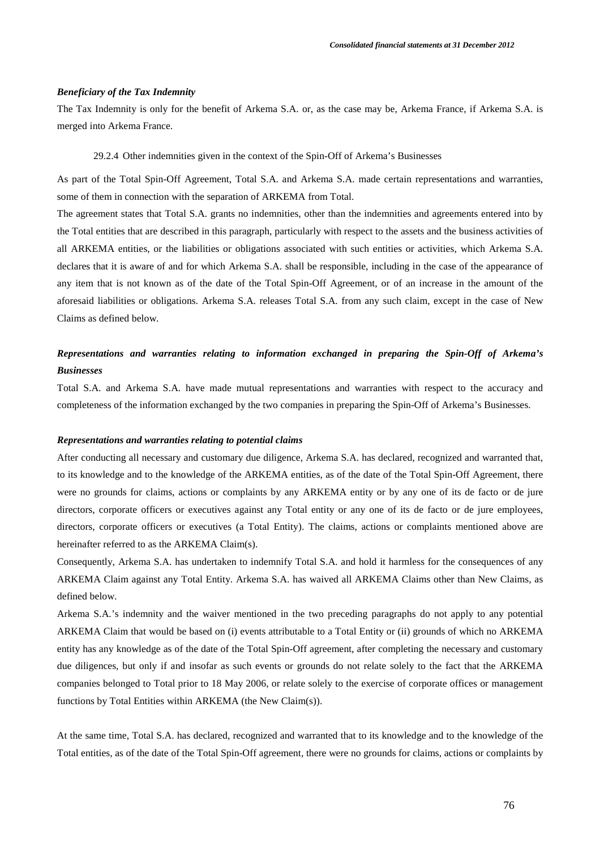#### *Beneficiary of the Tax Indemnity*

The Tax Indemnity is only for the benefit of Arkema S.A. or, as the case may be, Arkema France, if Arkema S.A. is merged into Arkema France.

#### 29.2.4 Other indemnities given in the context of the Spin-Off of Arkema's Businesses

As part of the Total Spin-Off Agreement, Total S.A. and Arkema S.A. made certain representations and warranties, some of them in connection with the separation of ARKEMA from Total.

The agreement states that Total S.A. grants no indemnities, other than the indemnities and agreements entered into by the Total entities that are described in this paragraph, particularly with respect to the assets and the business activities of all ARKEMA entities, or the liabilities or obligations associated with such entities or activities, which Arkema S.A. declares that it is aware of and for which Arkema S.A. shall be responsible, including in the case of the appearance of any item that is not known as of the date of the Total Spin-Off Agreement, or of an increase in the amount of the aforesaid liabilities or obligations. Arkema S.A. releases Total S.A. from any such claim, except in the case of New Claims as defined below.

# *Representations and warranties relating to information exchanged in preparing the Spin-Off of Arkema's Businesses*

Total S.A. and Arkema S.A. have made mutual representations and warranties with respect to the accuracy and completeness of the information exchanged by the two companies in preparing the Spin-Off of Arkema's Businesses.

#### *Representations and warranties relating to potential claims*

After conducting all necessary and customary due diligence, Arkema S.A. has declared, recognized and warranted that, to its knowledge and to the knowledge of the ARKEMA entities, as of the date of the Total Spin-Off Agreement, there were no grounds for claims, actions or complaints by any ARKEMA entity or by any one of its de facto or de jure directors, corporate officers or executives against any Total entity or any one of its de facto or de jure employees, directors, corporate officers or executives (a Total Entity). The claims, actions or complaints mentioned above are hereinafter referred to as the ARKEMA Claim(s).

Consequently, Arkema S.A. has undertaken to indemnify Total S.A. and hold it harmless for the consequences of any ARKEMA Claim against any Total Entity. Arkema S.A. has waived all ARKEMA Claims other than New Claims, as defined below.

Arkema S.A.'s indemnity and the waiver mentioned in the two preceding paragraphs do not apply to any potential ARKEMA Claim that would be based on (i) events attributable to a Total Entity or (ii) grounds of which no ARKEMA entity has any knowledge as of the date of the Total Spin-Off agreement, after completing the necessary and customary due diligences, but only if and insofar as such events or grounds do not relate solely to the fact that the ARKEMA companies belonged to Total prior to 18 May 2006, or relate solely to the exercise of corporate offices or management functions by Total Entities within ARKEMA (the New Claim(s)).

At the same time, Total S.A. has declared, recognized and warranted that to its knowledge and to the knowledge of the Total entities, as of the date of the Total Spin-Off agreement, there were no grounds for claims, actions or complaints by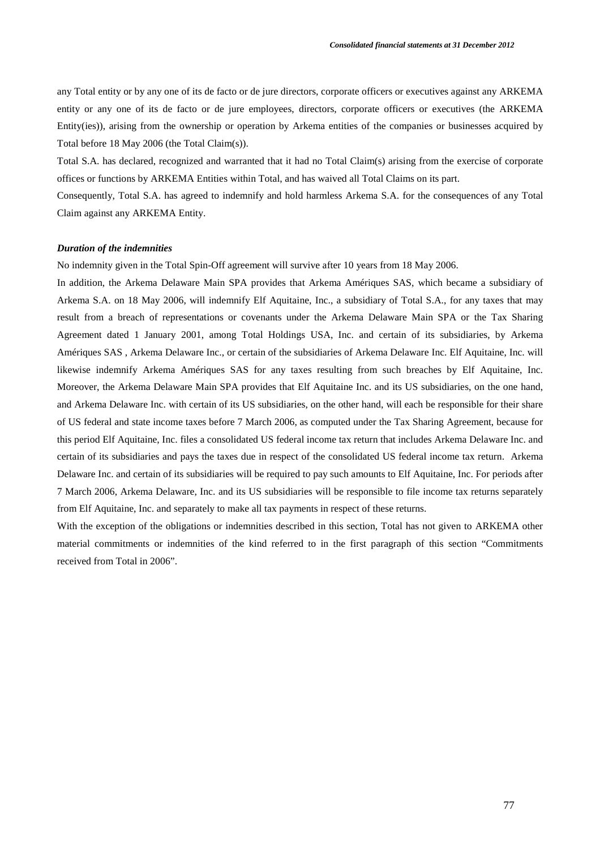any Total entity or by any one of its de facto or de jure directors, corporate officers or executives against any ARKEMA entity or any one of its de facto or de jure employees, directors, corporate officers or executives (the ARKEMA Entity(ies)), arising from the ownership or operation by Arkema entities of the companies or businesses acquired by Total before 18 May 2006 (the Total Claim(s)).

Total S.A. has declared, recognized and warranted that it had no Total Claim(s) arising from the exercise of corporate offices or functions by ARKEMA Entities within Total, and has waived all Total Claims on its part.

Consequently, Total S.A. has agreed to indemnify and hold harmless Arkema S.A. for the consequences of any Total Claim against any ARKEMA Entity.

# *Duration of the indemnities*

No indemnity given in the Total Spin-Off agreement will survive after 10 years from 18 May 2006.

In addition, the Arkema Delaware Main SPA provides that Arkema Amériques SAS, which became a subsidiary of Arkema S.A. on 18 May 2006, will indemnify Elf Aquitaine, Inc., a subsidiary of Total S.A., for any taxes that may result from a breach of representations or covenants under the Arkema Delaware Main SPA or the Tax Sharing Agreement dated 1 January 2001, among Total Holdings USA, Inc. and certain of its subsidiaries, by Arkema Amériques SAS , Arkema Delaware Inc., or certain of the subsidiaries of Arkema Delaware Inc. Elf Aquitaine, Inc. will likewise indemnify Arkema Amériques SAS for any taxes resulting from such breaches by Elf Aquitaine, Inc. Moreover, the Arkema Delaware Main SPA provides that Elf Aquitaine Inc. and its US subsidiaries, on the one hand, and Arkema Delaware Inc. with certain of its US subsidiaries, on the other hand, will each be responsible for their share of US federal and state income taxes before 7 March 2006, as computed under the Tax Sharing Agreement, because for this period Elf Aquitaine, Inc. files a consolidated US federal income tax return that includes Arkema Delaware Inc. and certain of its subsidiaries and pays the taxes due in respect of the consolidated US federal income tax return. Arkema Delaware Inc. and certain of its subsidiaries will be required to pay such amounts to Elf Aquitaine, Inc. For periods after 7 March 2006, Arkema Delaware, Inc. and its US subsidiaries will be responsible to file income tax returns separately from Elf Aquitaine, Inc. and separately to make all tax payments in respect of these returns.

With the exception of the obligations or indemnities described in this section, Total has not given to ARKEMA other material commitments or indemnities of the kind referred to in the first paragraph of this section "Commitments received from Total in 2006".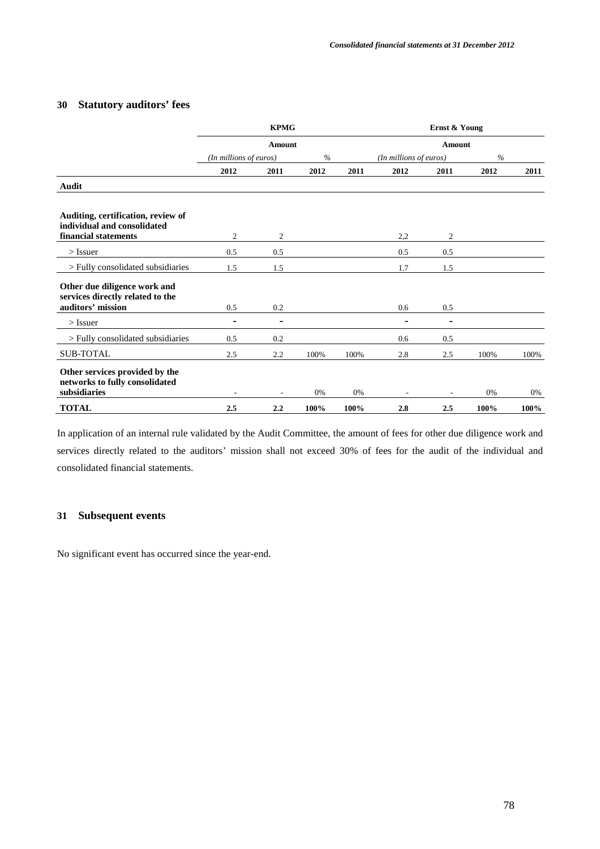# **30 Statutory auditors' fees**

|                                    | <b>KPMG</b><br><b>Amount</b> |                   |      | Ernst & Young |                        |                 |      |      |
|------------------------------------|------------------------------|-------------------|------|---------------|------------------------|-----------------|------|------|
|                                    |                              |                   |      |               | <b>Amount</b>          |                 |      |      |
|                                    | (In millions of euros)       |                   | $\%$ |               | (In millions of euros) |                 | $\%$ |      |
|                                    | 2012                         | 2011              | 2012 | 2011          | 2012                   | 2011            | 2012 | 2011 |
| Audit                              |                              |                   |      |               |                        |                 |      |      |
|                                    |                              |                   |      |               |                        |                 |      |      |
| Auditing, certification, review of |                              |                   |      |               |                        |                 |      |      |
| individual and consolidated        |                              |                   |      |               |                        |                 |      |      |
| financial statements               | $\overline{c}$               | $\mathfrak{2}$    |      |               | 2,2                    | $\mathfrak{2}$  |      |      |
| $>$ Issuer                         | 0.5                          | 0.5               |      |               | 0.5                    | 0.5             |      |      |
| > Fully consolidated subsidiaries  | 1.5                          | 1.5               |      |               | 1.7                    | 1.5             |      |      |
| Other due diligence work and       |                              |                   |      |               |                        |                 |      |      |
| services directly related to the   |                              |                   |      |               |                        |                 |      |      |
| auditors' mission                  | 0.5                          | 0.2               |      |               | 0.6                    | 0.5             |      |      |
| $>$ Issuer                         | $\overline{a}$               | $\qquad \qquad -$ |      |               | $\overline{a}$         | $\qquad \qquad$ |      |      |
| > Fully consolidated subsidiaries  | 0.5                          | 0.2               |      |               | 0.6                    | 0.5             |      |      |
| <b>SUB-TOTAL</b>                   | 2.5                          | 2.2               | 100% | 100%          | 2.8                    | 2.5             | 100% | 100% |
| Other services provided by the     |                              |                   |      |               |                        |                 |      |      |
| networks to fully consolidated     |                              |                   |      |               |                        |                 |      |      |
| subsidiaries                       |                              |                   | 0%   | 0%            |                        |                 | 0%   | 0%   |
| <b>TOTAL</b>                       | 2.5                          | 2.2               | 100% | 100%          | 2.8                    | 2.5             | 100% | 100% |

In application of an internal rule validated by the Audit Committee, the amount of fees for other due diligence work and services directly related to the auditors' mission shall not exceed 30% of fees for the audit of the individual and consolidated financial statements.

# **31 Subsequent events**

No significant event has occurred since the year-end.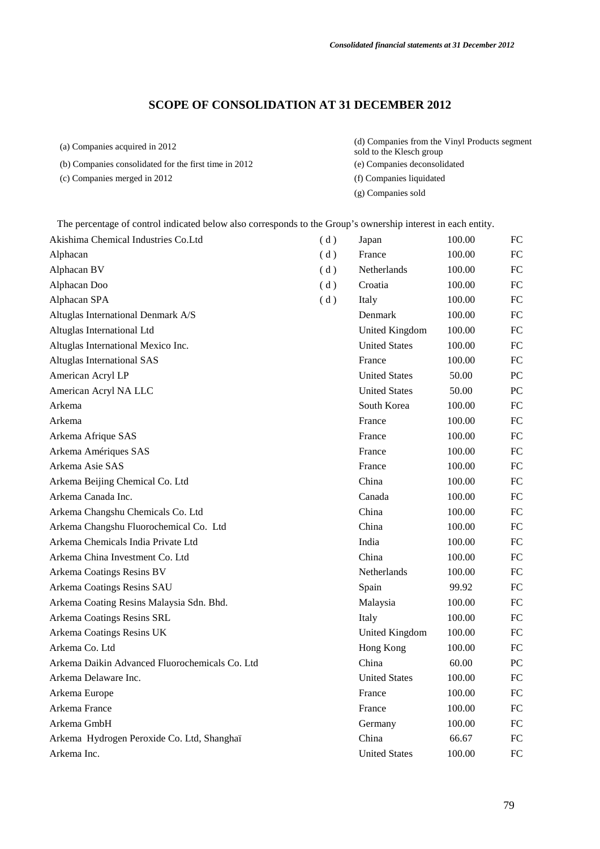# **SCOPE OF CONSOLIDATION AT 31 DECEMBER 2012**

(a) Companies acquired in 2012 (d) Companies from the Vinyl Products segment (b) Companies consolidated for the first time in 2012 (e) Companies deconsolidated (c) Companies merged in 2012 (f) Companies liquidated

sold to the Klesch group (g) Companies sold

The percentage of control indicated below also corresponds to the Group's ownership interest in each entity.

| Akishima Chemical Industries Co.Ltd            | (d) | Japan                | 100.00 | ${\rm FC}$ |
|------------------------------------------------|-----|----------------------|--------|------------|
| Alphacan                                       | (d) | France               | 100.00 | FC         |
| Alphacan BV                                    | (d) | Netherlands          | 100.00 | ${\rm FC}$ |
| Alphacan Doo                                   | (d) | Croatia              | 100.00 | FC         |
| Alphacan SPA                                   | (d) | Italy                | 100.00 | FC         |
| Altuglas International Denmark A/S             |     | Denmark              | 100.00 | FC         |
| Altuglas International Ltd                     |     | United Kingdom       | 100.00 | FC         |
| Altuglas International Mexico Inc.             |     | <b>United States</b> | 100.00 | FC         |
| Altuglas International SAS                     |     | France               | 100.00 | FC         |
| American Acryl LP                              |     | <b>United States</b> | 50.00  | PC         |
| American Acryl NA LLC                          |     | <b>United States</b> | 50.00  | PC         |
| Arkema                                         |     | South Korea          | 100.00 | ${\rm FC}$ |
| Arkema                                         |     | France               | 100.00 | FC         |
| Arkema Afrique SAS                             |     | France               | 100.00 | FC         |
| Arkema Amériques SAS                           |     | France               | 100.00 | FC         |
| Arkema Asie SAS                                |     | France               | 100.00 | FC         |
| Arkema Beijing Chemical Co. Ltd                |     | China                | 100.00 | FC         |
| Arkema Canada Inc.                             |     | Canada               | 100.00 | FC         |
| Arkema Changshu Chemicals Co. Ltd              |     | China                | 100.00 | FC         |
| Arkema Changshu Fluorochemical Co. Ltd         |     | China                | 100.00 | FC         |
| Arkema Chemicals India Private Ltd             |     | India                | 100.00 | FC         |
| Arkema China Investment Co. Ltd                |     | China                | 100.00 | FC         |
| Arkema Coatings Resins BV                      |     | Netherlands          | 100.00 | ${\rm FC}$ |
| Arkema Coatings Resins SAU                     |     | Spain                | 99.92  | FC         |
| Arkema Coating Resins Malaysia Sdn. Bhd.       |     | Malaysia             | 100.00 | FC         |
| Arkema Coatings Resins SRL                     |     | Italy                | 100.00 | FC         |
| Arkema Coatings Resins UK                      |     | United Kingdom       | 100.00 | FC         |
| Arkema Co. Ltd                                 |     | Hong Kong            | 100.00 | FC         |
| Arkema Daikin Advanced Fluorochemicals Co. Ltd |     | China                | 60.00  | PC         |
| Arkema Delaware Inc.                           |     | <b>United States</b> | 100.00 | FC         |
| Arkema Europe                                  |     | France               | 100.00 | FC         |
| Arkema France                                  |     | France               | 100.00 | FC         |
| Arkema GmbH                                    |     | Germany              | 100.00 | FC         |
| Arkema Hydrogen Peroxide Co. Ltd, Shanghaï     |     | China                | 66.67  | FC         |
| Arkema Inc.                                    |     | <b>United States</b> | 100.00 | FC         |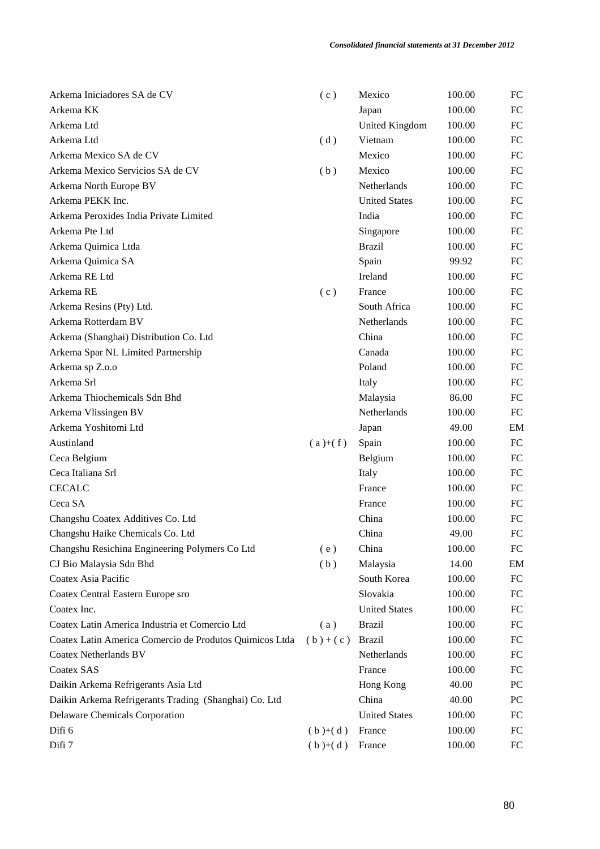| Arkema Iniciadores SA de CV                             | (c)       | Mexico               | 100.00 | FC         |
|---------------------------------------------------------|-----------|----------------------|--------|------------|
| Arkema KK                                               |           | Japan                | 100.00 | FC         |
| Arkema Ltd                                              |           | United Kingdom       | 100.00 | ${\rm FC}$ |
| Arkema Ltd                                              | (d)       | Vietnam              | 100.00 | FC         |
| Arkema Mexico SA de CV                                  |           | Mexico               | 100.00 | FC         |
| Arkema Mexico Servicios SA de CV                        | (b)       | Mexico               | 100.00 | FC         |
| Arkema North Europe BV                                  |           | Netherlands          | 100.00 | FC         |
| Arkema PEKK Inc.                                        |           | <b>United States</b> | 100.00 | FC         |
| Arkema Peroxides India Private Limited                  |           | India                | 100.00 | FC         |
| Arkema Pte Ltd                                          |           | Singapore            | 100.00 | FC         |
| Arkema Quimica Ltda                                     |           | <b>Brazil</b>        | 100.00 | FC         |
| Arkema Quimica SA                                       |           | Spain                | 99.92  | FC         |
| Arkema RE Ltd                                           |           | Ireland              | 100.00 | FC         |
| Arkema RE                                               | (c)       | France               | 100.00 | FC         |
| Arkema Resins (Pty) Ltd.                                |           | South Africa         | 100.00 | FC         |
| Arkema Rotterdam BV                                     |           | Netherlands          | 100.00 | FC         |
| Arkema (Shanghai) Distribution Co. Ltd                  |           | China                | 100.00 | FC         |
| Arkema Spar NL Limited Partnership                      |           | Canada               | 100.00 | FC         |
| Arkema sp Z.o.o                                         |           | Poland               | 100.00 | FC         |
| Arkema Srl                                              |           | Italy                | 100.00 | FC         |
| Arkema Thiochemicals Sdn Bhd                            |           | Malaysia             | 86.00  | FC         |
| Arkema Vlissingen BV                                    |           | Netherlands          | 100.00 | FC         |
| Arkema Yoshitomi Ltd                                    |           | Japan                | 49.00  | EM         |
| Austinland                                              | $(a)+(f)$ | Spain                | 100.00 | FC         |
| Ceca Belgium                                            |           | Belgium              | 100.00 | FC         |
| Ceca Italiana Srl                                       |           | Italy                | 100.00 | FC         |
| <b>CECALC</b>                                           |           | France               | 100.00 | FC         |
| Ceca SA                                                 |           | France               | 100.00 | FC         |
| Changshu Coatex Additives Co. Ltd                       |           | China                | 100.00 | FC         |
| Changshu Haike Chemicals Co. Ltd                        |           | China                | 49.00  | ${\rm FC}$ |
| Changshu Resichina Engineering Polymers Co Ltd          | (e)       | China                | 100.00 | FC         |
| CJ Bio Malaysia Sdn Bhd                                 | (b)       | Malaysia             | 14.00  | EM         |
| Coatex Asia Pacific                                     |           | South Korea          | 100.00 | FC         |
| Coatex Central Eastern Europe sro                       |           | Slovakia             | 100.00 | FC         |
| Coatex Inc.                                             |           | <b>United States</b> | 100.00 | FC         |
| Coatex Latin America Industria et Comercio Ltd          | (a)       | <b>Brazil</b>        | 100.00 | FC         |
| Coatex Latin America Comercio de Produtos Quimicos Ltda | $(b)+(c)$ | <b>Brazil</b>        | 100.00 | FC         |
| Coatex Netherlands BV                                   |           | Netherlands          | 100.00 | FC         |
| Coatex SAS                                              |           | France               | 100.00 | FC         |
| Daikin Arkema Refrigerants Asia Ltd                     |           | Hong Kong            | 40.00  | PC         |
| Daikin Arkema Refrigerants Trading (Shanghai) Co. Ltd   |           | China                | 40.00  | PC         |
| Delaware Chemicals Corporation                          |           | <b>United States</b> | 100.00 | FC         |
| Difi 6                                                  | $(b)+(d)$ | France               | 100.00 | FC         |
| Difi <sub>7</sub>                                       | $(b)+(d)$ | France               | 100.00 | FC         |